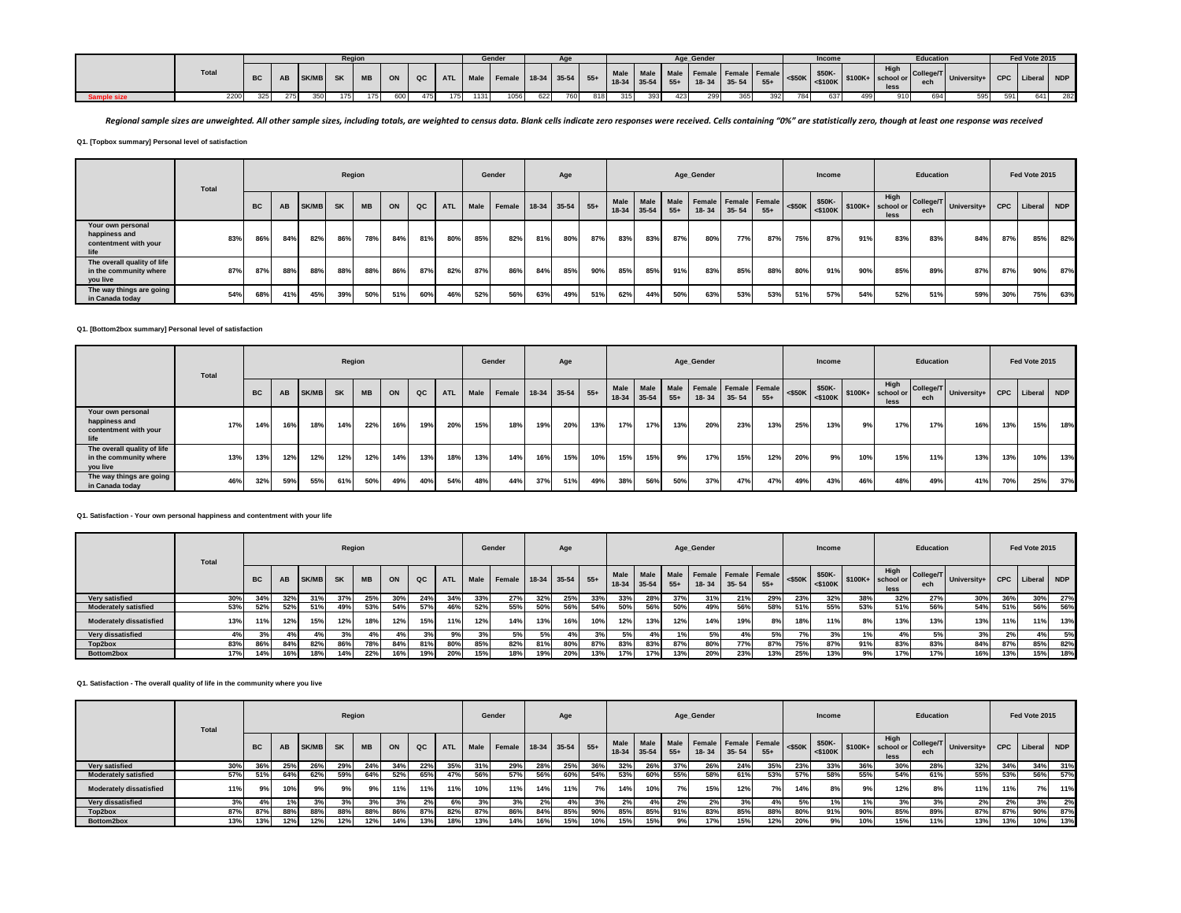|              |           |     |          | Regior |           |     |     |     |      | Gende |     |     |     |     |     |     | Age Gender |     |     |     | Income |     |                                                                                                                                                                                                                                                         | <b>Education</b> |                                                  |     | Fed Vote 2015 |     |
|--------------|-----------|-----|----------|--------|-----------|-----|-----|-----|------|-------|-----|-----|-----|-----|-----|-----|------------|-----|-----|-----|--------|-----|---------------------------------------------------------------------------------------------------------------------------------------------------------------------------------------------------------------------------------------------------------|------------------|--------------------------------------------------|-----|---------------|-----|
| <b>Total</b> | <b>BC</b> | AB  | SK/MB SK |        | <b>MB</b> | ON  | QC  |     |      |       |     |     |     |     |     |     |            |     |     |     |        |     | High<br>  ATL   Male   Female   18-34   35-54   55+   Male   Male   Male   Female   Female   Female   $\frac{1}{35}$   \$50K-   \$100K+   \$100K+   \$100K+   \$100K+   \$100K+   \$100K+   \$100K   \$100K   \$100K   \$100K   \$100K   \$100K   \$100 | ech              | r   Colleger   University+   CPC   Liberal   NDP |     |               |     |
| 2200         | 325       | 275 | 350      | 1751   |           | 600 | 475 | 175 | 1131 | 1056  | 622 | 760 | 818 | 315 | 393 | 423 | 299        | 365 | 392 | 784 | 637    | 499 | 910                                                                                                                                                                                                                                                     | 694              | 595                                              | 591 | 641           | 282 |

Regional sample sizes are unweighted. All other sample sizes, including totals, are weighted to census data. Blank cells indicate zero responses were received. Cells containing "0%" are statistically zero, though at least

**Q1. [Topbox summary] Personal level of satisfaction**

|                                                                     | Total |           |     |              | Region    |           |     |     |            |      | Gender                 |     | Age |     |     |                          |               | Age_Gender                        |           |       |     | Income                             |     |              | Education |                           |     | Fed Vote 2015   |     |
|---------------------------------------------------------------------|-------|-----------|-----|--------------|-----------|-----------|-----|-----|------------|------|------------------------|-----|-----|-----|-----|--------------------------|---------------|-----------------------------------|-----------|-------|-----|------------------------------------|-----|--------------|-----------|---------------------------|-----|-----------------|-----|
|                                                                     |       | <b>BC</b> | AB  | <b>SK/MB</b> | <b>SK</b> | <b>MB</b> | ON  | QC  | <b>ATL</b> | Male | Female 18-34 35-54 55+ |     |     |     |     | Male Male<br>18-34 35-54 | Male<br>$55+$ | Female Female Female<br>$18 - 34$ | $35 - 54$ | $55+$ |     | $ \ll$ $\sqrt{$50K}$ $\sqrt{$50K}$ |     | High<br>less | ech       | College/T University+   C |     | CPC Liberal NDP |     |
| Your own personal<br>happiness and<br>contentment with your<br>life | 83%   | 86%       | 84% | 82%          | 86%       | 78%       | 84% | 81% | 80%        | 85%  | 82%                    | 81% | 80% | 87% | 83% | 83%                      | 87%           | 80%                               | 77%       | 87%   | 75% | 87%                                | 91% | 83%          | 83%       | 84%                       | 87% | 85%             | 82% |
| The overall quality of life<br>in the community where<br>you live   | 87%   | 87%       | 88% | 88%          | 88%       | 88%       | 86% | 87% | 82%        | 87%  | 86%                    | 84% | 85% | 90% | 85% | 85%                      | 91%           | 83%                               | 85%       | 88%   | 80% | 91%                                | 90% | 85%          | 89%       | 87%                       | 87% | 90%             | 87% |
| The way things are going<br>in Canada today                         | 54%   | 68%       | 41% | 45%          | 39%       | 50%       | 51% | 60% | 46%        | 52%  | 56%                    | 63% | 49% | 51% | 62% | 44%                      | 50%           | 63%                               | 53%       | 53%   | 51% | 57%                                | 54% | 52%          | 51%       | 59%                       | 30% | 75%             | 63% |

#### **Q1. [Bottom2box summary] Personal level of satisfaction**

|                                                                     | Total |           |     |              | Region    |           |     |     |            |      | Gender                 |     | Age |     |      |             |       | Age Gender                                  |           |       |           | Income               |     |                                    | Education |                         |     | Fed Vote 2015 |     |
|---------------------------------------------------------------------|-------|-----------|-----|--------------|-----------|-----------|-----|-----|------------|------|------------------------|-----|-----|-----|------|-------------|-------|---------------------------------------------|-----------|-------|-----------|----------------------|-----|------------------------------------|-----------|-------------------------|-----|---------------|-----|
|                                                                     |       | <b>BC</b> | AB  | <b>SK/MB</b> | <b>SK</b> | <b>MB</b> | ON  | QC  | <b>ATL</b> | Male | Female 18-34 35-54 55+ |     |     |     | Male | 18-34 35-54 | $55+$ | Male Male Female Female Female<br>$18 - 34$ | $35 - 54$ | $55+$ | $<$ \$50K | \$50K-<br>$<$ \$100K |     | High<br>$$100K+$ school or<br>less | ech       | College/T University+ P |     | CPC Liberal   | NDP |
| Your own personal<br>happiness and<br>contentment with your<br>life | 17%   | 14%       | 16% | 18%          | 14%       | 22%       | 16% | 19% | 20%        | 15%  | 18%                    | 19% | 20% | 13% | 17%  | 17%         | 13%   | 20%                                         | 23%       | 13%   | 25%       | 13%                  | 9%  | 17%                                | 17%       | 16%                     | 13% | 15%           | 18% |
| The overall quality of life<br>in the community where<br>you live   | 13%   | 13%       | 12% | 12%          | 12%       | 12%       | 14% | 13% | 18%        | 13%  | 14%                    | 16% | 15% | 10% | 15%  | 15%         | 9%    | 17%                                         | 15%       | 12%   | 20%       | 9%                   | 10% | 15%                                | 11%       | 13%                     | 13% | 10%           | 13% |
| The way things are going<br>in Canada today                         | 46%   | 32%       | 59% | 55%          | 61%       | 50%       | 49% | 40% | 54%        | 48%  | 44%                    | 37% | 51% | 49% | 38%  | 56%         | 50%   | 37%                                         | 47%       | 47%   | 49%       | 43%                  | 46% | 48%                                | 49%       | 41%                     | 70% | 25%           | 37% |

## **Q1. Satisfaction - Your own personal happiness and contentment with your life**

|                                | Total |           |     |       | Region    |           |     |     |            |      | Gender                 |     | Age |     |     |             |       | Age_Gender |           |                                                          |           | Income |                |                                                                              | Education |                         |            | Fed Vote 2015 |     |
|--------------------------------|-------|-----------|-----|-------|-----------|-----------|-----|-----|------------|------|------------------------|-----|-----|-----|-----|-------------|-------|------------|-----------|----------------------------------------------------------|-----------|--------|----------------|------------------------------------------------------------------------------|-----------|-------------------------|------------|---------------|-----|
|                                |       | <b>BC</b> | AB  | SK/MB | <b>SK</b> | <b>MB</b> | ON  | QC  | <b>ATL</b> | Male | Female 18-34 35-54 55+ |     |     |     |     | 18-34 35-54 | $55+$ | 18-34      | $35 - 54$ | Male   Male   Male   Female   Female   Female  <br>$55+$ | $<$ \$50K | \$50K- |                | High<br>$-$ 50K $\left  \frac{1}{5100K} \right $ \$100K+ school or  <br>less | ech       | College/T University+ I | <b>CPC</b> | Liberal NDP   |     |
| Very satisfied                 | 30%   | 34%       | 32% | 31%   | 37%       | 25%       | 30% | 24% | 34%        | 33%  | 27%                    | 32% | 25% | 33% | 33% | 28%         | 37%   | 31%        | 21%       | 29%                                                      | 23%       | 32%    | 38%            | 32%                                                                          | 27%       | 30%                     | 36%        | 30%           | 27% |
| <b>Moderately satisfied</b>    | 53%   | 52%       | 52% | 51%   | 49%       | 53%       | 54% | 57% | 46%        | 52%  | 55%                    | 50% | 56% | 54% | 50% | 56%         | 50%   | 49%        | 56%       | 58%                                                      | 51%       | 55%    | 53%            | 51%                                                                          | 56%       | 54%                     | 51%        | 56%           | 56% |
| <b>Moderately dissatisfied</b> | 13%   | 11%       | 12% | 15%   | 12%       | 18%       | 12% | 15% | 11%        | 12%  | 14%                    | 13% | 16% | 10% | 12% | 13%         | 12%   | 14%        | 19%       | 8%                                                       | 18%       | 11%    | 8%             | 13%                                                                          | 13%       | 13%                     | 11%        | 11%           | 13% |
| Very dissatisfied              | 4%    | 3%        |     |       | 3%        |           |     |     | 9%1        | 3%   | 5%                     | 5%  |     | 3%  | 5%  | 4%          |       | 5%         | 4%        | 5%                                                       | 7%        | 3%     | 1%             |                                                                              | 5%        | 3%                      | 2%         | 4%            | 5%  |
| Top2box                        | 83%   | 86%       | 84% | 82%   | 86%       | 78%       | 84% |     | 80%        | 85%  | 82%                    | 81% | 80% | 87% | 83% | 83%         | 87%   |            | 77%       | 87%                                                      | 75%       | 87%    | 91%            | 83%                                                                          | 83%       | 84%                     | 87%        | 85%           | 82% |
| Bottom2box                     | 17%   | 14%       | 16% | 18%   | 14%       | 22%       | 16% | 19% | 20%        |      | 18%                    | 19% | 20% | 13% | 17% | 17%         | 13%   | 20%        | 23%       | 13%                                                      | 25%       | 13%    | 0 <sup>0</sup> | 17%                                                                          | 17%       | 16%                     | 13%        | 15%           | 18% |

# **Q1. Satisfaction - The overall quality of life in the community where you live**

|                                | <b>Total</b> |           |     |              | Region    |           |     |     |            |      | Gender             |     | Age |       |      |               |                    | Age_Gender                    |           |       |           | <b>Income</b>        |     |                                    | Education        |             |            | Fed Vote 2015 |       |
|--------------------------------|--------------|-----------|-----|--------------|-----------|-----------|-----|-----|------------|------|--------------------|-----|-----|-------|------|---------------|--------------------|-------------------------------|-----------|-------|-----------|----------------------|-----|------------------------------------|------------------|-------------|------------|---------------|-------|
|                                |              | <b>BC</b> | AB  | <b>SK/MB</b> | <b>SK</b> | <b>MB</b> | ON  | QC  | <b>ATL</b> | Male | Female 18-34 35-54 |     |     | $55+$ | Male | $18-34$ 35-54 | Male Male<br>$55+$ | Female Female Female<br>18-34 | $35 - 54$ | $55+$ | $<$ \$50K | \$50K-<br>$<$ \$100K |     | High<br>$$100K+$ school or<br>less | College/T<br>ech | University+ | <b>CPC</b> | Liberal       | I NDP |
| Very satisfied                 | 30%          | 36%       | 25% |              | 29%       | 24%       | 34% | 22% | 35%        |      | 29%                | 28% | 25% | 36%   | 32%  | 26%           | 37%                | 26%                           | 24%       | 35%   | 23%       | 33%                  | 36% | 30%                                | 28%              | 32%         | 34%        | 34%           | 31%   |
| <b>Moderately satisfied</b>    | 57%          | 51%       | 64% | 62%          | 59%       | 64%       | 52% | 65% |            | 56%  | 57%                | 56% | 60% | 54%   | 53%  | 60%           | 55%                | 58%                           | 61%       | 53%   | 57%       | 58%                  | 55% | 54%                                | 61%              | 55%         | 53%        | 56%           | 57%   |
| <b>Moderately dissatisfied</b> | 11%          | 9%        | 10% |              |           | 9%        | 11% | 11% | 11%        | 10%  | 11%                | 14% | 11% | 7%    | 14%  | 10%           | 7%                 | 15%                           | 12%       | 7%    | 14%       | 8%                   |     | 12%                                |                  | 11%         | 11%        | $\mathcal{C}$ | 11%   |
| Very dissatisfied              | 3%           | 4%        |     |              |           | 3%        |     | 2%  | 6%         |      | 3%                 | 2%  | 4%  | 3%    | 2%   |               | 2%                 |                               |           |       | 5%        |                      |     | 3%                                 | 3%               | 2%          | 20         | nn.           | 2%    |
| Top2box                        | 87%          | 87%       | 88% | 88%          | 88%       | 88%       | 86% | 87% | 82%        | 87%  | 86%                | 84% | 85% | 90%   | 85%  | 85%           | 91%                | 83%                           | 85%       | 88%   | 80%       | 91%                  | 90% | 85%                                | 89%              | 87%         | 87%        | 90%           | 87%   |
| Bottom2box                     | 13%          | 13%       | 12% | 12%          | 12%       | 12%       | 14% | 13% | 18%        | 13%  | 14%                | 16% | 15% | 10%   | 15%  | 15%           | 9%                 | 17%                           | 15%       | 12%   | 20%       | 9%                   | 10% | 15%                                | 11%              | 13%         | 13%        | 10%           | 13%   |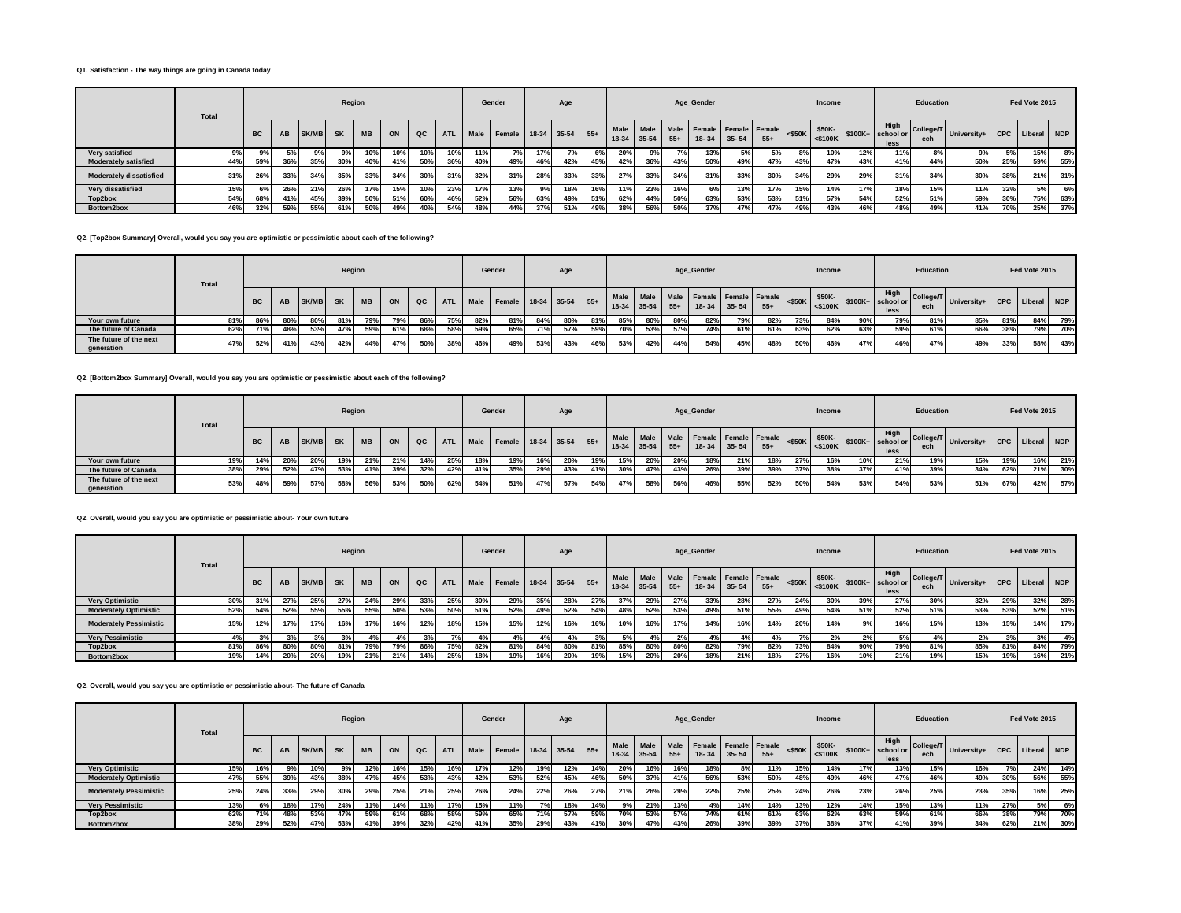## **Q1. Satisfaction - The way things are going in Canada today**

|                                | <b>Total</b> |           |     |              | Region    |           |     |     |            |      | Gender             |     | Age |       |       |         |                    | Age Gender           |             |       |           | Income |     |                                                                                             | Education        |             |            | Fed Vote 2015 |     |
|--------------------------------|--------------|-----------|-----|--------------|-----------|-----------|-----|-----|------------|------|--------------------|-----|-----|-------|-------|---------|--------------------|----------------------|-------------|-------|-----------|--------|-----|---------------------------------------------------------------------------------------------|------------------|-------------|------------|---------------|-----|
|                                |              | <b>BC</b> | AB  | <b>SK/MB</b> | <b>SK</b> | <b>MB</b> | ON  | QC  | <b>ATL</b> | Male | Female 18-34 35-54 |     |     | $55+$ | 18-34 | $35-54$ | Male Male<br>$55+$ | Female Female Female | 18-34 35-54 | $55+$ | $<$ \$50K | \$50K- |     | High<br>$-$ 50K $\left  \frac{1}{5100K} \right $ \$100K+ school or $\left  \right $<br>less | College/T<br>ech | University+ | <b>CPC</b> | Liberal       | NDP |
| Very satisfied                 |              |           |     |              |           | 10%       |     | 10% | 10%        | 11%  |                    | 17% |     | 6%    | 20%   | 9%      |                    | 13%                  |             |       | 8%        | 10%    | 12% | 11%                                                                                         | ୪%               | 9%          | 5%         | 15%           | 8%  |
| <b>Moderately satisfied</b>    | 44%          | 59%       | 36% | 35%          | 30%       | 40%       | 41% | 50% | 36%        |      | 49%                | 46% | 42% | 45%   | 42%   | 36%     | 43%                | 50%                  | 49%         | 47%   | 43%       | 47%    | 43% | 41%                                                                                         | 44%              | 50%         | 25%        | 59%           | 55% |
| <b>Moderately dissatisfied</b> | 31%          | 26%       | 33% | 34%          | 35%       | 33%       | 34% | 30% | 31%        | 32%  | 31%                | 28% | 33% | 33%   | 27%   | 33%     | 34%                | 31%                  | 33%         | 30%   | 34%       | 29%    | 29% | 31%                                                                                         | 34%              | 30%         | 38%        | 21%           | 31% |
| Very dissatisfied              | 15%          |           | 26% | 21%          | 26%       |           | 15% | 10% | 23%        | 17%  | 13%                | 9%  | 18% | 16%   | 11%   | 23%     | 16%                | 6%                   | 13%         | 17%   | 15%       | 14%    | 17% | 18%                                                                                         | 15%              | 11%         | 32%        | 5%            | 6%  |
| Top2box                        | 54%          |           | 41% | 45%          | 39%       | 50%       | 51% | 60% | 46%        | 52%  | 56%                | 63% | 49% | 51%   | 62%   | 44%     | 50%                | 63%                  | 53%         | 53%   | 51%       | 57%    | 54% | 52%                                                                                         | 51%              | 59%         | 30%        | 75%           | 63% |
| Bottom2box                     | 46%          | 32%       | 59% | 55%          | 61%       | 50%       | 49% | 40% | 54%        | 48%  | 44%                | 37% | 51% | 49%   | 38%   | 56%     | 50%                | 37%                  | 47%         | 47%   | 49%       | 43%    | 46% | 48%                                                                                         | 49%              | 41%         | 70%        | 25%           | 37% |

**Q2. [Top2box Summary] Overall, would you say you are optimistic or pessimistic about each of the following?**

|                                      | Total |           |     |              | Region    |           |     |               |            |     | Gender                      |     | Age |     |           |             |       | Age_Gender                                        |     |       |     | Income |     |                                                                                                              | Education        |                             |     | Fed Vote 2015 |     |
|--------------------------------------|-------|-----------|-----|--------------|-----------|-----------|-----|---------------|------------|-----|-----------------------------|-----|-----|-----|-----------|-------------|-------|---------------------------------------------------|-----|-------|-----|--------|-----|--------------------------------------------------------------------------------------------------------------|------------------|-----------------------------|-----|---------------|-----|
|                                      |       | <b>BC</b> | AB  | <b>SK/MB</b> | <b>SK</b> | <b>MB</b> | ON  | $_{\alpha c}$ | <b>ATL</b> |     | Male Female 18-34 35-54 55+ |     |     |     | Male Male | 18-34 35-54 | $55+$ | Male Female Female Female <\$50K<br>$18-34$ 35-54 |     | $55+$ |     | \$50K- |     | High<br>$\left  \begin{array}{c} \text{250K} \\ \text{25100K} \end{array} \right $ \$100K+ school or<br>less | College/T<br>ech | University+ CPC Liberal NDP |     |               |     |
| Your own future                      | 81%   | 86%       | 80% | 80%          | 81%       | 79%       | 79% | 86%           | 75%        | 82% | 81%                         | 84% | 80% | 81% | 85%       | 80%         | 80%   | 82%                                               | 79% | 82%   | 73% | 84%    | 90% | 79%                                                                                                          | 81%              | 85%                         |     | 84%           | 79% |
| The future of Canada                 | 62%   | 71%       | 48% | 53%          | 47%       | 59%       | 61% | 68%           | 58%        | 59% | 65%                         | 71% | 57% | 59% | 70%       | 53%         | 57%   | <b>74%</b>                                        | 61% | 61%   | 63% | 62%    | 63% | 59%                                                                                                          | 61%              | 66%                         |     | 79%           | 70% |
| The future of the next<br>generation | 47%   | 52%       | 41% | 43%          | 42%       | 44%       | 47% | 50%           | 38%        | 46% | 49%                         | 53% | 43% | 46% | 53%       | 42%         | 44%   | 54%                                               | 45% | 48%   | 50% | 46%    | 47% | 46%                                                                                                          | 47%              | 49%                         | 33% | 58%           | 43% |

**Q2. [Bottom2box Summary] Overall, would you say you are optimistic or pessimistic about each of the following?**

|                                      | Total |           |           |                 | Region |           |     |     |            |     | Gender                      |     | Age |     |             |     |       | Age Gender                          |                 |       |     | Income |     |                                                                                                   | Education |                              |     | Fed Vote 2015   |     |
|--------------------------------------|-------|-----------|-----------|-----------------|--------|-----------|-----|-----|------------|-----|-----------------------------|-----|-----|-----|-------------|-----|-------|-------------------------------------|-----------------|-------|-----|--------|-----|---------------------------------------------------------------------------------------------------|-----------|------------------------------|-----|-----------------|-----|
|                                      |       | <b>BC</b> | <b>AB</b> | <b>SK/MB</b> SK |        | <b>MB</b> | ON  | QC  | <b>ATL</b> |     | Male Female 18-34 35-54 55+ |     |     |     | 18-34 35-54 |     | $55+$ | Male Male Male Female Female Female | $18 - 34$ 35-54 | $55+$ |     | \$50K- |     | High<br>$\left \right $ <\$50K $\left \right $ <\$100K $\left \right $ \$100K + school or<br>less | ech       | -- college/T University+ Uru |     | CPC Liberal NDP |     |
| Your own future                      | 19%   | 14%       | 20%       | 20%             | 19%    | 21%       | 21% | 14% | 25%        |     | 19%                         | 16% | 20% | 19% | 15%         | 20% | 20%   | 18%                                 | 21%             | 18%   | 27% | 16%    | 10% | 21%                                                                                               | 19%       | 15%                          | 19% | 16%             | 21% |
| The future of Canada                 | 38%   | 29%       | 52%       | 47%             | 53%    | 41%       | 39% | 32% | 42%        | 41% | 35%                         | 29% | 43% | 41% | 30%         | 47% | 43%   | 26%                                 | 39%             | 39%   | 37% | 38%    | 37% | 41%                                                                                               | 39%       | 34%                          | 62% | 21%             | 30% |
| The future of the next<br>generation | 53%   | 48%       | 59%       | 57%             | 58%    | 56%       | 53% | 50% | 62%        | 54% | 51%                         | 47% | 57% | 54% | 47%         | 58% | 56%   | 46%                                 | 55%             | 52%   | 50% | 54%    | 53% | 54%                                                                                               | 53%       | 51%                          | 67% | 42%             | 57% |

**Q2. Overall, would you say you are optimistic or pessimistic about- Your own future**

|                               | Total |           |     |              |           | Region    |     |     |            |      | Gender                 |     | Age |     |             |           |                 | Age_Gender                        |           |       |     | Income |     |                                                                                                                           | Education |                           |            | Fed Vote 2015 |     |
|-------------------------------|-------|-----------|-----|--------------|-----------|-----------|-----|-----|------------|------|------------------------|-----|-----|-----|-------------|-----------|-----------------|-----------------------------------|-----------|-------|-----|--------|-----|---------------------------------------------------------------------------------------------------------------------------|-----------|---------------------------|------------|---------------|-----|
|                               |       | <b>BC</b> | AB  | <b>SK/MB</b> | <b>SK</b> | <b>MB</b> | ON  | QC  | <b>ATL</b> | Male | Female 18-34 35-54 55+ |     |     |     | 18-34 35-54 | Male Male | Male I<br>$55+$ | Female Female Female<br>$18 - 34$ | $35 - 54$ | $55+$ |     | \$50K- |     | High<br>$-$ 550K $\left  \begin{array}{c} 25100 \text{K} \\ 25100 \text{K} \end{array} \right $ \$100K+ school or<br>less | ech       | - College/T University+ I | <b>CPC</b> | Liberal       | NDP |
| <b>Very Optimistic</b>        | 30%   | 31%       | 27% | 25%          | 27%       | 24%       | 29% | 33% | 25%        | 30%  | 29%                    | 35% | 28% | 27% | 37%         | 29%       | 27%             | 33%                               | 28%       | 27%   | 24% | 30%    | 39% | 27%                                                                                                                       | 30%       | 32%                       | 29%        | 32%           | 28% |
| <b>Moderately Optimistic</b>  | 52%   | 54%       | 52% | 55%          | 55%       | 55%       | 50% | 53% | 50%        | 51%  | 52%                    | 49% | 52% | 54% | 48%         | 52%       | 53%             | 49%                               | 51%       | 55%   | 49% | 54%    | 51% | 52%                                                                                                                       | 51%       | 53%                       | 53%        | 52%           | 51% |
| <b>Moderately Pessimistic</b> | 15%   | 12%       | 17% | 17%          | 16%       | 17%       | 16% | 12% | 18%        | 15%  | 15%                    | 12% | 16% | 16% | 10%         | 16%       | 17%             | 14%                               | 16%       | 14%   | 20% | 14%    | 9%  | 16%                                                                                                                       | 15%       | 13%                       | 15%        | 14%           | 17% |
| <b>Very Pessimistic</b>       | 4%    |           |     |              |           |           |     |     |            | 4% l | 4%                     |     | 4%  | 3%  | 5%          |           | 2%              |                                   | 4%        | 4%    | 70  | 2%     | 2%  | 5%                                                                                                                        |           | 2%                        | 3%         |               | 4%  |
| Top2box                       | 81%   | 86%       | 80% | 80%          | 81%       | 79%       | 79% | 86% | 75%        | 82%  | 81%                    | 84% | 80% | 81% | 85%         | 80%       | 80%             | 82%                               | 79%       | 82%   | 73% | 84%    | 90% | 79%                                                                                                                       | 81%       | 85%                       | 81%        | 84%           | 79% |
| Bottom2box                    | 19%   | 14%       | 20% | 20%          | 19%       | 21%       | 21% | 14% | 25%        | 18%  | 19%                    | 16% | 20% | 19% | 15%         | 20%       | 20%             | 18%                               | 21%       | 18%   | 27% | 16%    | 10% | 21%                                                                                                                       | 19%       | 15%                       | 19%        |               | 21% |

**Q2. Overall, would you say you are optimistic or pessimistic about- The future of Canada**

|                               | Total |           |     |              | Region    |           |     |     |            |      | Gender                 |     | Age |     |      |                            |       | Age_Gender                    |           |       |           | <b>Income</b>        |     |                                       | Education        |             |            | Fed Vote 2015 |       |
|-------------------------------|-------|-----------|-----|--------------|-----------|-----------|-----|-----|------------|------|------------------------|-----|-----|-----|------|----------------------------|-------|-------------------------------|-----------|-------|-----------|----------------------|-----|---------------------------------------|------------------|-------------|------------|---------------|-------|
|                               |       | <b>BC</b> | AB  | <b>SK/MB</b> | <b>SK</b> | <b>MB</b> | ON  | QC  | <b>ATL</b> | Male | Female 18-34 35-54 55+ |     |     |     | Male | Male   Male<br>18-34 35-54 | $55+$ | Female Female Female<br>18-34 | $35 - 54$ | $55+$ | $<$ \$50K | \$50K-<br>$<$ \$100K |     | High<br>$$100K + $$ school or<br>less | College/T<br>ech | University+ | <b>CPC</b> | Liberal       | I NDP |
| <b>Very Optimistic</b>        | 15%   | 16%       |     |              |           | 12%       | 16% | 15% | 16%        |      | 12%                    | 19% | 12% | 14% | 20%  | 16%                        | 16%   | 18%                           |           | 11%   | 15%       | 14%                  | 17% | 13%                                   | 15%              | 16%         |            | 24%           | 14%   |
| <b>Moderately Optimistic</b>  | 47%   | 55%       | 39% | 43%          | 38%       | 47%       | 45% | 53% | 43%        | 42%  | 53%                    | 52% | 45% | 46% | 50%  | 37%                        | 41%   | 56%                           | 53%       | 50%   | 48%       | 49%                  | 46% | 47%                                   | 46%              | 49%         | 30%        | 56%           | 55%   |
| <b>Moderately Pessimistic</b> | 25%   | 24%       | 33% | 29%          | 30%       | 29%       | 25% | 21% | 25%        | 26%  | 24%                    | 22% | 26% | 27% | 21%  | 26%                        | 29%   | 22%                           | 25%       | 25%   | 24%       | 26%                  | 23% | 26%                                   | 25%              | 23%         | 35%        | 16%           | 25%   |
| <b>Very Pessimistic</b>       | 13%   | 6%        | 18% | 17%          | 24%       | 11%       | 14% | 11% | 17%        | 15%  | 11%                    | 7%  | 18% | 14% | 9%   | 21%                        | 13%   |                               | 14%       | 14%   | 13%       | 12%                  | 14% | 15%                                   | 13%              | 11%         | 27%        | 5%            | 6%    |
| Top2box                       | 62%   | 71%       | 48% | 53%          | 47%       | 59%       | 61% | 68% | 58%        | 59%  | 65%                    | 71% | 57% | 59% | 70%  | 53%                        | 57%   | 74%                           | 61%       | 61%   | 63%       | 62%                  | 63% | 59%                                   | 61%              | 66%         | 38%        | 79%           | 70%   |
| Bottom2box                    | 38%   | 29%       | 52% | 47%          | 53%       | 41%       | 39% | 32% | 42%        |      | 35%                    | 29% | 43% | 41% | 30%  | 47%                        | 43%   | 26%                           | 39%       | 39%   | 37%       | 38%                  | 37% | 41%                                   | 39%              | 34%         | 62%        | 21%           | 30%   |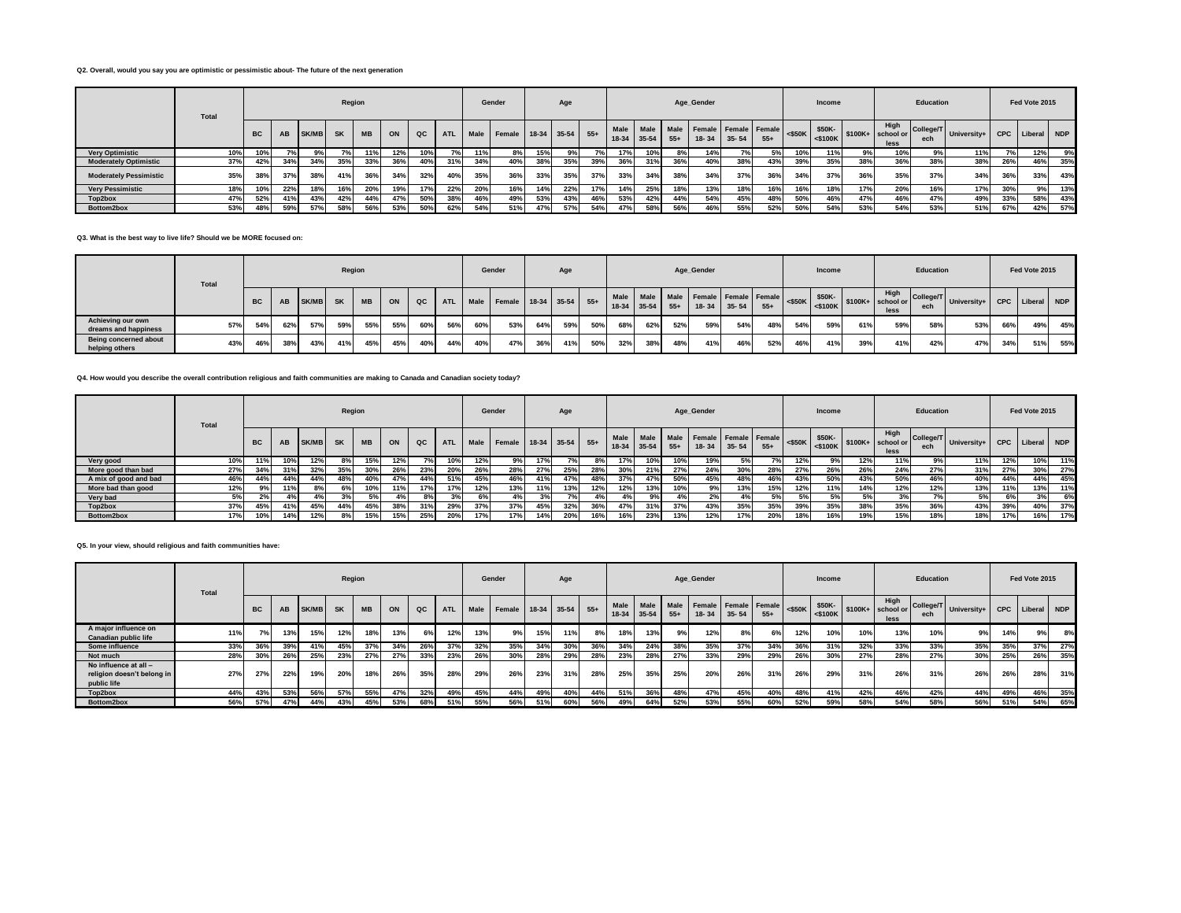## **Q2. Overall, would you say you are optimistic or pessimistic about- The future of the next generation**

|                               | <b>Total</b> |           |     |              | Region    |           |     |     |            |      | Gender             |     | Age |       |                 |         |                    | Age_Gender               |                   |       |           | Income |     |                                                                              | Education        |             |            | Fed Vote 2015 |            |
|-------------------------------|--------------|-----------|-----|--------------|-----------|-----------|-----|-----|------------|------|--------------------|-----|-----|-------|-----------------|---------|--------------------|--------------------------|-------------------|-------|-----------|--------|-----|------------------------------------------------------------------------------|------------------|-------------|------------|---------------|------------|
|                               |              | <b>BC</b> | AB  | <b>SK/MB</b> | <b>SK</b> | <b>MB</b> | ON  | QC  | <b>ATL</b> | Male | Female 18-34 35-54 |     |     | $55+$ | Male<br>$18-34$ | $35-54$ | Male Male<br>$55+$ | Female   Female   Female | $18 - 34$ 35 - 54 | $55+$ | $<$ \$50K | \$50K- |     | High<br>$-$ 50K $\left  \frac{1}{5100K} \right $ \$100K+ school or  <br>less | College/T<br>ech | University+ | <b>CPC</b> | Liberal       | <b>NDP</b> |
| <b>Very Optimistic</b>        | 10%          |           |     |              |           |           | 12% | 10% |            | 11%  | 8%                 | 15% |     |       |                 | 10%     | 8%                 | 14%                      |                   |       | 10%       | 11%    | У‰  | 10%                                                                          | 9%               | 11%         | 7%         | 12%           | 9%         |
| <b>Moderately Optimistic</b>  | 37%          | 42%       | 34% | 34%          | 35%       | 33%       | 36% | 40% | 31%        | 34%  | 40%                | 38% | 35% | 39%   | 36%             | 31%     | 36%                | 40%                      | 38%               | 43%   | 39%       | 35%    | 38% | 36%                                                                          | 38%              | 38%         | 26%        | 46%           | 35%        |
| <b>Moderately Pessimistic</b> | 35%          | 38%       | 37% | 38%          | 41%       | 36%       | 34% | 32% | 40%        | 35%  | 36%                | 33% | 35% | 37%   | 33%             | 34%     | 38%                | 34%                      | 37%               | 36%   | 34%       | 37%    | 36% | 35%                                                                          | 37%              | 34%         | 36%        | 33%           | 43%        |
| <b>Verv Pessimistic</b>       | 18%          |           | 22% | 18%          | 16%       | 20%       |     | 17% | 22%        |      | 16%                | 14% | 22% | 17%   | 14%             | 25%     | 18%                | 13%                      | 18%               | 16%   | 16%       | 18%    | 17% | 20%                                                                          | 16%              | 17%         | 30%        | 9%            | 13%        |
| Top2box                       | 47%          | 52%       | 41% | 43%          | 42%       | 44%       | 47% | 50% | 38%        | 46%  | 49%                | 53% | 43% | 46%   | 53%             | 42%     | 44%                | 54%                      | 45%               | 48%   | 50%       | 46%    | 47% | 46%                                                                          | 47%              | 49%         | 33%        | 58%           | 43%        |
| Bottom2box                    | 53%          | 48%       | 59% | 57%          | 58%       | 56%       | 53% | 50% | 62%        | 54%  | 51%                | 47% | 57% | 54%   | 47%             | 58%     | 56%                | 46%                      | 55%               | 52%   | 50%       | 54%    | 53% | 54%                                                                          | 53%              | 51%         | 67%        | 42%           | 57%        |

#### **Q3. What is the best way to live life? Should we be MORE focused on:**

|                                           | Total |           |           |              | Region    |           |     |     |            |     | Gender                      |     | Age |     |             |     |       | Age_Gender                          |             |       |     | Income            |     |                                                                                                                                                      | Education |                                    |     | Fed Vote 2015   |     |
|-------------------------------------------|-------|-----------|-----------|--------------|-----------|-----------|-----|-----|------------|-----|-----------------------------|-----|-----|-----|-------------|-----|-------|-------------------------------------|-------------|-------|-----|-------------------|-----|------------------------------------------------------------------------------------------------------------------------------------------------------|-----------|------------------------------------|-----|-----------------|-----|
|                                           |       | <b>BC</b> | <b>AB</b> | <b>SK/MB</b> | <b>SK</b> | <b>MB</b> | ON  | QC  | <b>ATL</b> |     | Male Female 18-34 35-54 55+ |     |     |     | 18-34 35-54 |     | $55+$ | Male Male Male Female Female Female | 18-34 35-54 | $55+$ |     | $ $ <\$50K \$50K- |     | High<br>$ \left  \right $ <\$50K $ \left  \right $ \state \spaces\$100K + \school or \efficient \state \school or \efficient \state \spaces}<br>less | ech       | College/T University+   University |     | CPC Liberal NDP |     |
| Achieving our own<br>dreams and happiness | 57%   | 54%       | 62%       | 57%          | 59%       | 55%       | 55% | 60% | 56%        | 60% | 53%                         | 64% | 59% | 50% | 68%         | 62% | 52%   | 59%                                 | 54%         | 48%   | 54% | 59%               | 61% | 59%                                                                                                                                                  | 58%       | 53%                                | 66% | 19%             | 45% |
| Being concerned about<br>helping others   | 43%   | 46%       | 38%       | 43%          | 41%       | 45%       | 45% | 40% | 44%        | 40% | 47%                         | 36% | 41% | 50% | 32%         | 38% | 48%   | 41%                                 | 46%         | 52%   | 46% | 41%               | 39% | 41%                                                                                                                                                  | 42%       | 47%                                | 34% | 51%             | 55% |

## **Q4. How would you describe the overall contribution religious and faith communities are making to Canada and Canadian society today?**

|                       | <b>Total</b> |           |       |              | Region    |           |     |     |            |      | Gender                 |     | Age |     |     |                                     |       | Age_Gender                        |           |       |           | <b>Income</b>        |     |                                    | Education        |             |            | Fed Vote 2015 |     |
|-----------------------|--------------|-----------|-------|--------------|-----------|-----------|-----|-----|------------|------|------------------------|-----|-----|-----|-----|-------------------------------------|-------|-----------------------------------|-----------|-------|-----------|----------------------|-----|------------------------------------|------------------|-------------|------------|---------------|-----|
|                       |              | <b>BC</b> | AB    | <b>SK/MB</b> | <b>SK</b> | <b>MB</b> | ON  | QC  | <b>ATL</b> | Male | Female 18-34 35-54 55+ |     |     |     |     | Male   Male   Male<br>$18-34$ 35-54 | $55+$ | Female Female Female<br>$18 - 34$ | $35 - 54$ | $55+$ | $<$ \$50K | \$50K-<br>$<$ \$100K |     | High<br>$$100K+$ school or<br>less | College/T<br>ech | University+ | <b>CPC</b> | Liberal       | NDP |
| Very good             | 10%          | 11%       | 10%   | 12%          |           | 15%       | 12% |     | 10%        | 12%  | 9%                     | 17% | 7%  | 8%  | 17% | 10%                                 | 10%   | 19%                               |           |       | 12%       | 9%                   | 12% | 11%                                | 9%               | 11%         | 12%        | 10%           | 11% |
| More good than bad    | 27%          | 34%       | 31%   | 32%          | 35%       | 30%       | 26% | 23% | <b>20%</b> | 26%  | 28%                    | 27% | 25% | 28% | 30% | 21%                                 | 27%   | 24%                               | 30%       | 28%   | 27%       | 26%                  | 26% | 24%                                | 27%              | 31%         | <b>27%</b> | 30%           | 27% |
| A mix of good and bad | 46%          | 44%       | 44%   | 44%          | 48%       | 40%       | 47% | 44% | 51%        | 45%  | 46%                    | 41% | 47% | 48% | 37% | 47%                                 | 50%   | 45%                               | 48%       | 46%   | 43%       | 50%                  | 43% | 50%                                | 46%              | 40%         | 44%        | 44%           | 45% |
| More bad than good    | 12%          |           | 11%   |              | 6%        | 10%       | 11% | 17% | 17%        | 12%  | 13%                    | 11% | 13% | 12% | 12% | 13%                                 | 10%   | 9%                                | 13%       | 15%   | 12%       | 11%                  | 14% | 12%                                | 12%              | 13%         | 11%        | 13%           | 11% |
| Very bad              | 5%           | 2%        | $4\%$ |              |           | 5%        |     | 8%  |            | 6%   | 4%                     | 3%  | 7%  | 4%  |     | 9%                                  | 4%    |                                   |           | 5%    | 5%        | 5%                   | 5%  | 3%                                 |                  | 5%          | 6%         | 3%            | 6%  |
| Top2box               | 37%          | 45%       | 41%   | 45%          | 44%       | 45%       | 38% | 31% | 29%        | 37%  | 37%                    | 45% | 32% | 36% | 47% | 31%                                 | 37%   | 43%                               | 35%       | 35%   | 39%       | 35%                  | 38% | 35%                                | 36%              | 43%         | 39%        | 40%           | 37% |
| Bottom2box            | 17%          | 10%       | 14%   | 12%          |           | 15%       | 15% | 25% | 20%        |      | 17%                    | 14% | 20% | 16% | 16% | 23%                                 | 13%   | 12%                               | 17%       | 20%   | 18%       | 16%                  | 19% | 15%                                | 18%              | 18%         | 17%        | 16%           | 17% |

#### **Q5. In your view, should religious and faith communities have:**

|                                                                    | <b>Total</b> |           |     |       | Region    |           |     |     |            |      | Gender                 |     | Age |     |     |                          |               | Age_Gender |                                   |       |           | Income |     |                                                                                  | Education |                         |     | Fed Vote 2015   |     |
|--------------------------------------------------------------------|--------------|-----------|-----|-------|-----------|-----------|-----|-----|------------|------|------------------------|-----|-----|-----|-----|--------------------------|---------------|------------|-----------------------------------|-------|-----------|--------|-----|----------------------------------------------------------------------------------|-----------|-------------------------|-----|-----------------|-----|
|                                                                    |              | <b>BC</b> | AB  | SK/MB | <b>SK</b> | <b>MB</b> | ON  | QC  | <b>ATL</b> | Male | Female 18-34 35-54 55+ |     |     |     |     | Male Male<br>18-34 35-54 | Male<br>$55+$ | $18 - 34$  | Female Female Female<br>$35 - 54$ | $55+$ | $<$ \$50K | \$50K- |     | High<br>$\sim$ 50K $\sim$ 5100K $\sim$ 5100K $\sim$ 5100K $\sim$ 5000 or<br>less | ech       | College/T University+ P |     | CPC Liberal NDP |     |
| A major influence on<br>Canadian public life                       | 11%          |           | 13% | 15%   | 12%       | 18%       | 13% | 6%  | 12%        | 13%  | 9%                     | 15% | 11% | 8%  | 18% | 13%                      | 9%            | 12%        | 8%                                | 6%    | 12%       | 10%    | 10% | 13%                                                                              | 10%       | 9%                      | 14% | 9%              | 8%  |
| Some influence                                                     | 33%          | 36%       | 39% | 41%   | 45%       | 37%       | 34% | 26% | 37%        | 32%  | 35%                    | 34% | 30% | 36% | 34% | 24%                      | 38%           | 35%        | 37%                               | 34%   | 36%       | 31%    | 32% | 33%                                                                              | 33%       | 35%                     | 35% | 37%             | 27% |
| Not much                                                           | 28%          | 30%       | 26% | 25%   | 23%       | 27%       | 27% | 33% | 23%        | 26%  | 30%                    | 28% | 29% | 28% | 23% | 28%                      | 27%           | 33%        | 29%                               | 29%   | 26%       | 30%    | 27% | 28%                                                                              | 27%       | 30%                     | 25% | 26%             | 35% |
| No influence at all -<br>religion doesn't belong in<br>public life | 27%          | 27%       | 22% | 19%   | 20%       | 18%       | 26% | 35% | 28%        | 29%  | 26%                    | 23% | 31% | 28% | 25% | 35%                      | 25%           | 20%        | 26%                               | 31%   | 26%       | 29%    | 31% | 26%                                                                              | 31%       | 26%                     | 26% | 28%             | 31% |
| Top2box                                                            | 44%          | 43%       | 53% | 56%   | 57%       | 55%       |     | 32% | 49%        | 45%  | 44%                    | 49% | 40% | 44% | 51% | 36%                      | 48%           | 47%        | 45%                               | 40%   | 48%       | 41%    | 42% | 46%                                                                              | 42%       | 44%                     | 49% | 46%             | 35% |
| Bottom2box                                                         | 56%          | 57%       | 47% | 44%   | 43%       | 45%       | 53% | 68% | 51%        | 55%  | 56%                    | 51% | 60% | 56% | 49% | 64%                      | 52%           | 53%        | 55%                               | 60%   | 52%       | 59%    | 58% | 54%                                                                              | 58%       | 56%                     | 51% | 54%             | 65% |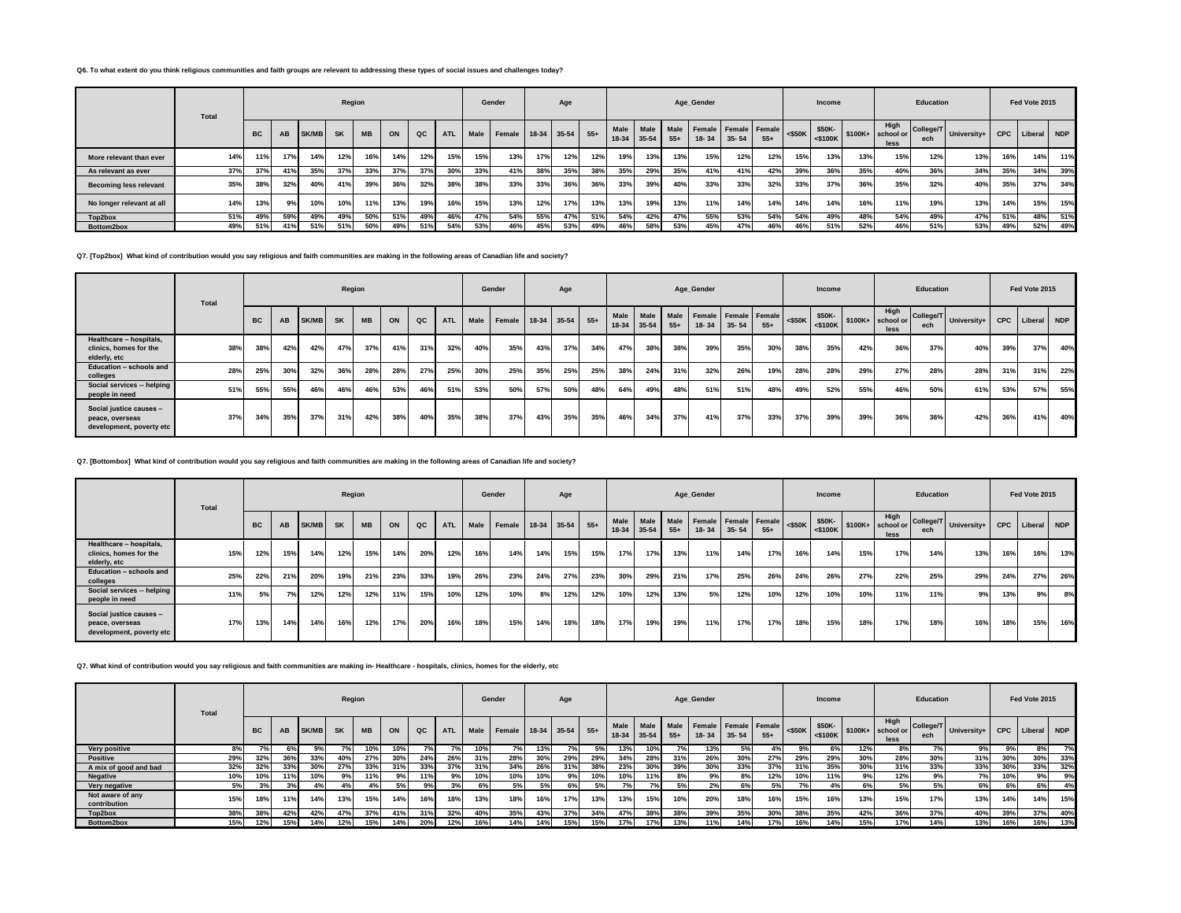## **Q6. To what extent do you think religious communities and faith groups are relevant to addressing these types of social issues and challenges today?**

|                               | Total |           |     |              | Region    |           |     |     |            |      | Gender                 |     | Age |     |     |                          |               | Age Gender                        |           |       |           | Income                                       |     |                           | Education |                         |            | Fed Vote 2015 |     |
|-------------------------------|-------|-----------|-----|--------------|-----------|-----------|-----|-----|------------|------|------------------------|-----|-----|-----|-----|--------------------------|---------------|-----------------------------------|-----------|-------|-----------|----------------------------------------------|-----|---------------------------|-----------|-------------------------|------------|---------------|-----|
|                               |       | <b>BC</b> | AB  | <b>SK/MB</b> | <b>SK</b> | <b>MB</b> | ON  | QC  | <b>ATL</b> | Male | Female 18-34 35-54 55+ |     |     |     |     | Male Male<br>18-34 35-54 | Male<br>$55+$ | Female Female Female<br>$18 - 34$ | $35 - 54$ | $55+$ | $<$ \$50K | \$50K-<br>$  \cdot $ <\$100K \ \$100K+ \ sc+ |     | High<br>school or<br>less | ech       | College/T University+ I | <b>CPC</b> | Liberal NDP   |     |
| More relevant than ever       | 14%   |           | 17% | 14%          | 12%       | 16%       | 14% | 12% | 15%        | 15%  | 13%                    | 17% | 12% | 12% | 19% | 13%                      | 13%           | 15%                               | 12%       | 12%   | 15%       | 13%                                          | 13% | 15%                       | 12%       | 13%                     | 16%        | 14%           | 11% |
| As relevant as ever           | 37%   | 37%       | 41% | 35%          | 37%       | 33%       | 37% | 37% | 30%        | 33%  | 41%                    | 38% | 35% | 38% | 35% | 29%                      | 35%           | 41%                               | 41%       | 42%   | 39%       | 36%                                          | 35% | 40%                       | 36%       | 34%                     | 35%        | 34%           | 39% |
| <b>Becoming less relevant</b> | 35%   | 38%       | 32% | 40%          | 41%       | 39%       | 36% | 32% | 38%        | 38%  | 33%                    | 33% | 36% | 36% | 33% | 39%                      | 40%           | 33%                               | 33%       | 32%   | 33%       | 37%                                          | 36% | 35%                       | 32%       | 40%                     | 35%        | 37%           | 34% |
| No longer relevant at all     | 14%   | 13%       | 9%  | 10%          | 10%       | 11%       | 13% | 19% | 16%        | 15%  | 13%                    | 12% | 17% | 13% | 13% | 19%                      | 13%           | 11%                               | 14%       | 14%   | 14%       | 14%                                          | 16% | 11%                       | 19%       | 13%                     | 14%        | 15%           | 15% |
| Top2box                       | 51%   | 49%       | 59% | 49%          | 49%       | 50%       | 51% | 49% | 46%        | 47%  | 54%                    | 55% | 47% | 51% | 54% | 42%                      | 47%           | 55%                               | 53%       | 54%   | 54%       | 49%                                          | 48% | 54%                       | 49%       | 47%                     | 51%        | 48%           | 51% |
| Bottom2box                    | 49%   | 51%       | 41% | 51%          | 51%       | 50%       | 49% | 51% | 54%        | 53%  | 46%                    | 45% | 53% | 49% | 46% | 58%                      | 53%           | 45%                               | 47%       | 46%   | 46%       | 51%                                          | 52% | 46%                       | 51%       | 53%                     | 49%        | 52%           | 49% |

**Q7. [Top2box] What kind of contribution would you say religious and faith communities are making in the following areas of Canadian life and society?**

|                                                                        | Total |           |     |       | Region    |           |     |     |            |      | Gender |     | Age         |       |             |           |       | Age_Gender                             |           |       |           | <b>Income</b>           |     |                                     | Education |                       |            | Fed Vote 2015 |     |
|------------------------------------------------------------------------|-------|-----------|-----|-------|-----------|-----------|-----|-----|------------|------|--------|-----|-------------|-------|-------------|-----------|-------|----------------------------------------|-----------|-------|-----------|-------------------------|-----|-------------------------------------|-----------|-----------------------|------------|---------------|-----|
|                                                                        |       | <b>BC</b> | AB  | SK/MB | <b>SK</b> | <b>MB</b> | ON  | QC  | <b>ATL</b> | Male | Female |     | 18-34 35-54 | $55+$ | 18-34 35-54 | Male Male | $55+$ | Male Female Female Female<br>$18 - 34$ | $35 - 54$ | $55+$ | $<$ \$50K | \$50K-<br>$<$ \$100 $K$ |     | High<br>$$100K +$ school or<br>less | ech       | College/T University+ | <b>CPC</b> | Liberal NDP   |     |
| Healthcare - hospitals,<br>clinics, homes for the<br>elderly, etc      | 38%   | 38%       | 42% | 42%   | 47%       | 37%       | 41% | 31% | 32%        | 40%  | 35%    | 43% | 37%         | 34%   | 47%         | 38%       | 38%   | 39%                                    | 35%       | 30%   | 38%       | 35%                     | 42% | 36%                                 | 37%       | 40%                   | 39%        | 37%           | 40% |
| Education - schools and<br>colleges                                    | 28%   | 25%       | 30% | 32%   | 36%       | 28%       | 28% | 27% | 25%        | 30%  | 25%    | 35% | 25%         | 25%   | 38%         | 24%       | 31%   | 32%                                    | 26%       | 19%   | 28%       | 28%                     | 29% | 27%                                 | 28%       | 28%                   | 31%        | 31%           | 22% |
| Social services -- helping<br>people in need                           | 51%   | 55%       | 55% | 46%   | 46%       | 46%       | 53% | 46% | 51%        | 53%  | 50%    | 57% | 50%         | 48%   | 64%         | 49%       | 48%   | 51%                                    | 51%       | 48%   | 49%       | 52%                     | 55% | 46%                                 | 50%       | 61%                   | 53%        | 57%           | 55% |
| Social justice causes -<br>peace, overseas<br>development, poverty etc | 37%   | 34%       | 35% | 37%   | 31%       | 42%       | 38% | 40% | 35%        | 38%  | 37%    | 43% | 35%         | 35%   | 46%         | 34%       | 37%   | 41%                                    | 37%       | 33%   | 37%       | 39%                     | 39% | 36%                                 | 36%       | 42%                   | 36%        | 41%           | 40% |

**Q7. [Bottombox] What kind of contribution would you say religious and faith communities are making in the following areas of Canadian life and society?**

|                                                                        | Total |           |     |              | Region    |           |     |     |            |      | Gender                 |     | Age |     |             |           |       | Age_Gender                             |           |       |           | Income |     |                                                             | Education |                       |            | Fed Vote 2015 |     |
|------------------------------------------------------------------------|-------|-----------|-----|--------------|-----------|-----------|-----|-----|------------|------|------------------------|-----|-----|-----|-------------|-----------|-------|----------------------------------------|-----------|-------|-----------|--------|-----|-------------------------------------------------------------|-----------|-----------------------|------------|---------------|-----|
|                                                                        |       | <b>BC</b> | AB  | <b>SK/MB</b> | <b>SK</b> | <b>MB</b> | ON  | QC  | <b>ATL</b> | Male | Female 18-34 35-54 55+ |     |     |     | 18-34 35-54 | Male Male | $55+$ | Male Female Female Female<br>$18 - 34$ | $35 - 54$ | $55+$ | $<$ \$50K | \$50K- |     | High<br>$\sqrt{\frac{20K}{100K}}$ \$100K+ school or<br>less | ech       | College/T University+ | <b>CPC</b> | Liberal NDP   |     |
| Healthcare - hospitals,<br>clinics, homes for the<br>elderly, etc      | 15%   | 12%       | 15% | 14%          | 12%       | 15%       | 14% | 20% | 12%        | 16%  | 14%                    | 14% | 15% | 15% | 17%         | 17%       | 13%   | 11%                                    | 14%       | 17%   | 16%       | 14%    | 15% | 17%                                                         | 14%       | 13%                   | 16%        | 16%           | 13% |
| Education - schools and<br>colleges                                    | 25%   | 22%       | 21% | 20%          | 19%       | 21%       | 23% | 33% | 19%        | 26%  | 23%                    | 24% | 27% | 23% | 30%         | 29%       | 21%   | 17%                                    | 25%       | 26%   | 24%       | 26%    | 27% | 22%                                                         | 25%       | 29%                   | 24%        | 27%           | 26% |
| Social services -- helping<br>people in need                           | 11%   | 5%        |     | 12%          | 12%       | 12%       | 11% | 15% | 10%        | 12%  | 10%                    | 8%  | 12% | 12% | 10%         | 12%       | 13%   | 5%                                     | 12%       | 10%   | 12%       | 10%    | 10% | 11%                                                         | 11%       | 9%                    | 13%        | 9%            | 8%  |
| Social justice causes -<br>peace, overseas<br>development, poverty etc | 17%   | 13%       | 14% | 14%          | 16%       | 12%       | 17% | 20% | 16%        | 18%  | 15%                    | 14% | 18% | 18% | 17%         | 19%       | 19%   | 11%                                    | 17%       | 17%   | 18%       | 15%    | 18% | 17%                                                         | 18%       | 16%                   | 18%        | 15%           | 16% |

**Q7. What kind of contribution would you say religious and faith communities are making in- Healthcare - hospitals, clinics, homes for the elderly, etc**

|                                  | Total |           |     |              |           | Region    |     |     |            |      | Gender                 |     | Age |     |        |               |       | Age Gender                                  |           |       |           | Income               |     |                                    | Education        |             |            | Fed Vote 2015 |       |
|----------------------------------|-------|-----------|-----|--------------|-----------|-----------|-----|-----|------------|------|------------------------|-----|-----|-----|--------|---------------|-------|---------------------------------------------|-----------|-------|-----------|----------------------|-----|------------------------------------|------------------|-------------|------------|---------------|-------|
|                                  |       | <b>BC</b> | AB  | <b>SK/MB</b> | <b>SK</b> | <b>MB</b> | ON  | QC  | <b>ATL</b> | Male | Female 18-34 35-54 55+ |     |     |     | Male I | $18-34$ 35-54 | $55+$ | Male Male Female Female Female<br>$18 - 34$ | $35 - 54$ | $55+$ | $<$ \$50K | \$50K-<br>$<$ \$100K |     | High<br>$$100K+$ school or<br>less | College/T<br>ech | University+ | <b>CPC</b> | Liberal       | I NDP |
| Very positive                    | 8%    |           |     | 9%           | 70/       | 10%       | 10% |     |            | 10%  | 7%                     | 13% | 7%  | 5%  | 13%    | 10%           | 7%    | 13%                                         | 5%        | 4%    | 9%        | 6%                   | 12% | 8%                                 | 7%               | 9%          | 9%         | 8%            | 7%    |
| <b>Positive</b>                  | 29%   | 32%       | 36% | 33%          | 40%       | 27%       | 30% | 24% | 26%        | 31%  | 28%                    | 30% | 29% | 29% | 34%    | 28%           | 31%   | 26%                                         | 30%       | 27%   | 29%       | 29%                  | 30% | 28%                                | 30%              | 31%         | 30%        | 30%           | 33%   |
| A mix of good and bad            | 32%   | 32%       | 33% | 30%          | 27%       | 33%       |     | 33% | 37%        | 31%  | 34%                    | 26% | 31% | 38% | 23%    | 30%           | 39%   | 30%                                         | 33%       | 37%   | 31%       | 35%                  | 30% | 31%                                | 33%              | 33%         | 30%        | 33%           | 32%   |
| Negative                         | 10%   | 10%       |     | 10%          |           | 11%       |     |     | 9%         | 10%  | 10%                    | 10% | 9%  | 10% | 10%    | 11%           | 8%    | 9%                                          | 8%        | 12%   | 10%       | 11%                  | 9%  | 12%                                | 9%               | 7%          | 10%        | 9%            | 9%    |
| Very negative                    | 5%    |           |     |              |           |           | 5%  | 9%  | 3%         |      | 5%                     | 5%  | 6%  | 5%  | 7%     | 7%            | 5%    | 2%                                          | 6%        | 5%    | 7%        | 4%                   | 6%  | 5%                                 | 5%               | 6%          | 6%         | 6%            | 4%    |
| Not aware of any<br>contribution | 15%   | 18%       |     | 14%          | 13%       | 15%       | 14% | 16% | 18%        | 13%  | 18%                    | 16% | 17% | 13% | 13%    | 15%           | 10%   | 20%                                         | 18%       | 16%   | 15%       | 16%                  | 13% | 15%                                | 17%              | 13%         | 14%        | 14%           | 15%   |
| Top2box                          | 38%   | 38%       | 42% | 42%          | 47%       | 37%       | 41% | 31% | 32%        | 40%  | 35%                    | 43% | 37% | 34% | 47%    | 38%           | 38%   | 39%                                         | 35%       | 30%   | 38%       | 35%                  | 42% | 36%                                | 37%              | 40%         | 39%        | 37%           | 40%   |
| Bottom2box                       | 15%   | 12%       | 15% | 14%          | 12%       | 15%       | 14% | 20% | 12%        | 16%  | 14%                    | 14% | 15% | 15% | 17%    | 17%           | 13%   | 11%                                         | 14%       | 17%   | 16%       | 14%                  | 15% | 17%                                | 14%              | 13%         | 16%        | 16%           | 13%   |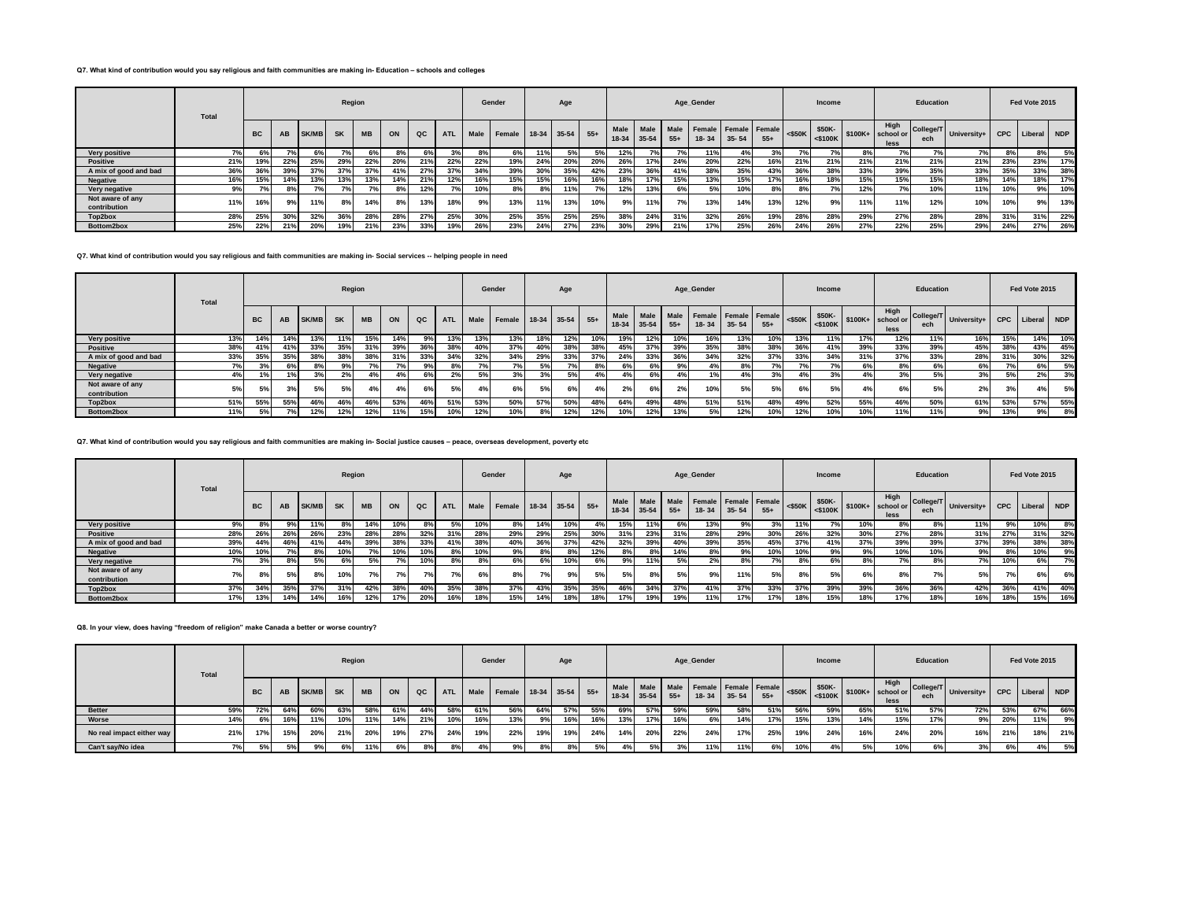## **Q7. What kind of contribution would you say religious and faith communities are making in- Education – schools and colleges**

|                                  | <b>Total</b> |           |                 |              | Region    |           |     |     |            |       | Gender                 |     | Age |     |     |                          |               | Age_Gender |           |                               |           | Income |     |                           | Education |                       |            | Fed Vote 2015 |     |
|----------------------------------|--------------|-----------|-----------------|--------------|-----------|-----------|-----|-----|------------|-------|------------------------|-----|-----|-----|-----|--------------------------|---------------|------------|-----------|-------------------------------|-----------|--------|-----|---------------------------|-----------|-----------------------|------------|---------------|-----|
|                                  |              | <b>BC</b> | AB              | <b>SK/MB</b> | <b>SK</b> | <b>MB</b> | ON  | QC  | <b>ATL</b> | Male  | Female 18-34 35-54 55+ |     |     |     |     | Male Male<br>18-34 35-54 | Male<br>$55+$ | $18 - 34$  | $35 - 54$ | Female Female Female<br>$55+$ | $<$ \$50K | \$50K- |     | High<br>school or<br>less | ech       | College/T University+ | <b>CPC</b> | Liberal NDP   |     |
| Very positive                    |              |           |                 |              |           | 6% l      | 8%  | 6%  |            | $8\%$ | 6%                     | 11% |     | 5%  | 12% |                          |               | 11%        | $4\%$     | 3%                            |           | rv,    | 8%  | 7%                        | 7%        | 7%                    | 8%         |               | 5%  |
| <b>Positive</b>                  | 21%          | 19%       | 22%             | 25%          | 29%       | 22%       | 20% | 21% | 22%        | 22%   | 19%                    | 24% | 20% | 20% | 26% | 17%                      | 24%           | 20%        | 22%       | 16%                           | 21%       | 21%    | 21% | 21%                       | 21%       | 21%                   | 23%        | 23%           | 17% |
| A mix of good and bad            | 36%          | 36%       | 39%             | 37%          | 37%       |           | 41% | 27% | 37%        | 34%   | 39%                    | 30% | 35% | 42% | 23% | 36%                      | 41%           | 38%        | 35%       | 43%                           | 36%       | 38%    | 33% | 39%                       | 35%       | 33%                   | 35%        | 33%           | 38% |
| Negative                         | 16%          | 15%       | 14%             | 13%          | 13%       | 13%       | 14% | 21% | 12%        | 16%   | 15%                    | 15% | 16% | 16% | 18% | 17%                      | 15%           | 13%        | 15%       | 17%                           | 16%       | 18%    | 15% | 15%                       | 15%       | 18%                   | 14%        |               | 17% |
| Very negative                    | 9%           |           | 89              | 70/          |           |           | 8%  | 12% |            | 10%   | 8%                     | 8%  | 11% | 7%  | 12% | 13%                      | 6%            | 5%         | 10%       | 8%                            | 8%        | 7%1    | 12% | 7%                        | 10%       | 11%                   | 10%        | 9%            | 10% |
| Not aware of any<br>contribution | 11%          |           |                 | 11%          | 8%        | 14%       | 8%  | 13% | 18%        | 9%    | 13%                    | 11% | 13% | 10% | 9%  | 11%                      | 7%            | 13%        | 14%       | 13%                           | 12%       | 9%     | 11% | 11%                       | 12%       | 10%                   | 10%        | 9%            | 13% |
| Top2box                          | 28%          | 25%       | 30 <sup>°</sup> | 32%          | 36%       | 28%       | 28% | 27% | 25%        | 30%   | 25%                    | 35% | 25% | 25% | 38% | 24%                      | 31%           | 32%        | 26%       | 19%                           | 28%       | 28%    | 29% | 27%                       | 28%       | 28%                   | 31%        | 31%           | 22% |
| Bottom2box                       | 25%          | 22%       | 21%             | 20%          | 19%       | 21%       | 23% | 33% | 19%        | 26%   | 23%                    | 24% | 27% | 23% | 30% | 29%                      | 21%           | 17%        | 25%       | 26%                           | 24%       | 26%    | 27% | 22%                       | 25%       | 29%                   | 24%        | 27%           | 26% |

## **Q7. What kind of contribution would you say religious and faith communities are making in- Social services -- helping people in need**

|                                  | Total |           |     |       | Region    |           |     |     |            |      | Gender                 |     | Age |     |                         |     |       | Age_Gender                                  |           |       |           | Income               |     |                                    | <b>Education</b> |             |     | Fed Vote 2015   |     |
|----------------------------------|-------|-----------|-----|-------|-----------|-----------|-----|-----|------------|------|------------------------|-----|-----|-----|-------------------------|-----|-------|---------------------------------------------|-----------|-------|-----------|----------------------|-----|------------------------------------|------------------|-------------|-----|-----------------|-----|
|                                  |       | <b>BC</b> | AB  | SK/MB | <b>SK</b> | <b>MB</b> | ON  | QC  | <b>ATL</b> | Male | Female 18-34 35-54 55+ |     |     |     | Male  <br>$18-34$ 35-54 |     | $55+$ | Male Male Female Female Female<br>$18 - 34$ | $35 - 54$ | $55+$ | $<$ \$50K | \$50K-<br>$<$ \$100K |     | High<br>$$100K+$ school or<br>less | College/T<br>ech | University+ |     | CPC Liberal NDP |     |
| Very positive                    | 13%   | 14%       | 14% | 13%   | 11%       | 15%       |     | 9%  | 13%        | 13%  | 13%                    | 18% | 12% | 10% | 19%                     | 12% | 10%   | 16%                                         | 13%       | 10%   | 13%       | 11%                  | 17% | 12%                                | 11%              | 16%         | 15% | 14%             | 10% |
| <b>Positive</b>                  | 38%   | 41%       | 41% | 33%   | 35%       | 31%       | 39% | 36% | 38%        | 40%  | 37%                    | 40% | 38% | 38% | 45%                     | 37% | 39%   | 35%                                         | 38%       | 38%   | 36%       | 41%                  | 39% | 33%                                | 39%              | 45%         | 38% | 43%             | 45% |
| A mix of good and bad            | 33%   | 35%       | 35% | 38%   | 38%       | 38%       | 31% | 33% | 34%        | 32%  | 34%                    | 29% | 33% | 37% | 24%                     | 33% | 36%   | 34%                                         | 32%       | 37%   | 33%       | 34%                  | 31% | 37%                                | 33%              | 28%         | 31% | 30%             | 32% |
| Negative                         | 7%    | 3%        |     |       | 9%        |           |     | 9%  | 8%         |      | 7%                     | 5%  |     | 8%  | 6%                      | 6%  | 9%    | 4%                                          | 8%        | 7%    | 7%        | <b>7%1</b>           | 6%  | 8%                                 | 6%               | 6%          | 7%1 | 6%              | 5%  |
| Very negative                    | 4%    |           |     | 3%    | 2%        |           |     | 6%1 | 2%         |      | 3%                     | 3%  | 5%  | 4%  | 4%                      | 6%  |       | 1%                                          | 4%        | 3%    | 4%        | 3%                   | 4%  | 3%                                 | 5%               | 3%          | 5%  | 2%              | 3%  |
| Not aware of any<br>contribution | 5%    |           |     | 5%    | 5%        |           |     | 6%  | 5%         |      | 6%                     |     |     | 4%  | 2%                      | 6%  | 2%    | 10%                                         | 5%        | 5%    | 6%        | 5%                   | 4%  | 6%                                 | 5%               | 2%          | 3%1 | 4%              | 5%  |
| Top2box                          | 51%   | 55%       | 55% | 46%   | 46%       | 46%       | 53% |     | 51%        | 53%  | 50%                    | 57% | 50% | 48% | 64%                     | 49% | 48%   | 51%                                         | 51%       | 48%   | 49%       | 52%                  | 55% | 46%                                | 50%              | 61%         | 53% | 57%             | 55% |
| Bottom2box                       | 11%   | 5%        |     | 12%   | 12%       | 12%       | 11% | 15% | 10%        | 12%  | 10%                    | 8%  | 12% | 12% | 10%                     | 12% | 13%   | 5%                                          | 12%       | 10%   | 12%       | 10%                  | 10% | 11%                                | 11%              | 9%          | 13% | 9%              | 8%  |

# **Q7. What kind of contribution would you say religious and faith communities are making in- Social justice causes – peace, overseas development, poverty etc**

|                                  | <b>Total</b> |           |     |              | Region    |           |     |     |            |      | Gender             |     | Age |       |                 |                   |               | Age_Gender                        |           |       |           | Income |     |                                                                                                                 | Education        |             |     | Fed Vote 2015   |     |
|----------------------------------|--------------|-----------|-----|--------------|-----------|-----------|-----|-----|------------|------|--------------------|-----|-----|-------|-----------------|-------------------|---------------|-----------------------------------|-----------|-------|-----------|--------|-----|-----------------------------------------------------------------------------------------------------------------|------------------|-------------|-----|-----------------|-----|
|                                  |              | <b>BC</b> | AB  | <b>SK/MB</b> | <b>SK</b> | <b>MB</b> | ON  | QC  | <b>ATL</b> | Male | Female 18-34 35-54 |     |     | $55+$ | Male<br>$18-34$ | Male<br>$35 - 54$ | Male<br>$55+$ | Female Female Female<br>$18 - 34$ | $35 - 54$ | $55+$ | $<$ \$50K | \$50K- |     | High<br>$\sim$ 0K $\left  \begin{array}{cc} \sim & 0 \\ \sim & 0 \end{array} \right $ \$100K+ school or<br>less | College/T<br>ech | University+ |     | CPC Liberal NDP |     |
| Very positive                    | 9%           | 8%        |     | 11%          |           | 14%       | 10% | 8%  |            | 10%  | 8%                 | 14% | 10% | 4%    | 15%             | 11%               | 6%            | 13%                               | 9%        | 3%    | 11%       |        | 10% | 8%                                                                                                              | 8%               | 11%         | 9%  | 10%             | 8%  |
| <b>Positive</b>                  | 28%          | 26%       | 26% | 26%          | 23%       | 28%       | 28% | 32% | 31%        | 28%  | 29%                | 29% | 25% | 30%   | 31%             | 23%               | 31%           | 28%                               | 29%       | 30%   | 26%       | 32%    | 30% | 27%                                                                                                             | 28%              | 31%         | 27% | 31%             | 32% |
| A mix of good and bad            | 39%          | 44%       | 46% | 41%          | 44%       | 39%       | 38% | 33% | 41%        | 38%  | 40%                | 36% | 37% | 42%   | 32%             | 39%               | 40%           | 39%                               | 35%       | 45%   | 37%       | 41%    | 37% | 39%                                                                                                             | 39%              | 37%         | 39% | 38%             | 38% |
| <b>Negative</b>                  | 10%          |           |     | 8%           | 10%       |           | 10% | 10% |            | 10%  | 9%                 | 8%  | 8%  | 12%   | 8%              | 8%                | 14%           | 8%                                | 9%        | 10%   | 10%       | 9%     | 9%  | 10%                                                                                                             | 10%              | 9%          |     | 10%             | 9%  |
| Very negative                    | 7%           |           |     |              |           |           |     | 10% |            | 8%   |                    | 6%  | 10% | 6%    | 9%              | 11%               | 5%            | 2%                                | 8%        | 7%1   | 8%        | 6%     | 8%  | 7%                                                                                                              | 8%               | 7%1         |     | 6%              | 7%  |
| Not aware of any<br>contribution | 7%           |           | 5%  | 8%           | 10%       |           | 7%  | 7%  |            | 6%   |                    |     | 9%  | 5%    | 5%              | 8%                | 5%            | 9%                                | 11%       | 5%    | 8%        | 5%     | 6%  | 8%                                                                                                              | 70               | 5%          |     | 6%              | 6%  |
| Top2box                          | 37%          | 34%       | 35% | 37%          | 31%       | 42%       | 38% | 40% | 35%        | 38%  | 37%                | 43% | 35% | 35%   | 46%             | 34%               | 37%           | 41%                               | 37%       | 33%   | 37%       | 39%    | 39% | 36%                                                                                                             | 36%              | 42%         | 36% | 41%             | 40% |
| Bottom2box                       | 17%          | 13%       | 14% | 14%          | 16%       | 12%       | 17% | 20% | 16%        | 18%  | 15%                | 14% | 18% | 18%   | 17%             | 19%               | 19%           | 11%                               | 17%       | 17%   | 18%       | 15%    | 18% | 17%                                                                                                             | 18%              | 16%         | 18% | 15%             | 16% |

## **Q8. In your view, does having "freedom of religion" make Canada a better or worse country?**

|                           | <b>Total</b> |           |     |       | Region    |           |     |     |            |     | Gender                      |     | Age |     |     |             |       | Age_Gender                                       |           |       |           | Income |     |                                                        | Education |                                       |     | Fed Vote 2015 |     |
|---------------------------|--------------|-----------|-----|-------|-----------|-----------|-----|-----|------------|-----|-----------------------------|-----|-----|-----|-----|-------------|-------|--------------------------------------------------|-----------|-------|-----------|--------|-----|--------------------------------------------------------|-----------|---------------------------------------|-----|---------------|-----|
|                           |              | <b>BC</b> | AB  | SK/MB | <b>SK</b> | <b>MB</b> | ON  | QC  | <b>ATL</b> |     | Male Female 18-34 35-54 55+ |     |     |     |     | 18-34 35-54 | $55+$ | Male Male Male Female Female Female<br>$18 - 34$ | $35 - 54$ | $55+$ | $<$ \$50K |        |     | High<br>$\frac{$50K}{5100K}$ \$100K+ school or<br>less |           | College/T University+ CPC Liberal NDP |     |               |     |
| <b>Better</b>             | 59%          | 72%       | 64% | 60%   | 63%       | 58%       | 61% | 44% | 58%        | 61% | 56%                         | 64% | 57% | 55% | 69% | 57%         | 59%   | 59%                                              | 58%       | 51%   | 56%       | 59%    | 65% | 51%                                                    | 57%       | 72%                                   | 53% | 67%           | 66% |
| Worse                     | 14%          |           | 16% | 11%   | 10%       | 11%       | 14% | 21% | 10%        | 16% | 13%                         | 9%  | 16% | 16% | 13% | 17%         | 16%   | 6%1                                              | 14%       | 17%   | 15%       | 13%    | 14% | 15%                                                    | 17%       | 9%                                    | 20% | 11%           | 9%  |
| No real impact either way | 21%          | 17%       | 15% | 20%   | 21%       | 20%       | 19% | 27% | 24%        | 19% | 22%                         | 19% | 19% | 24% | 14% | 20%         | 22%   | 24%                                              | 17%       | 25%   | 19%       | 24%    | 16% | 24%                                                    | 20%       | 16%                                   | 21% | 18%           | 21% |
| Can't sav/No idea         |              | 5%        |     |       | 6%        |           |     | 8%1 |            |     | 9%                          | 8%  |     |     |     | 5%          |       |                                                  | 11%       |       | 10%       |        |     | 10%                                                    |           | 3%                                    | 6%  | 4%            | 5%  |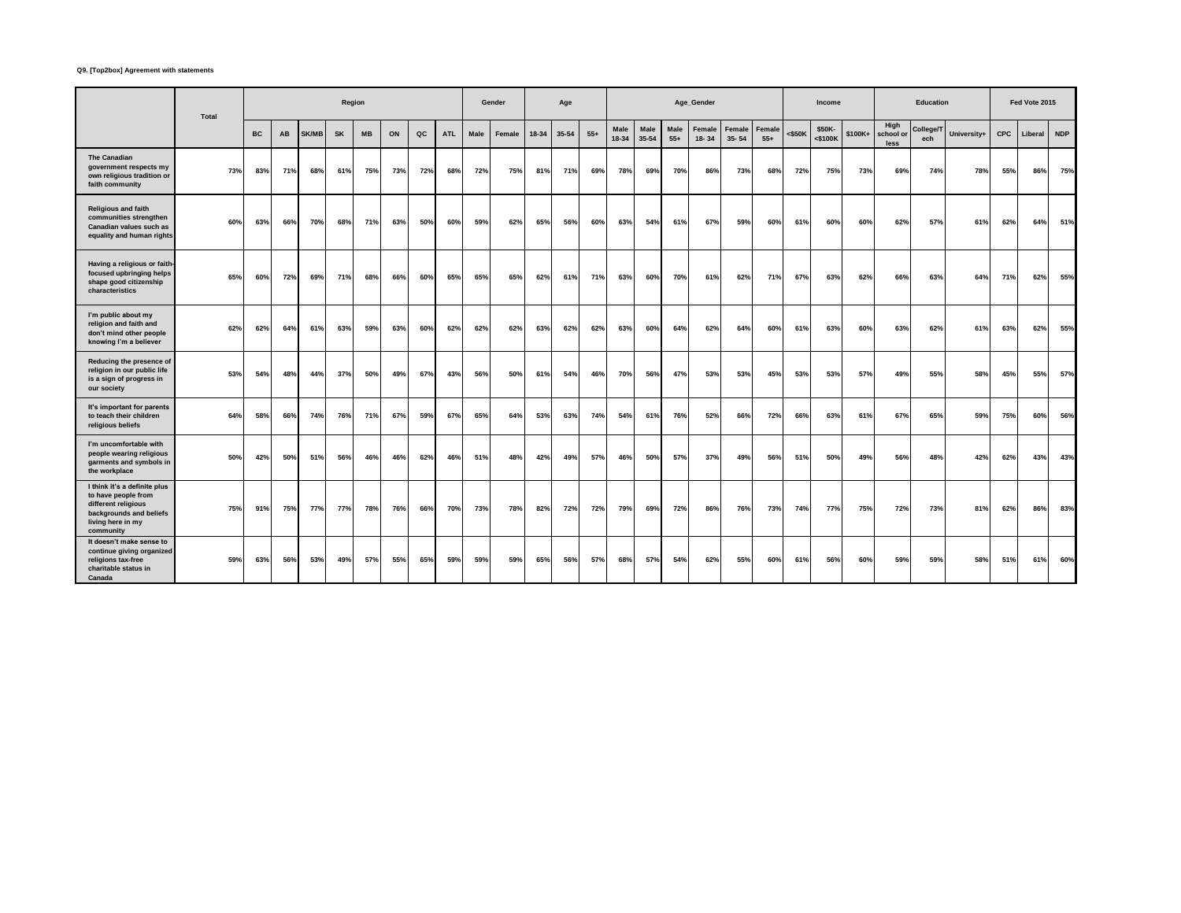## **Q9. [Top2box] Agreement with statements**

|                                                                                                                                         | Total |           |     |              | Region    |           |     |               |            |      | Gender |       | Age       |       |               |               |               | Age_Gender          |                     |                 |           | <b>Income</b>        |         |                           | <b>Education</b> |             |     | Fed Vote 2015 |            |
|-----------------------------------------------------------------------------------------------------------------------------------------|-------|-----------|-----|--------------|-----------|-----------|-----|---------------|------------|------|--------|-------|-----------|-------|---------------|---------------|---------------|---------------------|---------------------|-----------------|-----------|----------------------|---------|---------------------------|------------------|-------------|-----|---------------|------------|
|                                                                                                                                         |       | <b>BC</b> | AB  | <b>SK/MB</b> | <b>SK</b> | <b>MB</b> | ON  | $_{\alpha c}$ | <b>ATL</b> | Male | Female | 18-34 | $35 - 54$ | $55+$ | Male<br>18-34 | Male<br>35-54 | Male<br>$55+$ | Female<br>$18 - 34$ | Female<br>$35 - 54$ | Female<br>$55+$ | $<$ \$50K | \$50K-<br>$<$ \$100K | \$100K+ | High<br>school or<br>less | College/T<br>ech | University+ | CPC | Liberal       | <b>NDP</b> |
| <b>The Canadian</b><br>government respects my<br>own religious tradition or<br>faith community                                          | 73%   | 83%       | 71% | 68%          | 61%       | 75%       | 73% | 72%           | 68%        | 72%  | 75%    | 81%   | 71%       | 69%   | 78%           | 69%           | 70%           | 86%                 | 73%                 | 68%             | 72%       | 75%                  | 73%     | 69%                       | 74%              | 78%         | 55% | 86%           | 75%        |
| <b>Religious and faith</b><br>communities strengthen<br>Canadian values such as<br>equality and human rights                            | 60%   | 63%       | 66% | 70%          | 68%       | 71%       | 63% | 50%           | 60%        | 59%  | 62%    | 65%   | 56%       | 60%   | 63%           | 54%           | 61%           | 67%                 | 59%                 | 60%             | 61%       | 60%                  | 60%     | 62%                       | 57%              | 61%         | 62% | 64%           | 51%        |
| Having a religious or faith-<br>focused upbringing helps<br>shape good citizenship<br>characteristics                                   | 65%   | 60%       | 72% | 69%          | 71%       | 68%       | 66% | 60%           | 65%        | 65%  | 65%    | 62%   | 61%       | 71%   | 63%           | 60%           | 70%           | 61%                 | 62%                 | 71%             | 67%       | 63%                  | 62%     | 66%                       | 63%              | 64%         | 71% | 62%           | 55%        |
| I'm public about my<br>religion and faith and<br>don't mind other people<br>knowing I'm a believer                                      | 62%   | 62%       | 64% | 61%          | 63%       | 59%       | 63% | 60%           | 62%        | 62%  | 62%    | 63%   | 62%       | 62%   | 63%           | 60%           | 64%           | 62%                 | 64%                 | 60%             | 61%       | 63%                  | 60%     | 63%                       | 62%              | 61%         | 63% | 62%           | 55%        |
| Reducing the presence of<br>religion in our public life<br>is a sign of progress in<br>our society                                      | 53%   | 54%       | 48% | 44%          | 37%       | 50%       | 49% | 67%           | 43%        | 56%  | 50%    | 61%   | 54%       | 46%   | 70%           | 56%           | 47%           | 53%                 | 53%                 | 45%             | 53%       | 53%                  | 57%     | 49%                       | 55%              | 58%         | 45% | 55%           | 57%        |
| It's important for parents<br>to teach their children<br>religious beliefs                                                              | 64%   | 58%       | 66% | 74%          | 76%       | 71%       | 67% | 59%           | 67%        | 65%  | 64%    | 53%   | 63%       | 74%   | 54%           | 61%           | 76%           | 52%                 | 66%                 | 72%             | 66%       | 63%                  | 61%     | 67%                       | 65%              | 59%         | 75% | 60%           | 56%        |
| I'm uncomfortable with<br>people wearing religious<br>garments and symbols in<br>the workplace                                          | 50%   | 42%       | 50% | 51%          | 56%       | 46%       | 46% | 62%           | 46%        | 51%  | 48%    | 42%   | 49%       | 57%   | 46%           | 50%           | 57%           | 37%                 | 49%                 | 56%             | 51%       | 50%                  | 49%     | 56%                       | 48%              | 42%         | 62% | 43%           | 43%        |
| I think it's a definite plus<br>to have people from<br>different religious<br>backgrounds and beliefs<br>living here in my<br>community | 75%   | 91%       | 75% | 77%          | 77%       | 78%       | 76% | 66%           | 70%        | 73%  | 78%    | 82%   | 72%       | 72%   | 79%           | 69%           | 72%           | 86%                 | 76%                 | 73%             | 74%       | 77%                  | 75%     | 72%                       | 73%              | 81%         | 62% | 86%           | 83%        |
| It doesn't make sense to<br>continue giving organized<br>religions tax-free<br>charitable status in<br>Canada                           | 59%   | 63%       | 56% | 53%          | 49%       | 57%       | 55% | 65%           | 59%        | 59%  | 59%    | 65%   | 56%       | 57%   | 68%           | 57%           | 54%           | 62%                 | 55%                 | 60%             | 61%       | 56%                  | 60%     | 59%                       | 59%              | 58%         | 51% | 61%           | 60%        |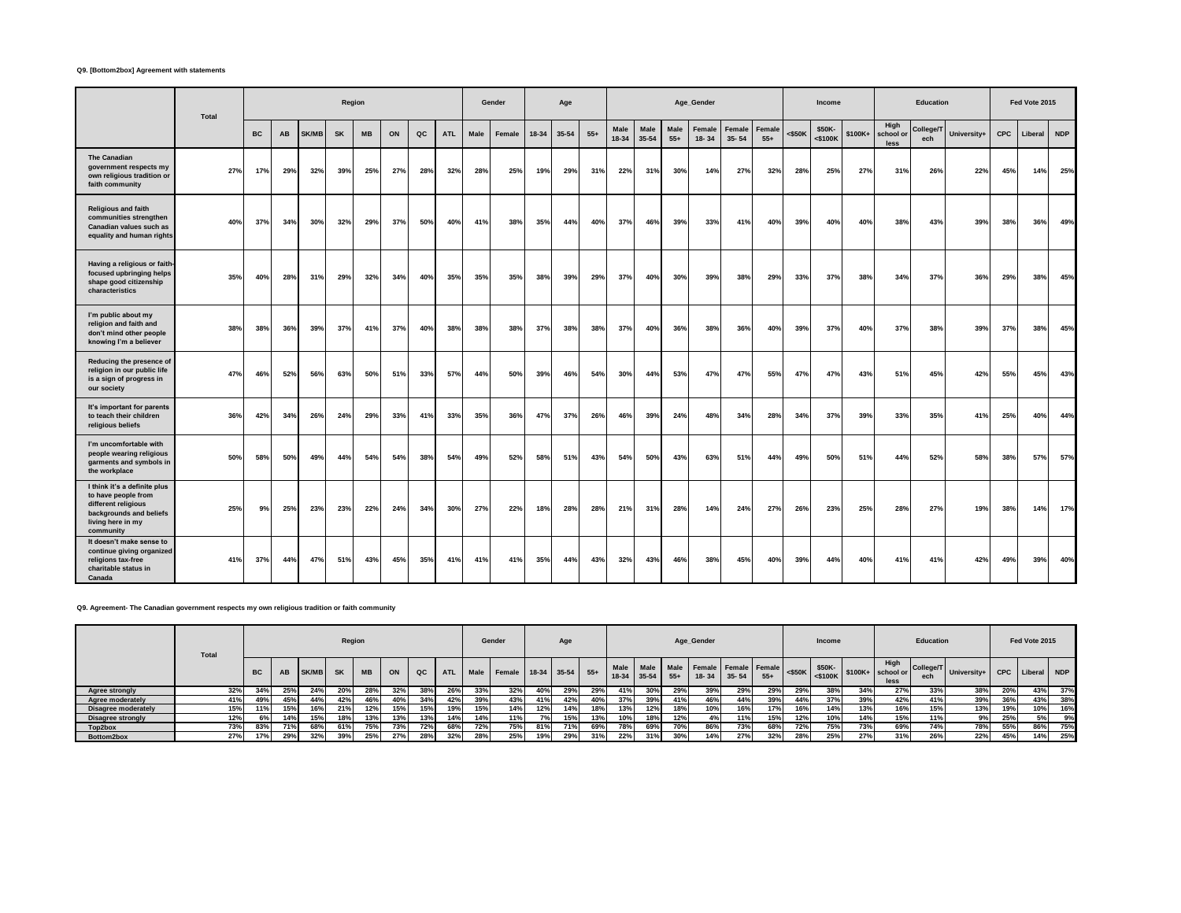## **Q9. [Bottom2box] Agreement with statements**

|                                                                                                                                         | Total |           |     |              | Region    |           |     |               |            |      | Gender |       | Age   |       |               |               |               | Age_Gender      |                     |                 |           | <b>Income</b>     |         |                           | <b>Education</b> |             |            | Fed Vote 2015 |            |
|-----------------------------------------------------------------------------------------------------------------------------------------|-------|-----------|-----|--------------|-----------|-----------|-----|---------------|------------|------|--------|-------|-------|-------|---------------|---------------|---------------|-----------------|---------------------|-----------------|-----------|-------------------|---------|---------------------------|------------------|-------------|------------|---------------|------------|
|                                                                                                                                         |       | <b>BC</b> | AB  | <b>SK/MB</b> | <b>SK</b> | <b>MB</b> | ON  | $_{\alpha c}$ | <b>ATL</b> | Male | Female | 18-34 | 35-54 | $55+$ | Male<br>18-34 | Male<br>35-54 | Male<br>$55+$ | Female<br>18-34 | Female<br>$35 - 54$ | Female<br>$55+$ | $<$ \$50K | \$50K-<br><\$100K | \$100K+ | High<br>school or<br>less | College/T<br>ech | University+ | <b>CPC</b> | Liberal       | <b>NDP</b> |
| <b>The Canadian</b><br>government respects my<br>own religious tradition or<br>faith community                                          | 27%   | 17%       | 29% | 32%          | 39%       | 25%       | 27% | 28%           | 32%        | 28%  | 25%    | 19%   | 29%   | 31%   | 22%           | 31%           | 30%           | 14%             | 27%                 | 32%             | 28%       | 25%               | 27%     | 31%                       | 26%              | 22%         | 45%        | 14%           | 25%        |
| <b>Religious and faith</b><br>communities strengthen<br>Canadian values such as<br>equality and human rights                            | 40%   | 37%       | 34% | 30%          | 32%       | 29%       | 37% | 50%           | 40%        | 41%  | 38%    | 35%   | 44%   | 40%   | 37%           | 46%           | 39%           | 33%             | 41%                 | 40%             | 39%       | 40%               | 40%     | 38%                       | 43%              | 39%         | 38%        | 36%           | 49%        |
| Having a religious or faith-<br>focused upbringing helps<br>shape good citizenship<br>characteristics                                   | 35%   | 40%       | 28% | 31%          | 29%       | 32%       | 34% | 40%           | 35%        | 35%  | 35%    | 38%   | 39%   | 29%   | 37%           | 40%           | 30%           | 39%             | 38%                 | 29%             | 33%       | 37%               | 38%     | 34%                       | 37%              | 36%         | 29%        | 38%           | 45%        |
| I'm public about my<br>religion and faith and<br>don't mind other people<br>knowing I'm a believer                                      | 38%   | 38%       | 36% | 39%          | 37%       | 41%       | 37% | 40%           | 38%        | 38%  | 38%    | 37%   | 38%   | 38%   | 37%           | 40%           | 36%           | 38%             | 36%                 | 40%             | 39%       | 37%               | 40%     | 37%                       | 38%              | 39%         | 37%        | 38%           | 45%        |
| Reducing the presence of<br>religion in our public life<br>is a sign of progress in<br>our society                                      | 47%   | 46%       | 52% | 56%          | 63%       | 50%       | 51% | 33%           | 57%        | 44%  | 50%    | 39%   | 46%   | 54%   | 30%           | 44%           | 53%           | 47%             | 47%                 | 55%             | 47%       | 47%               | 43%     | 51%                       | 45%              | 42%         | 55%        | 45%           | 43%        |
| It's important for parents<br>to teach their children<br>religious beliefs                                                              | 36%   | 42%       | 34% | 26%          | 24%       | 29%       | 33% | 41%           | 33%        | 35%  | 36%    | 47%   | 37%   | 26%   | 46%           | 39%           | 24%           | 48%             | 34%                 | 28%             | 34%       | 37%               | 39%     | 33%                       | 35%              | 41%         | 25%        | 40%           | 44%        |
| I'm uncomfortable with<br>people wearing religious<br>garments and symbols in<br>the workplace                                          | 50%   | 58%       | 50% | 49%          | 44%       | 54%       | 54% | 38%           | 54%        | 49%  | 52%    | 58%   | 51%   | 43%   | 54%           | 50%           | 43%           | 63%             | 51%                 | 44%             | 49%       | 50%               | 51%     | 44%                       | 52%              | 58%         | 38%        | 57%           | 57%        |
| I think it's a definite plus<br>to have people from<br>different religious<br>backgrounds and beliefs<br>living here in my<br>community | 25%   | 9%        | 25% | 23%          | 23%       | 22%       | 24% | 34%           | 30%        | 27%  | 22%    | 18%   | 28%   | 28%   | 21%           | 31%           | 28%           | 14%             | 24%                 | 27%             | 26%       | 23%               | 25%     | 28%                       | 27%              | 19%         | 38%        | 14%           | 17%        |
| It doesn't make sense to<br>continue giving organized<br>religions tax-free<br>charitable status in<br>Canada                           | 41%   | 37%       | 44% | 47%          | 51%       | 43%       | 45% | 35%           | 41%        | 41%  | 41%    | 35%   | 44%   | 43%   | 32%           | 43%           | 46%           | 38%             | 45%                 | 40%             | 39%       | 44%               | 40%     | 41%                       | 41%              | 42%         | 49%        | 39%           | 40%        |

**Q9. Agreement- The Canadian government respects my own religious tradition or faith community**

|                          | <b>Total</b> |           |     |       |           | Region    |     |     |            |      | Gender                 |     | Age |     |     |                          |                      | Age_Gender                        |           |       |           | Income |     |                                        | Education        |             |            | Fed Vote 2015 |     |
|--------------------------|--------------|-----------|-----|-------|-----------|-----------|-----|-----|------------|------|------------------------|-----|-----|-----|-----|--------------------------|----------------------|-----------------------------------|-----------|-------|-----------|--------|-----|----------------------------------------|------------------|-------------|------------|---------------|-----|
|                          |              | <b>BC</b> | AB  | SK/MB | <b>SK</b> | <b>MB</b> | ON  | QC  | <b>ATL</b> | Male | Female 18-34 35-54 55+ |     |     |     |     | Male Male<br>18-34 35-54 | <b>Male</b><br>$55+$ | Female Female Female<br>$18 - 34$ | $35 - 54$ | $55+$ | $<$ \$50K | \$50K- |     | High<br>S100K S100K+ school or<br>less | College/T<br>ech | University+ | <b>CPC</b> | Liberal NDP   |     |
| Agree strongly           | 32%          | 34%       | 25% | 24%   | 20%       | 28%       |     | 38% | 26%        | 33%  | 32%                    | 40% | 29% | 29% | 41% | 30%                      | 29%                  |                                   | 29%       | 29%   | 29%       | 38%    | 34% | 27%                                    | 33%              | 38%         | 20%        | 43%           | 37% |
| Agree moderately         | 41%          | 49%       | 45% | 44%   | 42%       | 46%       | 40% | 34% | 42%        | 39%  | 43%                    | 41% | 42% | 40% | 37% | 39%                      | 41%                  | 46%                               | 44%       | 39%   | 44%       | 37%    | 39% | 42%                                    | 41%              | 39%         | 36%        | 43%           | 38% |
| Disagree moderately      | 15%          | 11%       | 15% | 16%   | 21%       | 12%       | 15% |     | 19%        | 15%  | 14%                    | 12% | 14% | 18% | 13% | 12%                      | 18%                  | 10%                               | 16%       | 17%   | 16%       | 14%    | 13% | 16%                                    | 15%              | 13%         | 19%        |               | 16% |
| <b>Disagree strongly</b> | 12%          |           | 14% | 15%   | 18%       | 13%       | 13% |     | 14%        | 14%  | 11%                    | 7%  | 15% | 13% | 10% | 18%                      | 12%                  | 4%                                | 11%       | 15%   | 12%       | 10%    | 14% | 15%                                    | 11%              | 9%          | 25%        | 5%            | 9%  |
| Top2box                  | 73%          | 83%       | 71% | 68%   | 61%       | 75%       | 73% | 72% | 68%        | 72%  | 75%                    | 81% | 71% | 69% | 78% | 69%                      | 70%                  | 86%                               | 73%       | 68%   | 72%       | 75%    | 73% | 69%                                    | 74%              | 78%         | 55%        | 86%           | 75% |
| Bottom2box               | 27%          | 17%       | 29% | 32%   | 39%       | 25%       | 27% | 28% | 32%        | 28%  | 25%                    | 19% | 29% | 31% | 22% | 31%                      | 30%                  | 14%                               | 27%       | 32%   | 28%       | 25%    | 27% | 31%                                    | 26%              | 22%         | 45%        | 14%           | 25% |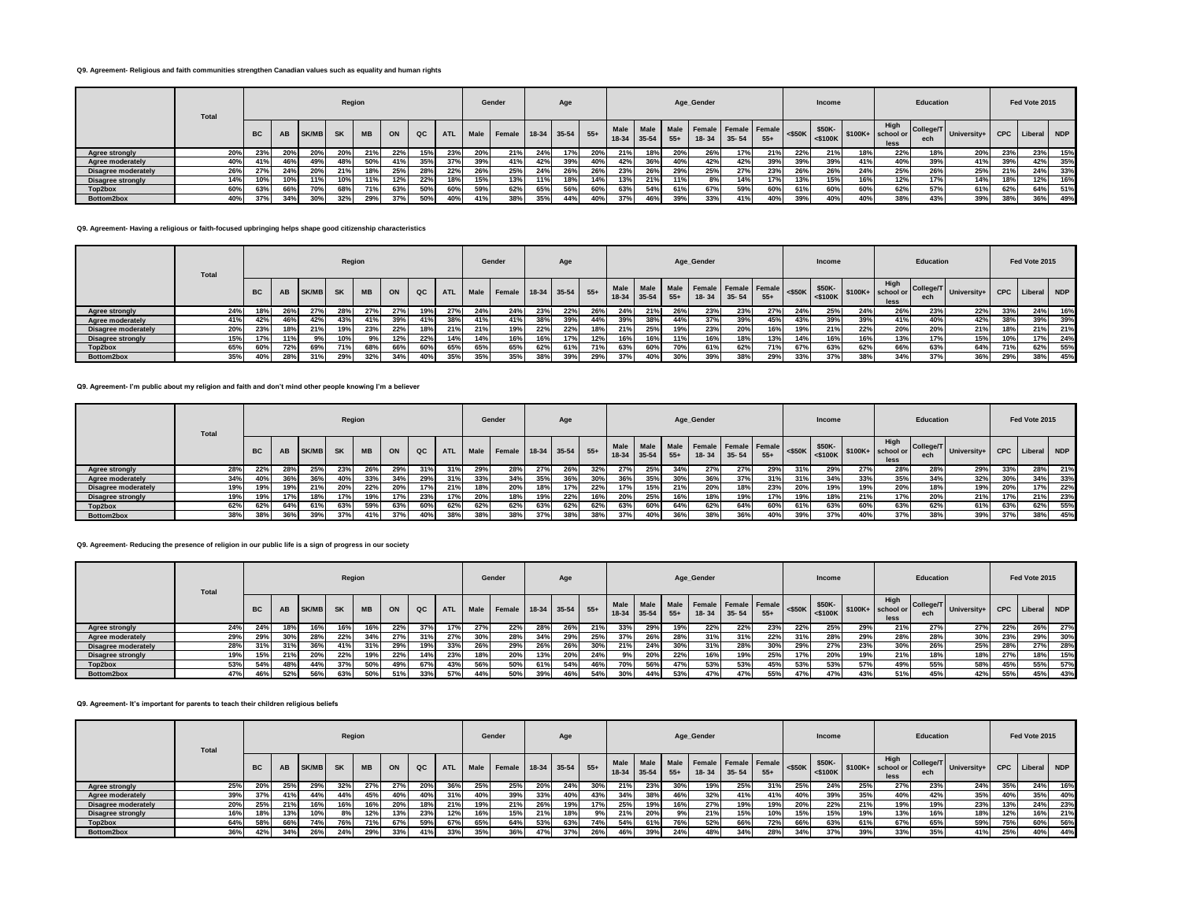## **Q9. Agreement- Religious and faith communities strengthen Canadian values such as equality and human rights**

|                            | <b>Total</b> |           |     |              | Region    |            |     |     |            |      | Gender             |     | Age |       |         |             |           | Age_Gender                        |           |       |     | Income |     |                                                                                                  | Education        |                         |     | Fed Vote 2015 |     |
|----------------------------|--------------|-----------|-----|--------------|-----------|------------|-----|-----|------------|------|--------------------|-----|-----|-------|---------|-------------|-----------|-----------------------------------|-----------|-------|-----|--------|-----|--------------------------------------------------------------------------------------------------|------------------|-------------------------|-----|---------------|-----|
|                            |              | <b>BC</b> | AB  | <b>SK/MB</b> | <b>SK</b> | <b>MB</b>  | ON  | QC  | <b>ATL</b> | Male | Female 18-34 35-54 |     |     | $55+$ | $18-34$ | $35-54$ 55+ | Male Male | Female Female Female<br>$18 - 34$ | $35 - 54$ | $55+$ |     | \$50K- |     | High<br>$\left  \begin{array}{c} 1.1116 \\ 2.5100 \end{array} \right $ \$100K+ school or<br>less | College/T<br>ech | University+ CPC Liberal |     |               | NDP |
| Agree strongly             | 20%          | 237       | 20% | 20%          | -20%      | <b>21%</b> | 22% | 15% | 23%        |      | 21%                | 24% | 17% | 20%   | 21%     | 18%         | 20%       | 26%                               | 17%       | 21%   | 22% | 21%    | 18% | 22%                                                                                              | 18%              | 20%                     | 23% | 23%           | 15% |
| Agree moderately           | 40%          |           | 46% | 49%          | 48%       | 50%        |     | 35% | 37%        | 39%  | 41%                | 42% | 39% | 40%   | 42%     | 36%         | 40%       | 42%                               | 42%       | 39%   | 39% | 39%    | 41% | 40%                                                                                              | 39%              | 41%                     | 39% | 42%           | 35% |
| <b>Disagree moderately</b> | 26%          | 27%       | 24% | 20%          | 21%       | 18%        | 25% | 28% | 22%        | 26%  | 25%                | 24% | 26% | 26%   | 23%     | 26%         | 29%       | 25%                               | 27%       | 23%   | 26% | 26%    | 24% | 25%                                                                                              | 26%              | 25%                     | 21% | 24%           | 33% |
| <b>Disagree strongly</b>   | 14%          | 10%       | 10% | 11%          | 10%       |            | 12% | 22% | 18%        | 15%  | 13%                | 11% | 18% | 14%   | 13%     | 21%         | 11%       | 8%                                | 14%       | 17%   | 13% | 15%    | 16% | 12%                                                                                              | 17%              | 14%                     | 18% | 12%           | 16% |
| Top2box                    | 60%          |           | 66% | 70%          | 68%       |            | 63% | 50% | 60%        | 59%  | 62%                | 65% | 56% | 60%   | 63%     | 54%         | 61%       | 67%                               | 59%       | 60%   | 61% | 60%    | 60% | 62%                                                                                              | 57%              | 61%                     | 62% | 64%           | 51% |
| Bottom2box                 | 40%          | 37%       | 34% | 30%          | 32%       | 29%        | 37% | 50% | 40%        | 41%  | 38%                | 35% | 44% | 40%   | 37%     | 46%         | 39%       | 33%                               | 41%       | 40%   | 39% | 40%    | 40% | 38%                                                                                              | 43%              | 39%                     | 38% | 36%           | 49% |

#### **Q9. Agreement- Having a religious or faith-focused upbringing helps shape good citizenship characteristics**

|                            | Total |           |           |              | Region    |           |     |     |            |      | Gender                 |     | Age |     |     |                          |               | Age_Gender                        |           |       |     | Income |     |              | Education |                         |            | Fed Vote 2015 |       |
|----------------------------|-------|-----------|-----------|--------------|-----------|-----------|-----|-----|------------|------|------------------------|-----|-----|-----|-----|--------------------------|---------------|-----------------------------------|-----------|-------|-----|--------|-----|--------------|-----------|-------------------------|------------|---------------|-------|
|                            |       | <b>BC</b> | <b>AB</b> | <b>SK/MB</b> | <b>SK</b> | <b>MB</b> | ON  | QC  | <b>ATL</b> | Male | Female 18-34 35-54 55+ |     |     |     |     | Male Male<br>18-34 35-54 | Male<br>$55+$ | Female Female Female<br>$18 - 34$ | $35 - 54$ | $55+$ |     | \$50K- |     | High<br>less | ech       | College/T University+ I | <b>CPC</b> | Liberal       | I NDP |
| Agree strongly             | 24%   |           | 26%       | 27%          | 28%       | 27%       | 27% |     | 27%        | 24%  | 24%                    | 23% | 22% | 26% | 24% | 21%                      | 26%           | 23%                               | 23%       | 27%   | 24% | 25%    | 24% | 26%          | 23%       | 22%                     | 33%        | 24%           | 16%   |
| Agree moderately           | 41%   | 42%       | 46%       | 42%          | 43%       |           | 39% | 41% | 38%        | 41%  | 41%                    | 38% | 39% | 44% | 39% | 38%                      | 44%           | 37%                               | 39%       | 45%   | 43% | 39%    | 39% | 41%          | 40%       | 42%                     | 38%        | 39%           | 39%   |
| <b>Disagree moderately</b> | 20%   | 23%       |           | 21%          | 19%       | 23%       | 22% |     | 21%        | 21%  | 19%                    | 22% | 22% | 18% | 21% | 25%                      | 19%           | 23%                               | 20%       | 16%   | 19% | 21%    | 22% | 20%          | 20%       | 21%                     | 18%        | 21%           | 21%   |
| <b>Disagree strongly</b>   | 15%   | 17%       | 11%       | 9%           | 10%       |           | 12% | 22% | 14%        | 14%  | 16%                    | 16% | 17% | 12% | 16% | 16%                      | 11%           | 16%                               | 18%       | 13%   | 14% | 16%    | 16% | 13%          | 17%       | 15%                     | 10%        |               | 24%   |
| Top2box                    | 65%   | 60%       | 72%       | 69%          | 71%       | 68%       | 66% | 60% | 65%        | 65%  | 65%                    | 62% | 61% | 71% | 63% | 60%                      | 70%           | 61%                               | 62%       | 71%   | 67% | 63%    | 62% | 66%          | 63%       | 64%                     | 71%        | 62%           | 55%   |
| Bottom2box                 | 35%   |           | 28%       | 31%          | 29%       | 32%       |     |     | 35%        | 35%  | 35%                    | 38% | 39% | 29% | 37% | 40%                      | 30%           | 39%                               | 38%       | 29%   | 33% | 37%    |     | 34%          | 37%       | 36%                     | 29%        | 38%           | 45%   |

## **Q9. Agreement- I'm public about my religion and faith and don't mind other people knowing I'm a believer**

|                            | <b>Total</b> |           |     |                 | Region    |           |     |     |            |      | Gender                 |     | Age |     |     |             |       | Age_Gender                                                   |           |       |     | Income |     |                                                                                                  | Education |                           |            | Fed Vote 2015 |     |
|----------------------------|--------------|-----------|-----|-----------------|-----------|-----------|-----|-----|------------|------|------------------------|-----|-----|-----|-----|-------------|-------|--------------------------------------------------------------|-----------|-------|-----|--------|-----|--------------------------------------------------------------------------------------------------|-----------|---------------------------|------------|---------------|-----|
|                            |              | <b>BC</b> | AB  | SK/MB           | <b>SK</b> | <b>MB</b> | ON  | QC  | <b>ATL</b> | Male | Female 18-34 35-54 55+ |     |     |     |     | 18-34 35-54 | $55+$ | Male   Male   Male   Female   Female   Female  <br>$18 - 34$ | $35 - 54$ | $55+$ |     | \$50K- |     | High<br>$\left  \begin{array}{c} 1.1116 \\ 2.5100 \end{array} \right $ \$100K+ school or<br>less | ech       | College/T University+   w | <b>CPC</b> | Liberal NDP   |     |
| Agree strongly             | 28%          | 22%       | 28% | 25%             | 23%       | 26%       | 29% |     | 31%        | 29%  | 28%                    | 27% | 26% | 32% | 27% | 25%         | 34%   | 27%                                                          | 27%       | 29%   | 31% | 29%    | 27% | 28%                                                                                              | 28%       | 29%                       | 33%        | 28%           | 21% |
| Agree moderately           | 34%          | 40%       | 36% | 36%             | 40%       | 33%       | 34% | 29% | 31%        | 33%  | 34%                    | 35% | 36% | 30% | 36% | 35%         | 30%   | 36%                                                          | 37%       | 31%   | 31% | 34%    | 33% | 35%                                                                                              | 34%       | 32%                       | 30%        | 34%           | 33% |
| <b>Disagree moderately</b> | 19%          | 19%       | 19% | 21%             | 20%       | 22%       | 20% |     | 21%        |      | 20%                    | 18% | 17% | 22% | 17% | 15%         | 21%   | 20%                                                          | 18%       | 23%   | 20% | 19%    | 19% | 20%                                                                                              | 18%       | 19%                       | 20%        | 17%           | 22% |
| <b>Disagree strongly</b>   | 19%          | 19%       |     | 18 <sup>°</sup> | 17%       | 19%       | 17% | 23% |            | 20%  | 18%                    | 19% | 22% | 16% | 20% | 25%         | 16%   | 18%                                                          | 19%       | 17%   | 19% | 18%    | 21% | 17%                                                                                              | 20%       | 21%                       | 17%        | 21%           | 23% |
| Top2box                    | 62%          | 62%       | 64% | 61%             | 63%       | 59%       | 63% | 60% | 62%        | 62%  | 62%                    | 63% | 62% | 62% | 63% | 60%         | 64%   | 62%                                                          | 64%       | 60%   | 61% | 63%    | 60% | 63%                                                                                              | 62%       | 61%                       | 63%        | 62%           | 55% |
| Bottom2box                 | 38%          | 38%       | 36% | 39%             | 37%       | 41%       | 37% | 40% | 38%        | 38%  | 38%                    | 37% | 38% | 38% | 37% | 40%         | 36%   | 38%                                                          | 36%       | 40%   | 39% | 37%    | 40% | 37%                                                                                              | 38%       | 39%                       | 37%        | 38%           | 45% |

## **Q9. Agreement- Reducing the presence of religion in our public life is a sign of progress in our society**

|                            | <b>Total</b> |           |     |              | Region    |           |     |               |            |      | Gender             |     | Age |       |                   |                          |       | Age_Gender                                   |     |       |           | Income               |     |                                    | Education        |             |      | Fed Vote 2015   |     |
|----------------------------|--------------|-----------|-----|--------------|-----------|-----------|-----|---------------|------------|------|--------------------|-----|-----|-------|-------------------|--------------------------|-------|----------------------------------------------|-----|-------|-----------|----------------------|-----|------------------------------------|------------------|-------------|------|-----------------|-----|
|                            |              | <b>BC</b> | AB  | <b>SK/MB</b> | <b>SK</b> | <b>MB</b> | ON  | $_{\alpha c}$ | <b>ATL</b> | Male | Female 18-34 35-54 |     |     | $55+$ | Male I<br>$18-34$ | <b>Male</b><br>$35 - 54$ | $55+$ | Male Female Female Female<br>$18 - 34$ 35-54 |     | $55+$ | $<$ \$50K | \$50K-<br>$<$ \$100K |     | High<br>$$100K+$ school or<br>less | College/T<br>ech | University+ |      | CPC Liberal NDP |     |
| Agree strongly             | 24%          | 24%       | 18% | 16%          | 16%       | 16%       | 22% | 37%           | 17%        | 27%  | 22%                | 28% | 26% | 21%   | 33%               | 29%                      | 19%   | 22%                                          | 22% | 23%   | 22%       | 25%                  | 29% | 21%                                | 27%              | 27%         | 22%  | 26%             | 27% |
| Agree moderately           | 29%          | 29%       | 30% | 28%          | 22%       |           | 27% | 31%           | 27%        | 30%  | 28%                | 34% | 29% | 25%   | 37%               | 26%                      | 28%   | 31%                                          | 31% | 22%   | 31%       | 28%                  | 29% | 28%                                | 28%              | 30%         | 23%  | 29%             | 30% |
| <b>Disagree moderately</b> | 28%          | 31%       | 31% | 36%          | 41%       |           | 29% | 19%           | 33%        | 26%  | 29%                | 26% | 26% | 30%   | 21%               | 24%                      | 30%   | 31%                                          | 28% | 30%   | 29%       | 27%                  | 23% | 30%                                | 26%              | 25%         |      | 27%             | 28% |
| <b>Disagree strongly</b>   | 19%          | 15%       | 21% | 20%          | 22%       | 19%       | 22% | 14%           | 23%        | 18%  | 20%                | 13% | 20% | 24%   | 9%                | 20%                      | 22%   | 16%                                          | 19% | 25%   | 17%       | 20%                  | 19% | 21%                                | 18%              | 18%         | 270/ | 18%             | 15% |
| Top2box                    | 53%          | 54%       | 48% | 44%          | 37%       | 50%       | 49% | 67%           | 43%        | 56%  | 50%                | 61% | 54% | 46%   | 70%               | 56%                      | 47%   | 53%                                          | 53% | 45%   | 53%       | 53%                  | 57% | 49%                                | 55%              | 58%         | 45%  | 55%             | 57% |
| Bottom2box                 | 47%          |           | 52% | 56%          | 63%       | 50%       | 51% | 33%           | 57%        | 44%  | 50%                | 39% | 46% | 54%   | 30%               | 44%                      | 53%   | 47%                                          |     | 55%   | 47%       | 47%                  | 43% | 51%                                | 45%              | 42%         | 55%  | 45%             | 43% |

**Q9. Agreement- It's important for parents to teach their children religious beliefs**

|                            | Total |           |           |       | Region    |           |     |     |     |      | Gender |     | Age             |     |     |             |       | Age_Gender                                       |           |       |           | Income |     |                                                                                                        | Education        |             |            | Fed Vote 2015 |     |
|----------------------------|-------|-----------|-----------|-------|-----------|-----------|-----|-----|-----|------|--------|-----|-----------------|-----|-----|-------------|-------|--------------------------------------------------|-----------|-------|-----------|--------|-----|--------------------------------------------------------------------------------------------------------|------------------|-------------|------------|---------------|-----|
|                            |       | <b>BC</b> | <b>AB</b> | SK/MB | <b>SK</b> | <b>MB</b> | ON  | QC  | ATL | Male | Female |     | 18-34 35-54 55+ |     |     | 18-34 35-54 | $55+$ | Male Male Male Female Female Female<br>$18 - 34$ | $35 - 54$ | $55+$ | $<$ \$50K | \$50K- |     | High<br>$-$ 50K $\left  \begin{array}{c} 25100 \text{K} \end{array} \right $ \$100K+ school or<br>less | College/T<br>ech | University+ | <b>CPC</b> | Liberal NDP   |     |
| Agree strongly             | 25%   |           | 25%       | 29%   | 32%       | 27%       | 27% |     |     | 25%  | 25%    | 20% | 24%             | 30% | 21% | 23%         | 30%   | 19%                                              | 25%       | 31%   | 25%       | 24%    | 25% | 27%                                                                                                    | 23%              | 24%         | 35%        | 24%           | 16% |
| Agree moderately           | 39%   | 37%       | 41%       | 44%   | 44%       | 45%       | 40% | 40% | 31% | 40%  | 39%    | 33% | 40%             | 43% | 34% | 38%         | 46%   | 32%                                              | 41%       | 41%   | 40%       | 39%    | 35% | 40%                                                                                                    | 42%              | 35%         | 40%        | 35%           | 40% |
| <b>Disagree moderately</b> | 20%   | 25%       | 21%       | 16%   | 16%       | 16%       | 20% | 18% | 21% | 19%  | 21%    | 26% | 19%             | 17% | 25% | 19%         | 16%   | 27%                                              | 19%       | 19%   | 20%       | 22%    | 21% | 19%                                                                                                    | 19%              | 23%         | 13%        | 24%           | 23% |
| <b>Disagree strongly</b>   | 16%   | 18%       | 13%       |       | 8%        | 12%       | 13% | 23% | 12% | 16%  | 15%    | 21% | 18%             | 9%  | 21% | 20%         | 9%    | 21%                                              | 15%       | 10%   | 15%       | 15%    | 19% | 13%                                                                                                    | 16%              | 18%         | 12%        | 16%           | 21% |
| Top2box                    | 64%   | 58%       | 66%       | 74%   | 76%       | 71%       | 67% | 59% | 67% | 65%  | 64%    | 53% | 63%             | 74% | 54% | 61%         | 76%   | 52%                                              | 66%       | 72%   | 66%       | 63%    | 61% |                                                                                                        | 65%              | 59%         | 75%        | 60%           | 56% |
| Bottom2box                 | 36%   | 42%       | 34%       | 26%   | 24%       | 29%       | 33% |     | 33% | 35%  | 36%    | 47% | 37%             | 26% | 46% | 39%         | 24%   | 48%                                              | 34%       | 28%   | 34%       | 37%    | 39% | 33%                                                                                                    | 35%              | 41%         | 25%        | 40%           | 44% |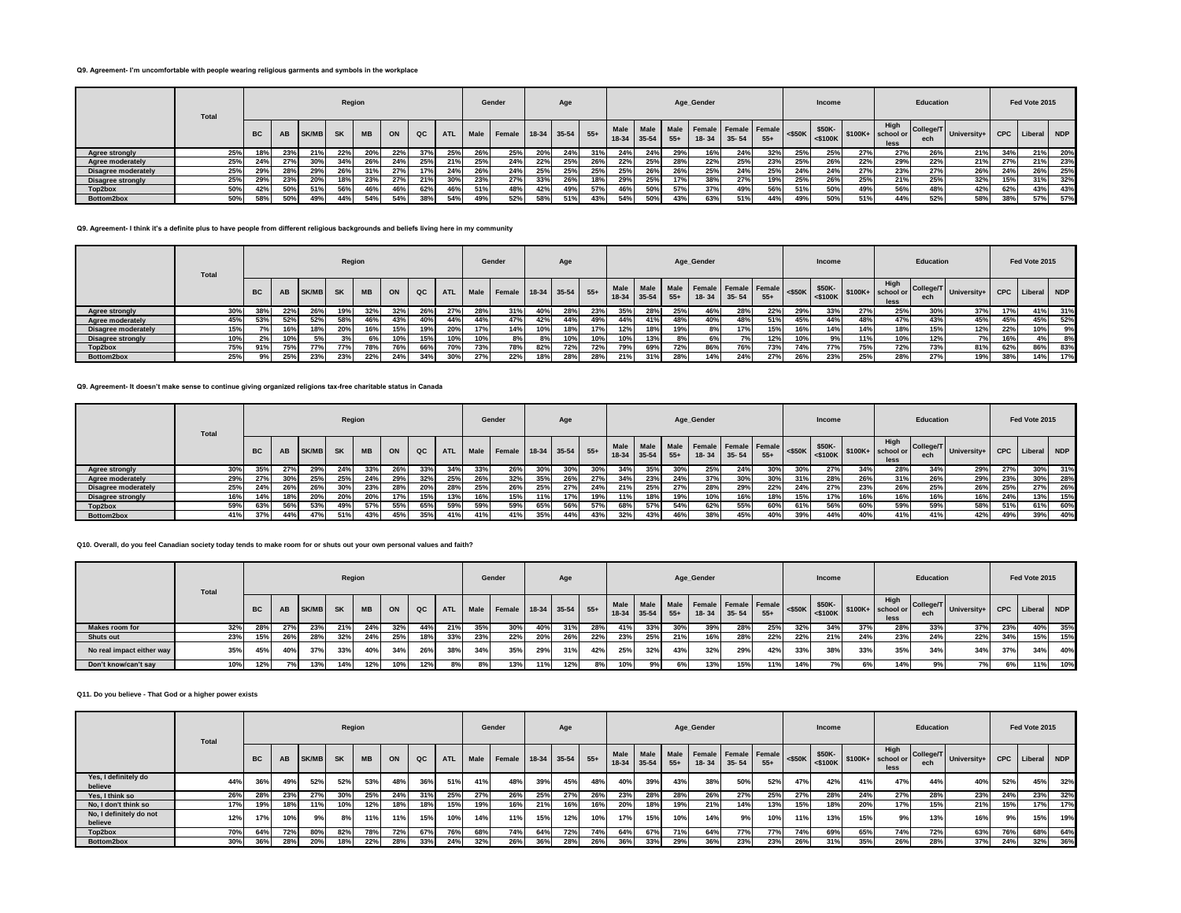## **Q9. Agreement- I'm uncomfortable with people wearing religious garments and symbols in the workplace**

|                            | Total |           |     |              | Region    |           |     |     |            |      | Gender             |     | Age |       |           |             |     | Age_Gender                                  |           |       |     | Income |     |                                                                                                  | Education        |                 |     | Fed Vote 2015 |     |
|----------------------------|-------|-----------|-----|--------------|-----------|-----------|-----|-----|------------|------|--------------------|-----|-----|-------|-----------|-------------|-----|---------------------------------------------|-----------|-------|-----|--------|-----|--------------------------------------------------------------------------------------------------|------------------|-----------------|-----|---------------|-----|
|                            |       | <b>BC</b> | AB  | <b>SK/MB</b> | <b>SK</b> | <b>MB</b> | ON  | QC  | <b>ATL</b> | Male | Female 18-34 35-54 |     |     | $55+$ | $18 - 34$ | $35-54$ 55+ |     | Male Male Female Female Female<br>$18 - 34$ | $35 - 54$ | $55+$ |     | \$50K- |     | High<br>$\left  \begin{array}{c} 1.1116 \\ 2.5100 \end{array} \right $ \$100K+ school or<br>less | College/T<br>ech | University+ CPC |     | Liberal       | NDP |
| Agree strongly             | 25%   |           | 23% | 21%          | 22%       |           | 22% | 37% | 25%        |      | 25%                | 20% | 24% | 31%   | 24%       | 24%         | 29% | 16%                                         | 24%       | 32%   | 25% | 25%    | 27% | 27%                                                                                              | 26%              | 21%             | 34% | 21%           | 20% |
| Agree moderately           | 25%   | 24%       | 27% | 30%          | 34%       | 26%       | 24% | 25% | 21%        | 25%  | 24%                | 22% | 25% | 26%   | 22%       | 25%         | 28% | 22%                                         | 25%       | 23%   | 25% | 26%    | 22% | 29%                                                                                              | 22%              | 21%             | 27% | 21%           | 23% |
| <b>Disagree moderately</b> | 25%   | 29%       | 28% | 29%          | 26%       |           | 27% | 17% | 24%        | 26%  | 24%                | 25% | 25% | 25%   | 25%       | 26%         | 26% | 25%                                         | 24%       | 25%   | 24% | 24%    | 27% | 23%                                                                                              | 27%              | 26%             | 24% | 26%           | 25% |
| Disagree strongly          | 25%   | 29%       | 23% | 20%          | 18%       | 23%       | 27% | 21% | 30%        | 23%  | 27%                | 33% | 26% | 18%   | 29%       | 25%         | 17% | 38%                                         | 27%       | 19%   | 25% | 26%    | 25% | 21%                                                                                              | 25%              | 32%             | 15% | 31%           | 32% |
| Top2box                    | 50%   |           | 50% | 51%          | 56%       | 46%       | 46% | 62% | 46%        | 51%  | 48%                | 42% | 49% | 57%   | 46%       | 50%         | 57% | 37%                                         | 49%       | 56%   | 51% | 50%    | 49% | 56%                                                                                              | 48%              | 42%             | 62% | 43%           | 43% |
| Bottom2box                 | 50%   |           | 50% | 49%          | 44%       | 54%       | 54% | 38% | 54%        |      | 52%                | 58% | 51% | 43%   | 54%       | 50%         | 43% | 63%                                         | 51%       | 44%   | 49% | 50%    | 51% | 44%                                                                                              | 52%              | 58%             | 38% | 57%           | 57% |

## **Q9. Agreement- I think it's a definite plus to have people from different religious backgrounds and beliefs living here in my community**

|                            | Total |           |                 |              | Region    |           |     |     |            |      | Gender                 |     | Age |     |     |                          |                      | Age_Gender                        |           |       |     | Income |     |              | Education |                         |            | Fed Vote 2015 |       |
|----------------------------|-------|-----------|-----------------|--------------|-----------|-----------|-----|-----|------------|------|------------------------|-----|-----|-----|-----|--------------------------|----------------------|-----------------------------------|-----------|-------|-----|--------|-----|--------------|-----------|-------------------------|------------|---------------|-------|
|                            |       | <b>BC</b> | AB              | <b>SK/MB</b> | <b>SK</b> | <b>MB</b> | ON  | QC  | <b>ATL</b> | Male | Female 18-34 35-54 55+ |     |     |     |     | Male Male<br>18-34 35-54 | <b>Male</b><br>$55+$ | Female Female Female<br>$18 - 34$ | $35 - 54$ | $55+$ |     | \$50K- |     | High<br>less | ech       | College/T University+ I | <b>CPC</b> | Liberal       | I NDP |
| Agree strongly             | 30%   | 38%       | 22%             | 26%          | 19%       |           | 32% | 26% | 27%        | 28%  | 31%                    | 40% | 28% | 23% | 35% | 28%                      | 25%                  | 46%                               | 28%       | 22%   | 29% | 33%    | 27% | 25%          | 30%       | 37%                     | 17%        | 41%           | 31%   |
| Agree moderately           | 45%   | 53%       | 52%             | 52%          | 58%       | 46%       | 43% | 40% | 44%        | 44%  | 47%                    | 42% | 44% | 49% | 44% | 41%                      | 48%                  | 40%                               | 48%       | 51%   | 45% | 44%    | 48% | 47%          | 43%       | 45%                     | 45%        | 45%           | 52%   |
| <b>Disagree moderately</b> | 15%   |           | 16 <sup>°</sup> | 18%          | 20%       | 16%       | 15% |     | 20%        | 17%  | 14%                    | 10% | 18% | 17% | 12% | 18%                      | 19%                  | 8%                                | 17%       | 15%   | 16% | 14%    | 14% | 18%          | 15%       | 12%                     | 22%        |               | 9%    |
| <b>Disagree strongly</b>   | 10%   |           | 10 <sup>°</sup> |              | 20I       | 6%        | 10% |     | 10%        | 10%  | 8%                     | 8%  | 10% | 10% | 10% | 13%                      | 8%                   |                                   | 7%        | 12%   | 10% | 9%     | 11% | 10%          | 12%       | 7%1                     | 16%        |               | 8%    |
| Top2box                    | 75%   | 91%       | 75%             | 77%          | 77%       | 78%       | 76% | 66% | 70%        | 73%  | 78%                    | 82% | 72% | 72% | 79% | 69%                      | 72%                  | 86%                               | 76%       | 73%   | 74% | 77%    | 75% | 72%          | 73%       | 81%                     | 62%        | 86%           | 83%   |
| Bottom2box                 | 25%   |           | 25%             | 23%          | 23%       | 22%       | 24% | 34% | 30%        | 27%  | 22%                    | 18% | 28% | 28% | 21% | 31%                      | 28%                  | 14%                               | 24%       | 27%   | 26% | 23%    | 25% | 28%          | 27%       | 19%                     | 38%        | 14%           | 17%   |

## **Q9. Agreement- It doesn't make sense to continue giving organized religions tax-free charitable status in Canada**

|                            | <b>Total</b> |           |     |              | Region    |           |     |     |            |      | Gender                 |     | Age |     |     |             |       | Age_Gender                                                   |           |       |     | Income |     |                                                                                                  | Education |                           |     | Fed Vote 2015 |     |
|----------------------------|--------------|-----------|-----|--------------|-----------|-----------|-----|-----|------------|------|------------------------|-----|-----|-----|-----|-------------|-------|--------------------------------------------------------------|-----------|-------|-----|--------|-----|--------------------------------------------------------------------------------------------------|-----------|---------------------------|-----|---------------|-----|
|                            |              | <b>BC</b> | AB  | <b>SK/MB</b> | <b>SK</b> | <b>MB</b> | ON  | QC  | <b>ATL</b> | Male | Female 18-34 35-54 55+ |     |     |     |     | 18-34 35-54 | $55+$ | Male   Male   Male   Female   Female   Female  <br>$18 - 34$ | $35 - 54$ | $55+$ |     | \$50K- |     | High<br>$\left  \begin{array}{c} 1.1116 \\ 2.5100 \end{array} \right $ \$100K+ school or<br>less | ech       | College/T University+   w | CPC | Liberal NDP   |     |
| Agree strongly             | 30%          | 35%       | 27% | 29%          | 24%       | 33%       | 26% | 33% | 34%        | 33%  | 26%                    | 30% | 30% | 30% | 34% | 35%         | 30%   | 25%                                                          | 24%       | 30%   | 30% | 27%    | 34% | 28%                                                                                              | 34%       | 29%                       | 27% | 30%           | 31% |
| Agree moderately           | 29%          | 27%       | 30% | 25%          | 25%       | 24%       | 29% | 32% | 25%        | 26%  | 32%                    | 35% | 26% | 27% | 34% | 23%         | 24%   | 37%                                                          | 30%       | 30%   | 31% | 28%    | 26% | 31%                                                                                              | 26%       | 29%                       | 23% | 30%           | 28% |
| <b>Disagree moderately</b> | 25%          | 24%       | 26% | 26%          | 30%       | 23%       | 28% | 20% | 28%        | 25%  | 26%                    | 25% | 27% | 24% | 21% | 25%         | 27%   | 28%                                                          | 29%       | 22%   | 24% | 27%    | 23% | 26%                                                                                              | 25%       | 26%                       | 25% | 27%           | 26% |
| <b>Disagree strongly</b>   | 16%          | 14%       | 18% | 20%          | 20%       | 20%       | 17% | 15% | 13%        |      | 15%                    | 11% | 17% | 19% | 11% | 18%         | 19%   |                                                              | 16%       | 18%   | 15% | 17%    | 16% | 16%                                                                                              | 16%       | 16%                       | 24% | 13%           | 15% |
| Top2box                    | 59%          | 63%       | 56% | 53%          | 49%       | 57%       | 55% | 65% | 59%        | 59%  | 59%                    | 65% | 56% | 57% | 68% | 57%         | 54%   | 62%                                                          | 55%       | 60%   | 61% | 56%    | 60% | 59%                                                                                              | 59%       | 58%                       | 51% | 61%           | 60% |
| Bottom2box                 | 41%          | 37%       | 44% | 47%          | 51%       | 43%       | 45% | 35% | 41%        | 41%  | 41%                    | 35% | 44% | 43% | 32% | 43%         | 46%   | 38%                                                          | 45%       | 40%   | 39% | 44%    | 40% | 41%                                                                                              | 41%       | 42%                       | 49% | 39%           | 40% |

#### **Q10. Overall, do you feel Canadian society today tends to make room for or shuts out your own personal values and faith?**

|                           | <b>Total</b> |           |     |              | Region    |           |     |     |            |      | Gender                 |     | Age |     |         |             |     | Age Gender |                   |                                |     | Income |     |                                                                                                               | Education        |                             |     | Fed Vote 2015 |     |
|---------------------------|--------------|-----------|-----|--------------|-----------|-----------|-----|-----|------------|------|------------------------|-----|-----|-----|---------|-------------|-----|------------|-------------------|--------------------------------|-----|--------|-----|---------------------------------------------------------------------------------------------------------------|------------------|-----------------------------|-----|---------------|-----|
|                           |              | <b>BC</b> | AB  | <b>SK/MB</b> | <b>SK</b> | <b>MB</b> | ON  | QC  | <b>ATL</b> | Male | Female 18-34 35-54 55+ |     |     |     | $18-34$ | $35-54$ 55+ |     |            | $18-34$ 35-54 55+ | Male Male Female Female Female |     | \$50K- |     | High<br>$\left  \begin{array}{c} \text{2550K} \\ \text{25100K} \end{array} \right $ \$100K+ school or<br>less | College/T<br>ech | University+ CPC Liberal NDP |     |               |     |
| <b>Makes room for</b>     | 32%          | 28%       | 27% | 23%          | 21%       | 24%       | 32% | 44% | 21%        | 35%  | 30%                    | 40% | 31% | 28% | 41%     | 33%         | 30% | 39%        | 28%               | 25%                            | 32% | 34%    | 37% | 28%                                                                                                           | 33%              | 37%                         | 23% | 40%           | 35% |
| <b>Shuts out</b>          | 23%          | 15%       | 26% | 28%          | 32%       | 24%       | 25% | 18% | 33%        | 23%  | 22%                    | 20% | 26% | 22% | 23%     | 25%         | 21% | 16%        | 28%               | 22%                            | 22% | 21%    | 24% | 23%                                                                                                           | 24%              | 22%                         | 34% | 15%           | 15% |
| No real impact either way | 35%          | 45%       | 40% | 37%          | 33%       | 40%       | 34% | 26% | 38%        | 34%  | 35%                    | 29% | 31% | 42% | 25%     | 32%         | 43% | 32%        | 29%               | 42%                            | 33% | 38%    | 33% | 35%                                                                                                           | 34%              | 34%                         | 37% | 34%           | 40% |
| Don't know/can't sav      | 10%          | 12%       |     | 13%          | 14%       | 12%       |     | 12% | 8%         |      | 13%                    | 11% | 12% | 8%  | 10%     | 9%          |     | 13%        | 15%               | 11%                            | 14% | 7%1    |     | 14%                                                                                                           | 9%1              |                             | 6%  | 11%           | 10% |

#### **Q11. Do you believe - That God or a higher power exists**

|                                    | <b>Total</b> |           |     |                 | Region          |           |     |     |            |      | Gender                 |     | Age |     |      |               |       | Age_Gender                                        |            |       |           | Income               |     |                                    | Education        |             |     | Fed Vote 2015   |     |
|------------------------------------|--------------|-----------|-----|-----------------|-----------------|-----------|-----|-----|------------|------|------------------------|-----|-----|-----|------|---------------|-------|---------------------------------------------------|------------|-------|-----------|----------------------|-----|------------------------------------|------------------|-------------|-----|-----------------|-----|
|                                    |              | <b>BC</b> | AB  | SK/MB           | <b>SK</b>       | <b>MB</b> | ON  | QC  | <b>ATL</b> | Male | Female 18-34 35-54 55+ |     |     |     | Male | $18-34$ 35-54 | $55+$ | Male   Male   Female   Female   Female  <br>18-34 | $-1$ 35-54 | $55+$ | $<$ \$50K | \$50K-<br>$<$ \$100K |     | High<br>$$100K+$ school or<br>less | College/T<br>ech | University+ |     | CPC Liberal NDP |     |
| Yes, I definitely do<br>believe    | 44%          | 36%       | 49% | 52%             | 52%             | 53%       | 48% | 36% | 51%        | 41%  | 48%                    | 39% | 45% | 48% | 40%  | 39%           | 43%   | 38%                                               | 50%        | 52%   | 47%       | 42%                  | 41% | 47%                                | 44%              | 40%         | 52% | 45%             | 32% |
| Yes. I think so                    | 26%          | 28%       | 23% | 27%             | 30 <sup>o</sup> | 25%       | 24% | 31% | 25%        | 27%  | 26%                    | 25% | 27% | 26% | 23%  | 28%           | 28%   | 26%                                               | 27%        | 25%   | 27%       | 28%                  | 24% | 27%                                | 28%              | 23%         | 24% | 23%             | 32% |
| No. I don't think so               | 17%          | 19%       | 18% | 11%             | 10%             | 12%       | 18% | 18% | 15%        | 19%  | 16%                    | 21% | 16% | 16% | 20%  | 18%           | 19%   | 21%                                               | 14%        | 13%   | 15%       | 18%                  | 20% | 17%                                | 15%              | 21%         | 15% | 17%             | 17% |
| No, I definitely do not<br>believe | 12%          | 17%       | 10% | 9%              | 8%              | 11%       | 11% | 15% | 10%        | 14%  | 11%                    | 15% | 12% | 10% | 17%  | 15%           | 10%   | 14%                                               | 9%         | 10%   | 11%       | 13%                  | 15% | 9%                                 | 13%              | 16%         | 9%  | 15%             | 19% |
| Top2box                            | 70%          | 64%       | 72% | 80 <sup>°</sup> | 82%             | 78%       | 72% | 67% | 76%        | 68%  | 74%                    | 64% | 72% | 74% | 64%  | 67%           | 71%   | 64%                                               | 77%        | 77%   | 74%       | 69%                  | 65% | 74%                                | 72%              | 63%         | 76% | 68%             | 64% |
| Bottom2box                         | 30%          | 36%       | 28% | <b>20%</b>      | 18%             | 22%       | 28% | 33% | 24%        | 32%  | 26%                    | 36% | 28% | 26% | 36%  | 33%           | 29%   | 36%                                               | 23%        | 23%   | 26%       | 31%                  | 35% | 26%                                | 28%              | 37%         | 24% | 32%             | 36% |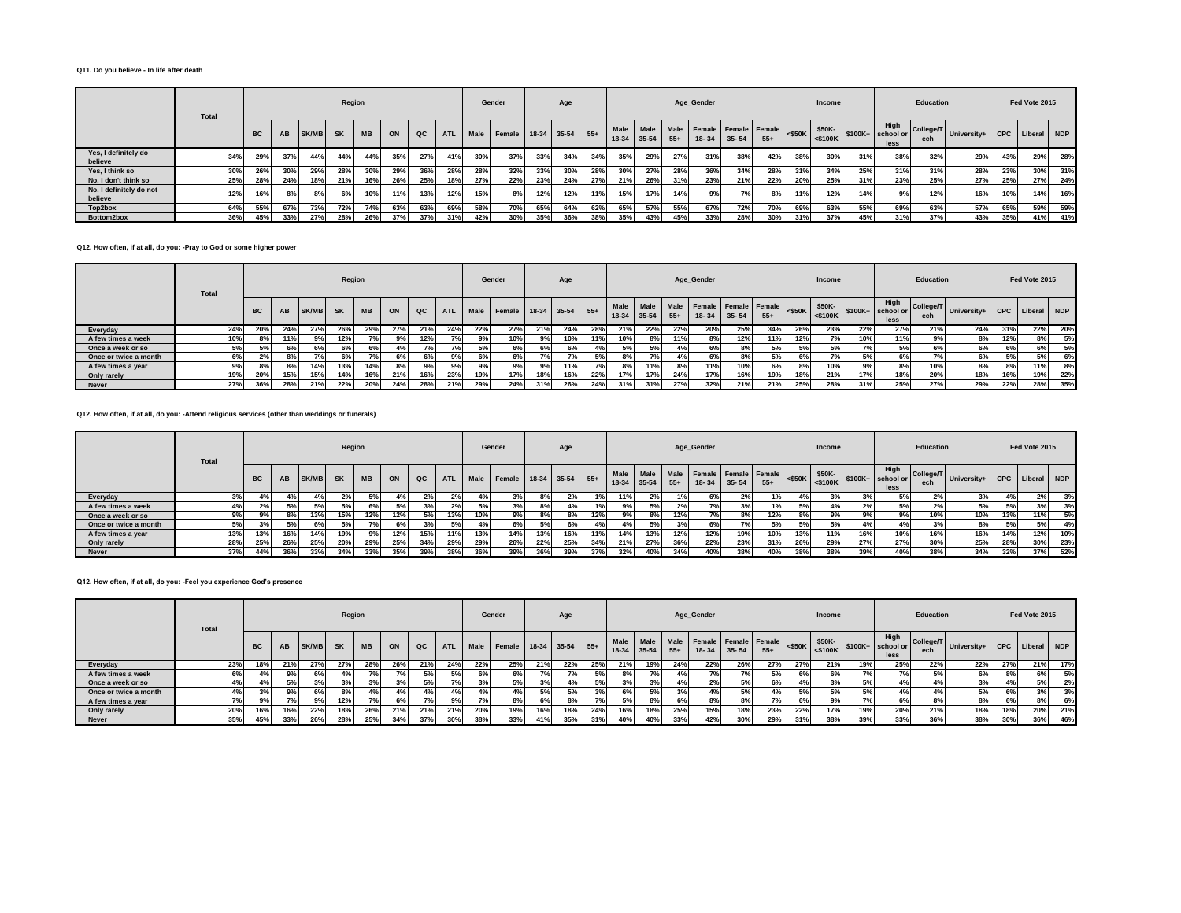#### **Q11. Do you believe - In life after death**

|                                    | Total |           |     |       | Region    |           |     |     |            |      | Gender                 |     | Age |     |     |                          |               | Age_Gender                        |           |       |     | Income |     |                                                                                                              | Education |                          |     | Fed Vote 2015   |     |
|------------------------------------|-------|-----------|-----|-------|-----------|-----------|-----|-----|------------|------|------------------------|-----|-----|-----|-----|--------------------------|---------------|-----------------------------------|-----------|-------|-----|--------|-----|--------------------------------------------------------------------------------------------------------------|-----------|--------------------------|-----|-----------------|-----|
|                                    |       | <b>BC</b> | AB  | SK/MB | <b>SK</b> | <b>MB</b> | ON  | QC  | <b>ATL</b> | Male | Female 18-34 35-54 55+ |     |     |     |     | Male Male<br>18-34 35-54 | Male<br>$55+$ | Female Female Female<br>$18 - 34$ | $35 - 54$ | $55+$ |     |        |     | High<br>$\left  \begin{array}{c} \text{S100K} \\ \text{S100K} \end{array} \right $ \$100K+ school or<br>less | ech       | College/T University+ Pr |     | CPC Liberal NDP |     |
| Yes, I definitely do<br>believe    | 34%   | 29%       | 37% | 44%   | 44%       | 44%       | 35% | 27% | 41%        | 30%  | 37%                    | 33% | 34% | 34% | 35% | 29%                      | 27%           | 31%                               | 38%       | 42%   | 38% | 30%    | 31% | 38%                                                                                                          | 32%       | 29%                      | 43% | 29%             | 28% |
| Yes. I think so                    | 30%   | 26%       | 30% | 29%   | 28%       | 30%       | 29% | 36% | 28%        | 28%  | 32%                    | 33% | 30% | 28% | 30% | 27%                      | 28%           | 36%                               | 34%       | 28%   | 31% | 34%    | 25% | 31%                                                                                                          | 31%       | 28%                      | 23% | 30%             | 31% |
| No. I don't think so               | 25%   | 28%       | 24% | 18%   | 21%       | 16%       | 26% | 25% | 18%        | 27%  | 22%                    | 23% | 24% | 27% | 21% | 26%                      | 31%           | 23%                               | 21%       | 22%   | 20% | 25%    | 31% | 23%                                                                                                          | 25%       | 27%                      | 25% | 27%             | 24% |
| No, I definitely do not<br>believe | 12%   |           | 8%  | 8%    | 6%        | 10%       | 11% | 13% | 12%        | 15%  | 8%                     | 12% | 12% | 11% | 15% | 17%                      | 14%           | 9%                                | 7%        | 8%    | 11% | 12%    | 14% | 9%                                                                                                           | 12%       | 16%                      | 10% | 14%             | 16% |
| Top2box                            | 64%   | 55%       | 67% | 73%   | 72%       | 74%       | 63% | 63% | 69%        | 58%  | 70%                    | 65% | 64% | 62% | 65% | 57%                      | 55%           | 67%                               | 72%       | 70%   | 69% | 63%    | 55% | 69%                                                                                                          | 63%       | 57%                      | 65% | 59%             | 59% |
| Bottom2box                         | 36%   | 45%       | 33% | 27%   | 28%       | 26%       | 37% | 37% | 31%        | 42%  | 30%                    | 35% | 36% | 38% | 35% | 43%                      | 45%           | 33%                               | 28%       | 30%   | 31% | 37%    | 45% | 31%                                                                                                          | 37%       | 43%                      | 35% | 41%             | 41% |

## **Q12. How often, if at all, do you: -Pray to God or some higher power**

|                       | Total |           |     |       | Region    |           |           |     |            |      | Gender |     | Age               |     |             |     |       | Age_Gender                                       |           |       |           | <b>Income</b> |     |                                                                            | Education |                         |            | Fed Vote 2015 |     |
|-----------------------|-------|-----------|-----|-------|-----------|-----------|-----------|-----|------------|------|--------|-----|-------------------|-----|-------------|-----|-------|--------------------------------------------------|-----------|-------|-----------|---------------|-----|----------------------------------------------------------------------------|-----------|-------------------------|------------|---------------|-----|
|                       |       | <b>BC</b> | AB  | SK/MB | <b>SK</b> | <b>MB</b> | ON        | QC  | <b>ATL</b> | Male | Female |     | $18-34$ 35-54 55+ |     | 18-34 35-54 |     | $55+$ | Male Male Male Female Female Female<br>$18 - 34$ | $35 - 54$ | $55+$ | $<$ \$50K | \$50K-        |     | High<br>$-$ 50K $\left  \frac{1}{5100K} \right $ \$100K+ school or<br>less | ech       | College/T University+ I | <b>CPC</b> | Liberal NDP   |     |
| Everyday              | 24%   | 20%       | 24% | 27%   | 26%       | 29%       | 27%       | 21% | 24%        | 22%  | 27%    | 21% | 24%               | 28% | 21%         | 22% | 22%   | 20%                                              | 25%       | 34%   | 26%       | 23%           | 22% | 27%                                                                        | 21%       | 24%                     | 31%        | 22%           | 20% |
| A few times a week    | 10%   |           |     |       | 12%       |           |           | 12% |            | 9%   | 10%    | 9%  | 10%               | 11% | 10%         | 8%  | 11%   |                                                  | 12%       | 11%   | 12%       | 7%            | 10% | 11%                                                                        | 9%        | 8%                      | 12%        | 8%            | 5%  |
| Once a week or so     | 5%    |           |     |       | 6%        |           |           |     |            |      | 6%     | 6%  |                   | 4%  | 5%          | 5%  | 4%    | 6%                                               | 8%        | 5%    | 5%        | 5% l          | 70/ |                                                                            | 6%        | 6%                      | 6%         | 6%            | 5%  |
| Once or twice a month | 6%    |           |     |       |           |           | 6%        | 6%  | 9%         | 6%   | 6%     | 7%  |                   | 5%  | 8%          | 7%  |       |                                                  | 8%        | 5%    | 6%        |               | 5%  |                                                                            |           | 6%                      | 5%         | 5%            | 6%  |
| A few times a vear    | 9%    |           |     | 14%   | 13%       | 14%       | $R^{0}/a$ | 9%  | 9%         | 9%   | 9%     | 9%  | 11%               |     | 8%          | 11% | 8%    | 11%                                              | 10%       | 6%    | 8%        | 10%           | 9%  | 8%                                                                         | 10%       | 8%                      | 8%         | 11%           | 8%  |
| Only rarely           | 19%   | 20%       | 15% | 15%   | 14%       | 16%       | 21%       | 16% | 23%        | 19%  | 17%    | 18% | 16%               | 22% | 17%         | 17% | 24%   | 17%                                              | 16%       | 19%   | 18%       | 21%           | 17% | 18%                                                                        | 20%       | 18%                     | 16%        | 19%           | 22% |
| <b>Never</b>          | 27%   | 36%       | 28% | 21%   | 22%       | 20%       | 24%       | 28% | 21%        | 29%  | 24%    | 31% | 26%               | 24% | 31%         | 31% | 27%   | 32%                                              | 21%       | 21%   | 25%       | 28%           | 31% | 25%                                                                        | 27%       | 29%                     | 22%        | 28%           | 35% |

# **Q12. How often, if at all, do you: -Attend religious services (other than weddings or funerals)**

|                       | Total | Region<br><b>BC</b><br><b>MB</b><br>AB<br>SK/MB<br><b>SK</b><br>ON<br>QC<br>$4\%$<br>12%<br>12%<br>13%<br><b>15%</b><br>5%<br>3%<br>5%<br>20/<br>6% |     |     |       |     |     |     |            |      | Gender                 |     | Age |     |        |                                |     | Age_Gender                        |           |       |                          | <b>Income</b>           |     |                                    | Education         |             |                | Fed Vote 2015 |     |
|-----------------------|-------|-----------------------------------------------------------------------------------------------------------------------------------------------------|-----|-----|-------|-----|-----|-----|------------|------|------------------------|-----|-----|-----|--------|--------------------------------|-----|-----------------------------------|-----------|-------|--------------------------|-------------------------|-----|------------------------------------|-------------------|-------------|----------------|---------------|-----|
|                       |       |                                                                                                                                                     |     |     |       |     |     |     | <b>ATL</b> | Male | Female 18-34 35-54 55+ |     |     |     | Male I | Male Male<br>$18-34$ 35-54 55+ |     | Female Female Female<br>$18 - 34$ | $35 - 54$ | $55+$ | $<$ \$50K $\blacksquare$ | \$50K-<br>$\leq$ \$100K |     | High<br>$$100K+$ school or<br>less | College/T<br>ech. | University+ | CPC            | Liberal NDP   |     |
| Everyday              | 3%    |                                                                                                                                                     |     |     |       |     |     |     |            |      | 3%                     | 8%  | 2%  | 1%  | 11%    | 2%                             | 1%  | 6%                                |           |       | 4%                       |                         |     | 5%1                                | 2%                | 3%          |                | 2%            | 3%  |
| A few times a week    | 4%    |                                                                                                                                                     |     |     |       |     |     |     |            | 5%   | 3%                     | 8%  | 4%  | 1%1 |        | 5%                             | 2%  |                                   |           |       |                          |                         |     |                                    |                   | 5%          | - -            |               | 3%  |
| Once a week or so     | 9%    |                                                                                                                                                     |     |     |       |     |     |     | 13%        |      | 9%                     | 8%  | 8%  | 12% | 9%     | 8%                             | 12% |                                   |           | 12%   | 8%                       | 9%                      |     | 9%1                                | 10%               | 10%         | 13%            | 11%           | 5%  |
| Once or twice a month | 5%    |                                                                                                                                                     |     |     |       |     |     |     | 5%         |      | 6%                     | 5%  | 6%  | 4%  | 4%     | 5%                             | 3%  |                                   |           | 5%    | 5%                       | 5% i                    |     | 4% I                               |                   | 8%          | E <sub>0</sub> | 5%            | 4%  |
| A few times a year    | 13%   | 13%                                                                                                                                                 | 16% | 14% | 19%   | 9%  | 12% | 15% | 11%        | 13%  | 14%                    | 13% | 16% | 11% | 14%    | 13%                            | 12% | 12%                               | 19%       | 10%   | 13%                      | 11%                     | 16% | 10%                                | 16%               | 16%         | 14%            | 12%           | 10% |
| Only rarely           | 28%   | 25%                                                                                                                                                 | 26% | 25% | - 20% | 29% | 25% | 34% | 29%        | 29%  | 26%                    | 22% | 25% | 34% | 21%    | 27%                            | 36% | 22%                               | 23%       | 31%   | 26%                      | 29%                     | 27% | 27%                                | 30%               | 25%         | 28%            | 30%           | 23% |
| <b>Never</b>          | 37%   | 44%                                                                                                                                                 | 36% | 33% | 34%   | 33% | 35% | 39% | 38%        | 36%  | 39%                    | 36% | 39% | 37% | 32%    | 40%                            | 34% | 40%                               | 38%       | 40%   | 38%                      | 38%                     | 39% | 40%                                | 38%               | 34%         | 32%            | 37%           | 52% |

## **Q12. How often, if at all, do you: -Feel you experience God's presence**

|                       | Total |           |           |              | Region    |           |     |     |            |      | Gender                 |     | Age |     |                          |     |               | Age_Gender                        |           |       |           | Income  |     |                                                                                                 | Education |                         |     | Fed Vote 2015   |     |
|-----------------------|-------|-----------|-----------|--------------|-----------|-----------|-----|-----|------------|------|------------------------|-----|-----|-----|--------------------------|-----|---------------|-----------------------------------|-----------|-------|-----------|---------|-----|-------------------------------------------------------------------------------------------------|-----------|-------------------------|-----|-----------------|-----|
|                       |       | <b>BC</b> | <b>AB</b> | <b>SK/MB</b> | <b>SK</b> | <b>MB</b> | ON  | QC  | <b>ATL</b> | Male | Female 18-34 35-54 55+ |     |     |     | Male Male<br>18-34 35-54 |     | Male<br>$55+$ | Female Female Female<br>$18 - 34$ | $35 - 54$ | $55+$ | $<$ \$50K | $$50K-$ |     | High<br>$-$ NOUK $\left  \begin{array}{c} -\$100K \end{array} \right $ S100K+ school or<br>less | ech       | College/T University+ I |     | CPC Liberal NDP |     |
| Everyday              | 23%   | 18%       | 21%       | 27%          | 27%       | 28%       | 26% | 21% | 24%        | 22%  | 25%                    | 21% | 22% | 25% | 21%                      | 19% | 24%           | 22%                               | 26%       | 27%   | 27%       | 21%     | 19% | 25%                                                                                             | 22%       | 22%                     | 27% | 21%             | 17% |
| A few times a week    | 6%    |           | 9%        | 6%           |           |           |     | 5%  |            | 6%   | 6%                     | 7%  | 7%  | 5%  | 8%                       | 7%  | 4%            |                                   | 7%        | 5%    | 6%        | 6%      |     | 7%                                                                                              | 5%        | 6%                      | 8%  | 6%              | 5%  |
| Once a week or so     | 4%    |           |           |              | 20I       |           |     | 5%  |            | 3%   | 5%                     | 3%  | 4%  | 5%  | 3%                       |     | 4%            | 2%                                | 5%        | 6%    | 4%        | 3%      | 5%  | 4%                                                                                              |           | 3%                      | 4%  |                 | 2%  |
| Once or twice a month | 4%    |           |           |              |           |           |     |     |            |      | 4%                     | 5%  | 5%  | 3%  | 6%                       | 5%  | 3%            | 4%                                | 5%        | 4%    | 5%        | 5%      | 5%  | 4%                                                                                              |           | 5%                      | 6%l |                 | 3%  |
| A few times a year    |       |           |           | 9%           | 12%       |           | 6%  |     | 9%1        |      | 8%                     | 6%  | 8%  | 7%  | 5%                       | 8%  | 6%            | 8%                                | 8%        | 7%    | 6%        | 9%      | 70/ | 6%                                                                                              | 8%        | 8%                      | 6%  |                 | 6%  |
| Only rarely           | 20%   | 16%       | 16%       | 22%          | 18%       | 26%       | 21% | 21% | 21%        | 20%  | 19%                    | 16% | 18% | 24% | 16%                      | 18% | 25%           | 15%                               | 18%       | 23%   | 22%       | 17%     | 19% | 20%                                                                                             | 21%       | 18%                     | 18% | 20%             | 21% |
| <b>Never</b>          | 35%   | 45%       | 33%       | 26%          | 28%       | 25%       | 34% | 37% | 30%        | 38%  | 33%                    | 41% | 35% | 31% | 40%                      | 40% | 33%           | 42%                               | 30%       | 29%   | 31%       | 38%     | 39% | 33%                                                                                             | 36%       | 38%                     | 30% | 36%             | 46% |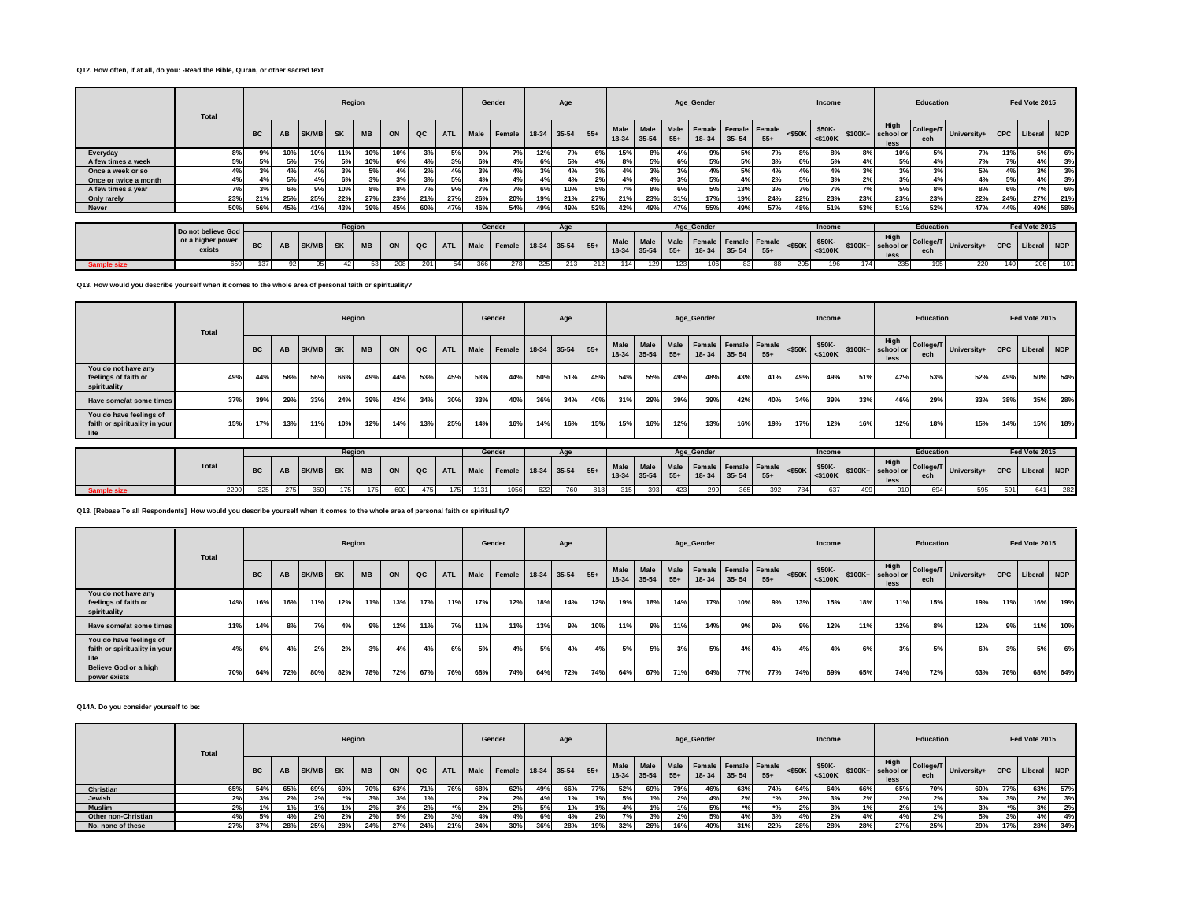## **Q12. How often, if at all, do you: -Read the Bible, Quran, or other sacred text**

|                       | Total                       |           |           |              | Region    |           |     |     |            |      | Gender                 |     | Age |     |             |                          |               | Age_Gender |                                   |       |           | Income               |          |                                                      | Education |                         |     | Fed Vote 2015   |     |
|-----------------------|-----------------------------|-----------|-----------|--------------|-----------|-----------|-----|-----|------------|------|------------------------|-----|-----|-----|-------------|--------------------------|---------------|------------|-----------------------------------|-------|-----------|----------------------|----------|------------------------------------------------------|-----------|-------------------------|-----|-----------------|-----|
|                       |                             | <b>BC</b> | AB        | <b>SK/MB</b> | <b>SK</b> | <b>MB</b> | ON  | QC  | <b>ATL</b> | Male | Female 18-34 35-54 55+ |     |     |     | 18-34 35-54 | Male Male                | Male<br>$55+$ | $18 - 34$  | Female Female Female<br>$35 - 54$ | $55+$ | $<$ \$50K | \$50K-               |          | High<br>$\frac{1}{100}$ = \$100K + school or<br>less | ech       | College/T University+ I |     | CPC Liberal NDP |     |
| Everyday              | 8%                          | 99        |           | 10%          | 11%       | 10%       | 10% |     |            | 9%   | 7%                     | 12% |     | 6%  | 15%         | 8°                       | 4%            | 9%         | 5%                                | 7%    | 8%        | 8%                   | 8%       | 10%                                                  | 5%        | $\sim$                  | 11% |                 | 6%  |
| A few times a week    | 5%                          |           |           |              |           | 10%       |     |     | 30/        |      | 4%                     | 6%  | 5%  | 4%  | 8%          |                          | 6%            | 5%         | 5%                                | 3%    | 6%        | 5%                   | 4%       | 5%                                                   | 4%        | 7%                      | 7%  |                 | 3%  |
| Once a week or so     | 4%                          | 3%        |           |              |           |           |     | 2%  |            | 3%   | 4%                     |     | 4%  | 3%  | 4%          |                          | 3%            |            | 5%                                | 4%    | 4%        | 4%                   | 3%       | 3%                                                   | 3%        | 5%                      | 4%  |                 | 3%  |
| Once or twice a month | 4%                          |           | 5%        |              | 6%        | 20/       | 20/ | 3%  | 5%         |      | 4%                     | 4%  | 4%  | 2%  | 4%          | 4%                       | 3%            | 5%         | 4%                                | 2%    | 5%        | 3%                   | 2%       | 3%                                                   |           | 4%1                     | 5%  | 4%              | 3%  |
| A few times a year    | 7%                          | 3%        | 69        | 9%           | 10%       | 8%        | 8%  | 70/ | 9%         |      | 7%                     | 6%  | 10% | 5%  | 7%          | 8%                       | 6%            | 5%         | 13%                               | 3%    | 7%        | 7%                   | 7%       | 5%                                                   | 8%        | 8%                      | 6%  | 7%              | 6%  |
| Only rarely           | 23%                         | 21%       | 25%       | 25%          | 22%       | 27%       | 23% | 21% | 27%        | 26%  | 20%                    | 19% | 21% | 27% | 21%         | 23%                      | 31%           | 17%        | 19%                               | 24%   | 22%       | 23%                  | 23%      | 23%                                                  | 23%       | 22%                     | 24% | 27%             | 21% |
| <b>Never</b>          | 50%                         | 56%       | 45%       | 41%          | 43%       | 39%       | 45% | 60% | 47%        | 46%  | 54%                    | 49% | 49% | 52% | 42%         | 49%                      | 47%           | 55%        | 49%                               | 57%   | 48%       | 51%                  | 53%      | 51%                                                  | 52%       | 47%                     | 44% | 49%             | 58% |
|                       |                             |           |           |              |           |           |     |     |            |      |                        |     |     |     |             |                          |               |            |                                   |       |           |                      |          |                                                      |           |                         |     |                 |     |
|                       | Do not believe God          |           |           |              | Region    |           |     |     |            |      | Gender                 |     | Age |     |             |                          |               | Age_Gender |                                   |       |           | Income               |          |                                                      | Education |                         |     | Fed Vote 2015   |     |
|                       | or a higher power<br>exists | <b>BC</b> | <b>AB</b> | SK/MB        | <b>SK</b> | <b>MB</b> | ON  | QC  | <b>ATL</b> | Male | Female 18-34 35-54 55+ |     |     |     |             | Male Male<br>18-34 35-54 | Male<br>$55+$ | $18 - 34$  | Female Female Female<br>$35 - 54$ | $55+$ | $<$ \$50K | \$50K-<br>$<$ \$100K | $$100K+$ | High<br>school or<br>less                            | ech       | College/T University+ I |     | CPC Liberal NDP |     |
| <b>Sample size</b>    | 650                         | 137       |           |              |           |           |     |     |            |      | 278                    | 225 | 213 | 212 | 114         | 129                      | 123           |            | 83                                | 88    | 205       | 196                  |          | 235                                                  | 195       | 220                     | 140 | 206             | 101 |

**Q13. How would you describe yourself when it comes to the whole area of personal faith or spirituality?**

|                                                                  | Total |                                               |     |              | Region    |           |     |     |            |      | Gender             |     | Age             |       |     |                          |               | Age_Gender |           |                               |           | Income               |          |                           | Education        |             |            | Fed Vote 2015 |                 |
|------------------------------------------------------------------|-------|-----------------------------------------------|-----|--------------|-----------|-----------|-----|-----|------------|------|--------------------|-----|-----------------|-------|-----|--------------------------|---------------|------------|-----------|-------------------------------|-----------|----------------------|----------|---------------------------|------------------|-------------|------------|---------------|-----------------|
|                                                                  |       | <b>BC</b>                                     | AB  | <b>SK/MB</b> | <b>SK</b> | <b>MB</b> | ON  | QC  | <b>ATL</b> | Male | Female             |     | 18-34 35-54 55+ |       |     | Male Male<br>18-34 35-54 | Male<br>$55+$ | 18-34      | $35 - 54$ | Female Female Female<br>$55+$ | $<$ \$50K | \$50K-<br>$<$ \$100K | $$100K+$ | High<br>school or<br>less | College/T<br>ech | University+ | <b>CPC</b> | Liberal NDP   |                 |
| You do not have any<br>feelings of faith or<br>spirituality      | 49%   | 56%<br>58%<br>66%<br>53%<br>49%<br>44%<br>44% |     |              |           |           |     |     | 45%        | 53%  | 44%                | 50% | 51%             | 45%   | 54% | 55%                      | 49%           | 48%        | 43%       | 41%                           | 49%       | 49%                  | 51%      | 42%                       | 53%              | 52%         | 49%        | 50%           | 54%             |
| Have some/at some times                                          | 37%   | 39%                                           | 29% | 33%          | 24%       | 39%       | 42% | 34% | 30%        | 33%  | 40%                | 36% | 34%             | 40%   | 31% | 29%                      | 39%           | 39%        | 42%       | 40%                           | 34%       | 39%                  | 33%      | 46%                       | 29%              | 33%         | 38%        | 35%           | 28%             |
| You do have feelings of<br>faith or spirituality in your<br>life | 15%   | 17%                                           | 13% | 11%          | 10%       | 12%       | 14% | 13% | 25%        | 14%  | 16%                | 14% | 16%             | 15%   | 15% | 16%                      | 12%           | 13%        | 16%       | 19%                           | 17%       | 12%                  | 16%      | 12%                       | 18%              | 15%         | 14%        | 15%           | 18%             |
|                                                                  |       |                                               |     |              | Region    |           |     |     |            |      | Gender             |     | Age             |       |     |                          |               | Age_Gender |           |                               |           | Income               |          |                           | <b>Education</b> |             |            | Fed Vote 2015 |                 |
|                                                                  | Total | <b>BC</b>                                     | AB  | <b>SK/MB</b> | <b>SK</b> | <b>MB</b> | ON  | QC  | <b>ATL</b> | Male | Female 18-34 35-54 |     |                 | $55+$ |     | Male Male<br>18-34 35-54 | Male<br>$55+$ | $18 - 34$  | $35 - 54$ | Female Female Female<br>$55+$ | $<$ \$50K | \$50K-<br>$<$ \$100K | $$100K+$ | High<br>school or<br>less | College/T<br>ech | University+ |            |               | CPC Liberal NDP |
| <b>Sample size</b>                                               | 2200  | 325                                           | 275 | 350          | 175       | 175       | 600 | 475 | 175        | 1131 | 1056               | 622 | 760             | 818   | 315 | 393                      | 423           | 299        | 365       | 392                           | 784       | 637                  | 499      | 910                       | 694              | 595         | 591        | 641           | 282             |

**Q13. [Rebase To all Respondents] How would you describe yourself when it comes to the whole area of personal faith or spirituality?**

|                                                                  | Total |           |     |       | Region    |           |     |     |            |      | Gender                 |     | Age |     |     |             |       | Age_Gender                                       |           |       |           | Income |     |                                                        | Education |                           |     | Fed Vote 2015   |     |
|------------------------------------------------------------------|-------|-----------|-----|-------|-----------|-----------|-----|-----|------------|------|------------------------|-----|-----|-----|-----|-------------|-------|--------------------------------------------------|-----------|-------|-----------|--------|-----|--------------------------------------------------------|-----------|---------------------------|-----|-----------------|-----|
|                                                                  |       | <b>BC</b> | AB  | SK/MB | <b>SK</b> | <b>MB</b> | ON  | QC  | <b>ATL</b> | Male | Female 18-34 35-54 55+ |     |     |     |     | 18-34 35-54 | $55+$ | Male Male Male Female Female Female<br>$18 - 34$ | $35 - 54$ | $55+$ | $<$ \$50K | \$50K- |     | High<br>$\sim$ S100K $\mid$ \$100K + school or<br>less | ech       | College/T University+   C |     | CPC Liberal NDP |     |
| You do not have any<br>feelings of faith or<br>spirituality      | 14%   | 16%       | 16% | 11%   | 12%       | 11%       | 13% | 17% | 11%        | 17%  | 12%                    | 18% | 14% | 12% | 19% | 18%         | 14%   | 17%                                              | 10%       | 9%    | 13%       | 15%    | 18% | 11%                                                    | 15%       | 19%                       | 11% | 16%             | 19% |
| Have some/at some times                                          | 11%   | 14%       |     | 7%    | 4%        | 9%        | 12% | 11% | 7%         | 11%  | 11%                    | 13% | 9%  | 10% | 11% | 9%          | 11%   | 14%                                              | 9%        | 9%    | 9%        | 12%    | 11% | 12%                                                    | 8%        | 12%                       | 9%  | 11%             | 10% |
| You do have feelings of<br>faith or spirituality in your<br>life | 4%    | 6%        | 4%  | 2%    | 2%        | 3%        | 4%  | 4%  | 6%         | 5%   | 4%                     | 5%  | 4%  | 4%  | 5%  | 5%          | 3%    | 5%                                               | 4%        | 4%    | 4%        | 4%     | 6%  | 3%                                                     | 5%        | 6%                        | 3%  | 5%              | 6%  |
| Believe God or a high<br>power exists                            | 70%   | 64%       | 72% | 80%   | 82%       | 78%       | 72% | 67% | 76%        | 68%  | 74%                    | 64% | 72% | 74% | 64% | 67%         | 71%   | 64%                                              | 77%       | 77%   | 74%       | 69%    | 65% | 74%                                                    | 72%       | 63%                       | 76% | 68%             | 64% |

#### **Q14A. Do you consider yourself to be:**

|                     | Total |           |     |              |           | Region    |     |     |            |      | Gender                 |     | Age |     |     |             |       | Age_Gender                                       |           |                  |     | Income |     |                                                                            | Education        |             |            | Fed Vote 2015 |     |
|---------------------|-------|-----------|-----|--------------|-----------|-----------|-----|-----|------------|------|------------------------|-----|-----|-----|-----|-------------|-------|--------------------------------------------------|-----------|------------------|-----|--------|-----|----------------------------------------------------------------------------|------------------|-------------|------------|---------------|-----|
|                     |       | <b>BC</b> | AB  | <b>SK/MB</b> | <b>SK</b> | <b>MB</b> | ON  | QC  | <b>ATL</b> | Male | Female 18-34 35-54 55+ |     |     |     |     | 18-34 35-54 | $55+$ | Male Male Male Female Female Female<br>$18 - 34$ | $35 - 54$ | $55+$            |     | \$50K- |     | High<br>$\left  \frac{1}{500 \text{ K}} \right $ \$100K+ school or<br>less | College/T<br>ech | University+ | <b>CPC</b> | Liberal NDP   |     |
| Christian           | 65%   | 54%       | 65% | 69%          | 69%       | 70%       | 63% | 71% | 76%        | 68%  | 62%                    | 49% | 66% | 77% | 52% | 69%         | 79%   | 46%                                              | 63%       | 74%              | 64% | 64%    | 66% | 65%                                                                        | 70%              | 60%         | 77%        | 63%           | 57% |
| Jewish              | $2\%$ |           |     |              |           |           |     |     |            |      | 2%                     | 4%  |     |     | 5%  | 1%          | 2%    |                                                  | 2%        |                  | 2%  |        |     |                                                                            |                  |             |            | 2%            | 3%  |
| <b>Muslim</b>       | 2%    |           |     |              |           |           |     |     |            | 2%   | 2%                     | 5%  |     |     | 4%  | 1%          | 1%    |                                                  | 30/       | $*$ <sub>0</sub> | 2%  | 3%     |     |                                                                            |                  | 3%          |            | 3%            | 2%  |
| Other non-Christian |       |           |     |              |           |           | 5%  |     |            |      | 4%                     | 6%  | 4%  | 2%  | 7%  | 3%          | 2%    |                                                  |           | n n              | 4%  |        |     |                                                                            |                  | 5%          |            | 4%            | 4%  |
| No, none of these   | 27%   | 37%       | 28% | 25%          | 28%       | 24%       | 27% | 24% | 21%        | 24%  | 30%                    | 36% | 28% | 19% | 32% | 26%         | 16%   |                                                  | 31%       | 22%              | 28% | 28%    | 28% | 27%                                                                        | 25%              | 29%         | 17%        | 28%           | 34% |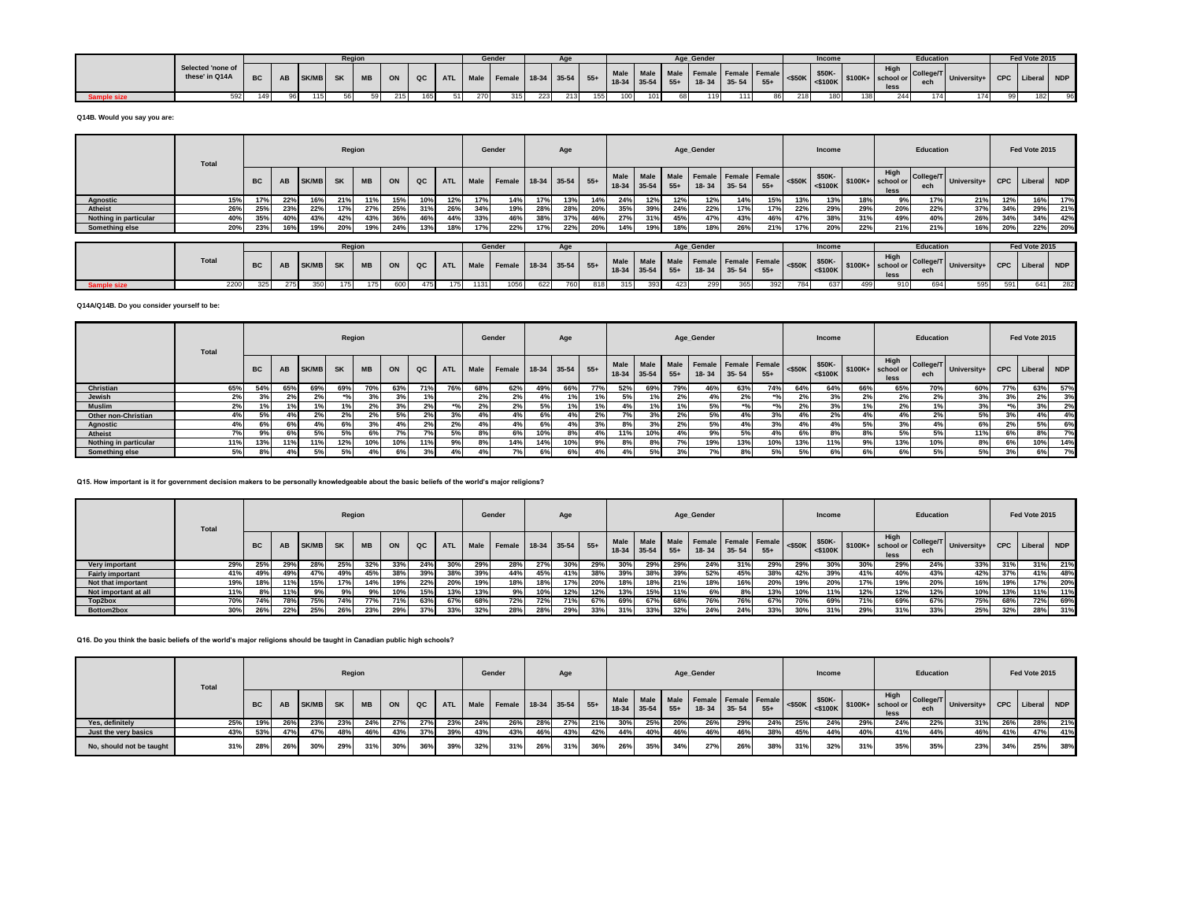|              |                                     |           |    |              | Regior    |    |       |     |     | Gender |     |     |     |      |     | Age Gender |       |     | Income |      | Education |                                                                                                                                                                                                                                                                                                                                                                                                                                                                                                                                             | Fed Vote 2015 |    |
|--------------|-------------------------------------|-----------|----|--------------|-----------|----|-------|-----|-----|--------|-----|-----|-----|------|-----|------------|-------|-----|--------|------|-----------|---------------------------------------------------------------------------------------------------------------------------------------------------------------------------------------------------------------------------------------------------------------------------------------------------------------------------------------------------------------------------------------------------------------------------------------------------------------------------------------------------------------------------------------------|---------------|----|
|              | Selected 'none of<br>these' in Q14A | <b>BC</b> | AB | <b>SK/MB</b> | <b>SK</b> |    | MB ON |     |     |        |     |     |     |      |     |            |       |     |        | less |           | $\left[\begin{array}{c c c c c} \operatorname{ATL} & \operatorname{Male} & \operatorname{Female} & \operatorname{18-34} & \operatorname{35-54} & \operatorname{55+} & \operatorname{Male} & \operatorname{Male} & \operatorname{Male} & \operatorname{Pemale} & \operatorname{Female} & \operatorname{65+} & \operatorname{48-34} & \operatorname{35-54} & \operatorname{55+} & \operatorname{18-34} & \operatorname{35-54} & \operatorname{55+} & \operatorname{18-34} & \operatorname{35-54} & \operatorname{55+} & \operatorname{55+} &$ |               |    |
| े ample size | 592                                 | 149       |    | 115          | 56        | 59 | 215   | 165 | 270 | 315    | 223 | 213 | 155 | 1011 | oŏ. |            | 111 เ | 218 | 180 I  | 244  | 174       | 74                                                                                                                                                                                                                                                                                                                                                                                                                                                                                                                                          | 182           | 96 |

**Q14B. Would you say you are:**

|                       | Total |           |     |                                                    | Region    |           |     |     |            |      | Gender             |     | Age |       |                 |                   |                      | Age_Gender                               |           |       |           | Income            |     |                                                        | Education        |             |     | Fed Vote 2015   |     |
|-----------------------|-------|-----------|-----|----------------------------------------------------|-----------|-----------|-----|-----|------------|------|--------------------|-----|-----|-------|-----------------|-------------------|----------------------|------------------------------------------|-----------|-------|-----------|-------------------|-----|--------------------------------------------------------|------------------|-------------|-----|-----------------|-----|
|                       |       | <b>BC</b> | AB  | ON<br><b>SK/MB</b><br><b>SK</b><br><b>MB</b><br>QC |           |           |     |     | <b>ATL</b> | Male | Female 18-34 35-54 |     |     | $55+$ | Male<br>$18-34$ | Male<br>35-54     | <b>Male</b><br>$55+$ | <b>Female Female Female</b><br>$18 - 34$ | $35 - 54$ | $55+$ | $<$ \$50K |                   |     | High<br>$\frac{$50K}{3100K}$ \$100K+ school or<br>less | College/T<br>ech | University+ |     | CPC Liberal NDP |     |
| <b>Agnostic</b>       | 15%   |           | 22% | 16%                                                | 21%       |           | 15% | 10% | 12%        | 17%  | 14%                | 17% | 13% | 14%   | 24%             | 12%               | 12%                  | 12%                                      | 14%       | 15%   | 13%       | 13%               | 18% | 9%                                                     | 17%              | 21%         | 12% | 16%             | 17% |
| Atheist               | 26%   | 25%       | 23% | 22%                                                | 17%       | 27%       | 25% | 31% | 26%        | 34%  | 19%                | 28% | 28% | 20%   | 35%             | 39%               | 24%                  | 22%                                      | 17%       | 17%   | 22%       | 29%               | 29% | 20%                                                    | 22%              | 37%         | 34% | 29%             | 21% |
| Nothing in particular | 40%   | 35%       | 40% | 43%                                                | 42%       |           | 36% | 46% | 44%        | 33%  | 46%                | 38% | 37% | 46%   | 27%             | 31%               | 45%                  | 47%                                      | 43%       | 46%   | 47%       | 38%               | 31% | 49%                                                    | 40%              | 26%         | 34% | 34%             | 42% |
| Something else        | 20%   | 23%       |     | 19%                                                | 20%       | 19%       | 24% | 13% |            | 17%  | 22%                | 17% | 22% | 20%   | 14%             | 19%               | 18%                  | 18%                                      | 26%       | 21%   | 17%       | 20%               | 22% | 21%                                                    | 21%              | 16%         |     | 22%             | 20% |
|                       |       |           |     |                                                    |           |           |     |     |            |      |                    |     |     |       |                 |                   |                      |                                          |           |       |           |                   |     |                                                        |                  |             |     |                 |     |
|                       |       |           |     |                                                    | Region    |           |     |     |            |      | Gender             |     | Age |       |                 |                   |                      | Age Gender                               |           |       |           | Income            |     |                                                        | Education        |             |     | Fed Vote 2015   |     |
|                       | Total | <b>BC</b> | AB  | <b>SK/MB</b>                                       | <b>SK</b> | <b>MB</b> | ON  | QC  | <b>ATL</b> | Male | Female 18-34 35-54 |     |     | $55+$ | Male<br>$18-34$ | Male<br>$35 - 54$ | Male<br>$55+$        | Female Female Female<br>$18 - 34$        | $35 - 54$ | $55+$ | $<$ \$50K | \$50K-<br><\$100K |     | High<br>\$100K+ school or<br>less                      | College/T<br>ech | University+ |     | CPC Liberal NDP |     |
| <b>Sample size</b>    | 2200  | 325       | 275 | 350                                                |           |           | 600 |     |            | 1131 | 1056               | 622 | 760 | 818   | 315             | 393               | 423                  | 299                                      | 365       | 392   | 784       | 637               | 499 | 910                                                    | 694              | 595         | 591 | 641             | 282 |

#### **Q14A/Q14B. Do you consider yourself to be:**

|                       | Total |           |      |              | Region    |           |     |     |            |      | Gender                 |     | Age |     |     |                          |               | Age_Gender                        |           |       |     | Income |     |                                                                                                              | Education |                         |     | Fed Vote 2015   |     |
|-----------------------|-------|-----------|------|--------------|-----------|-----------|-----|-----|------------|------|------------------------|-----|-----|-----|-----|--------------------------|---------------|-----------------------------------|-----------|-------|-----|--------|-----|--------------------------------------------------------------------------------------------------------------|-----------|-------------------------|-----|-----------------|-----|
|                       |       | <b>BC</b> | AB   | <b>SK/MB</b> | <b>SK</b> | <b>MB</b> | ON  | QC  | <b>ATL</b> | Male | Female 18-34 35-54 55+ |     |     |     |     | Male Male<br>18-34 35-54 | Male<br>$55+$ | Female Female Female<br>$18 - 34$ | $35 - 54$ | $55+$ |     |        |     | High<br>$\left  \begin{array}{c} \text{S100K} \\ \text{S100K} \end{array} \right $ \$100K+ school or<br>less | ech       | College/T University+ I |     | CPC Liberal NDP |     |
| Christian             | 65%   | 54%       | -65% | 69%          | 69%       | 70%       | 63% |     |            | 68%  | 62%                    | 49% | 66% | 77% | 52% | 69%                      | 79%           | 46%                               | 63%       | 74%   | 64% | 64%    | 66% | 65%                                                                                                          | 70%       | 60%                     | 77% | 63%             | 57% |
| Jewish                | 2%    |           |      | 2%           | 30I       | 20/       | 3%  |     |            | 2%   | 2%                     |     | 1%  | 1%  | 5%  |                          | 2%            | 4%                                | 2%        | 301   | 2%  | 3%     | 2%  | 2%                                                                                                           | 2%        | 3%                      | 3%  | 2%              | 3%  |
| <b>Muslim</b>         | 2%    |           |      |              |           |           |     | 2%  |            |      | 2%                     | 5%  |     | 1%  | 4%  |                          |               |                                   |           | 80    | 2%  | 3%     |     | 2%                                                                                                           |           | 3%                      |     |                 | 2%  |
| Other non-Christian   | 4%    | 5%        |      | 2%           | 2%        | 2%        | 5%  | 2%  | 3%         | 4%   | 4%                     | 6%  | 4%  | 2%  | 7%  | 3%                       | 2%            | 5%                                | 4%        | 3%    | 4%  | 2%     | 4%  | 4%                                                                                                           | 2%        | 5%                      | 3%  | 4%              | 4%  |
| Agnostic              | 4%    |           |      |              |           |           |     | 2%  | 20/        | 4% l | 4%                     | 6%  | 4%  | 3%  | 8%  | 3%                       | 2%            | 5%                                | 4%        | 3%    | 4%  | 4%     | 5%  | 3%                                                                                                           |           | 6%                      | 2%  | 5%              | 6%  |
| Atheist               | 7%1   | 9%        | 6%   |              | 5%        | 6%        |     | 70I |            | 8%   | 6%                     | 10% | 8%  | 4%  | 11% | 10%                      | 4%            | 9%                                | 5%        | 4%    | 6%  | 8%     | 8%  | 5%                                                                                                           | 5%        | 11%                     | 6%  |                 | 7%  |
| Nothing in particular | 11%   | 13%       | 11%  | 11%          | 12%       | 10%       | 10% |     | 9%         | 8%   | 14%                    | 14% | 10% | 9%  | 8%  | 8%                       | 7%            | 19%                               | 13%       | 10%   | 13% | 11%    | 9%  | 13%                                                                                                          | 10%       | 8%                      | 6%  |                 | 14% |
| Something else        | 5%    |           |      |              | 5%        | 4%        | 6%  | 3%  | 4%         |      | 7%1                    | 6%  | 6%  | 4%  | 4%  | 5%                       | 3%            |                                   | 8%        | 5%    | 5%  | 6%     | 6%  | 6%                                                                                                           | 5%        | 5%                      | 3%  |                 | 7%  |

# **Q15. How important is it for government decision makers to be personally knowledgeable about the basic beliefs of the world's major religions?**

|                         | <b>Total</b> |           |     |              | Region    |           |     |             |            |      | Gender             |     | Age |       |       |                 |                      | Age_Gender                        |           |       |     | Income |     |                                                       | Education        |             |     | Fed Vote 2015 |            |
|-------------------------|--------------|-----------|-----|--------------|-----------|-----------|-----|-------------|------------|------|--------------------|-----|-----|-------|-------|-----------------|----------------------|-----------------------------------|-----------|-------|-----|--------|-----|-------------------------------------------------------|------------------|-------------|-----|---------------|------------|
|                         |              | <b>BC</b> | AB  | <b>SK/MB</b> | <b>SK</b> | <b>MB</b> | ON  | $_{\alpha}$ | <b>ATL</b> | Male | Female 18-34 35-54 |     |     | $55+$ | 18-34 | Male<br>$35-54$ | <b>Male</b><br>$55+$ | Female Female Female<br>$18 - 34$ | $35 - 54$ | $55+$ |     | \$50K- |     | High<br>S100K   <\$100K   \$100K+   school or<br>less | College/T<br>ech | University+ | CPC | Liberal       | <b>NDP</b> |
| Very important          | 29%          | 25%       | 29% | 28%          | 25%       |           | 33% | 24%         | 30%        | 29%  | 28%                | 27% | 30% | 29%   | 30%   | 29%             | 29%                  | 24%                               | 31%       | 29%   | 29% | 30%    | 30% | 29%                                                   | 24%              | 33%         | 31% | 31%           | 21%        |
| <b>Fairly important</b> | 41%          |           | 49% | 47%          |           | 45%       | 38% | 39%         | 38%        | 39%  | 44%                | 45% | 41% | 38%   | 39%   | 38%             | 39%                  | 52%                               | 45%       | 38%   | 42% | 39%    | 41% | 40%                                                   | 43%              | 42%         | 37% | 41%           | 48%        |
| Not that important      | 19%          |           | 11% | 15%          | 17%       | 14%       | 19% | 22%         | 20%        | 19%  | 18%                | 18% | 17% | 20%   | 18%   | 18%             | 21%                  | 18%                               | 16%       | 20%   | 19% | 20%    | 17% | 19%                                                   | 20%              | 16%         | 19% | 17%           | 20%        |
| Not important at all    | 11%          |           | 11% | 9%           |           | 9%        |     | 15%         | 13%        | 13%  | 9%                 | 10% | 12% | 12%   | 13%   | 15%             | 11%                  | 6%                                | 8%        | 13%   | 10% | 11%    | 12% | 12%                                                   | 12%              | 10%         | 13% | 11%           | 11%        |
| Top2box                 | 70%          | 74%       | 78% | 75%          | 74%       | 77%       | 71% | 63%         | 67%        | 68%  | 72%                | 72% | 71% | 67%   | 69%   | 67%             | 68%                  | 76%                               | 76%       | 67%   | 70% | 69%    | 71% | 69%                                                   | 67%              | 75%         | 68% | 72%           | 69%        |
| Bottom2box              | 30%          |           | 22% | 25%          | 26%       | 23%       | 29% | 37%         | 33%        | 32%  | 28%                | 28% | 29% | 33%   | 31%   | 33%             | 32%                  | 24%                               | 24%       | 33%   | 30% | 31%    | 29% | 31%                                                   | 33%              | 25%         | 32% | 28%           | 31%        |

**Q16. Do you think the basic beliefs of the world's major religions should be taught in Canadian public high schools?**

|                          | <b>Total</b> |           |     |              |           | Region    |     |     |            |      | Gender             |     | Age |       |                        |             |     | Age Gender                     |                   |     |     | Income |     |                                                                                                      | Education |                                                     |     | Fed Vote 2015 |     |
|--------------------------|--------------|-----------|-----|--------------|-----------|-----------|-----|-----|------------|------|--------------------|-----|-----|-------|------------------------|-------------|-----|--------------------------------|-------------------|-----|-----|--------|-----|------------------------------------------------------------------------------------------------------|-----------|-----------------------------------------------------|-----|---------------|-----|
|                          |              | <b>BC</b> | AB  | <b>SK/MB</b> | <b>SK</b> | <b>MB</b> | ON  | QC  | <b>ATL</b> | Male | Female 18-34 35-54 |     |     | $55+$ | <b>Male</b><br>$18-34$ | $35-54$ 55+ |     | Male Male Female Female Female | $18-34$ 35-54 55+ |     |     | \$50K- |     | High<br>$\left  \right $ <\$50K $\left  \right $ <\$100K $\left $ \$100K $\right $ school or<br>less | ech       | $\frac{1}{2}$ College/T University+ CPC Liberal NDP |     |               |     |
| Yes. definitely          | 25%          | 19%       | 26% | 23%          | 23%       | 24%       | 27% | 27% | 23%        | 24%  | 26%                | 28% | 27% | 21%   | 30%                    | 25%         | 20% | 26%                            | 29%               | 24% | 25% | 24%    | 29% | 24%                                                                                                  | 22%       | 31%                                                 | 26% | 28%           | 21% |
| Just the very basics     | 43%          | 53%       | 47% | 47%          | 48%       | 46%       | 43% | 37% | 39%        | 43%  | 43%                | 46% | 43% | 42%   | 44%                    | 40%         | 46% | 46%                            | 46%               | 38% | 45% | 44%    | 40% | 41%                                                                                                  | 44%       | 46%                                                 | 41% | 47%           | 41% |
| No, should not be taught | 31%          | 28%       | 26% | 30%          | 29%       | 31%       | 30% | 36% | 39%        | 32%  | 31%                | 26% | 31% | 36%   | 26%                    | 35%         | 34% | 27%                            | 26%               | 38% | 31% | 32%    | 31% | 35%                                                                                                  | 35%       | 23%                                                 | 34% | 25%           | 38% |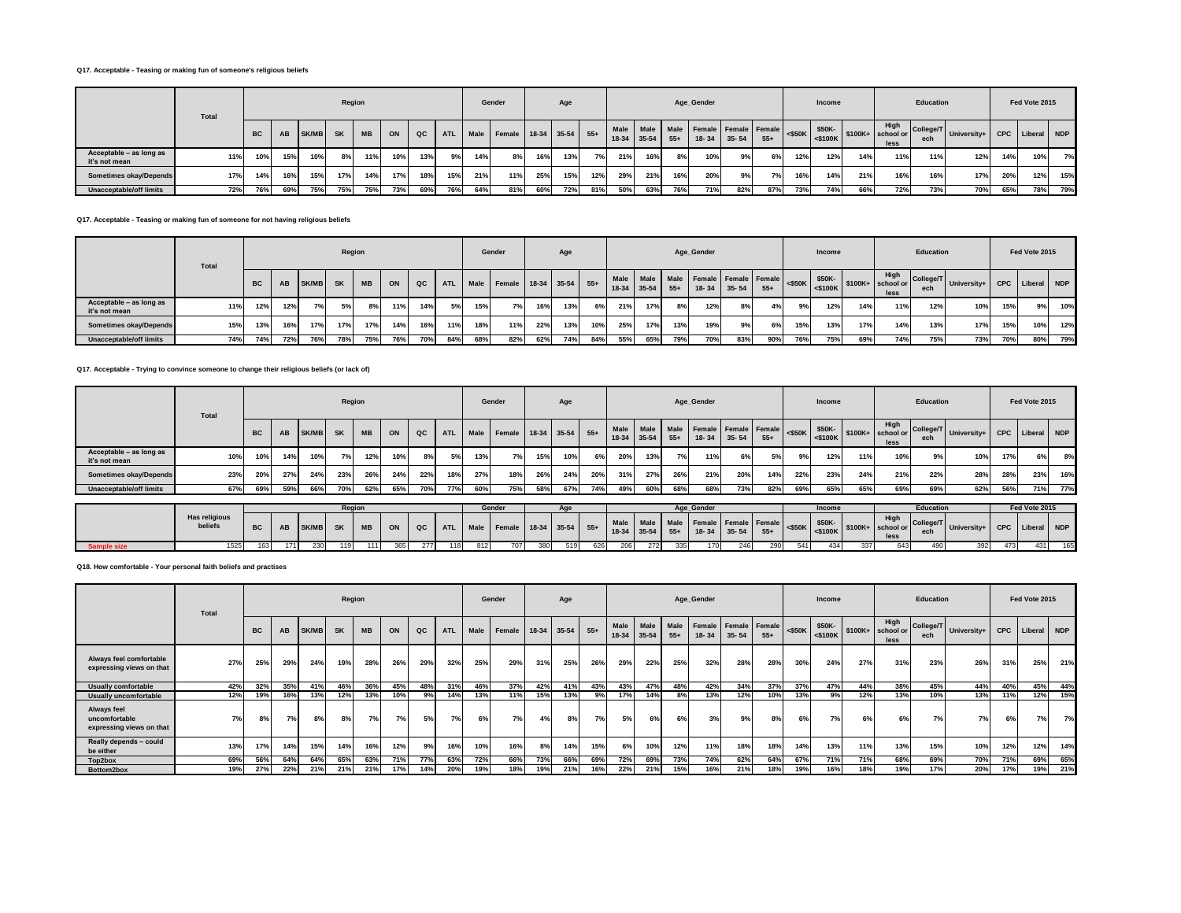## **Q17. Acceptable - Teasing or making fun of someone's religious beliefs**

|                                          | Total |           |     |              |           | Region    |     |     |            |      | Gender                 |     | Age |     |     |             |       | Age_Gender                                       |           |       |     | Income |     |                                                                   | Education        |                             |     | Fed Vote 2015 |     |
|------------------------------------------|-------|-----------|-----|--------------|-----------|-----------|-----|-----|------------|------|------------------------|-----|-----|-----|-----|-------------|-------|--------------------------------------------------|-----------|-------|-----|--------|-----|-------------------------------------------------------------------|------------------|-----------------------------|-----|---------------|-----|
|                                          |       | <b>BC</b> | AB  | <b>SK/MB</b> | <b>SK</b> | <b>MB</b> | ON  | QC  | <b>ATL</b> | Male | Female 18-34 35-54 55+ |     |     |     |     | 18-34 35-54 | $55+$ | Male Male Male Female Female Female<br>$18 - 34$ | $35 - 54$ | $55+$ |     | \$50K- |     | High<br>$ \cos \theta $ $ \sin \theta $ \$100K+ school or<br>less | College/T<br>ech | University+ CPC Liberal NDP |     |               |     |
| Acceptable - as long as<br>it's not mean | 11%   | 10%       | 15% | 10%          | 8%        | 11%       | 10% | 13% | 9%         | 14%  | 8%                     | 16% | 13% | 7%  | 21% | 16%         | 8%    | 10%                                              | 9%        | 6%    | 12% | 12%    | 14% | 11%                                                               | 11%              | 12%                         | 14% | 10%           | 7%  |
| Sometimes okay/Depends                   | 17%   | 14%       | 16% | 15%          | 17%       | 14%       | 17% | 18% | 15%        | 21%  | 11%                    | 25% | 15% | 12% | 29% | 21%         | 16%   | 20%                                              | 9%        | 7%    | 16% | 14%    | 21% | 16%                                                               | 16%              | 17%                         | 20% | 12%           | 15% |
| Unacceptable/off limits                  | 72%   | 76%       | 69% | 75%          | 75%       | 75%       | 73% | 69% | 76%        | 64%  | 81%                    | 60% | 72% | 81% | 50% | 63%         | 76%   | 71%                                              | 82%       | 87%   | 73% | 74%    | 66% | 72%                                                               | 73%              | 70%                         | 65% | 78%           | 79% |

## **Q17. Acceptable - Teasing or making fun of someone for not having religious beliefs**

|                                          | <b>Total</b> |           |     |              | Region    |           |     |     |            |      | Gender             |     | Age |       |                        |             |     | Age Gender                                  |           |       |     | Income |     |                                                                                                                                                                                                                                                                 | Education        |                             |     | Fed Vote 2015 |     |
|------------------------------------------|--------------|-----------|-----|--------------|-----------|-----------|-----|-----|------------|------|--------------------|-----|-----|-------|------------------------|-------------|-----|---------------------------------------------|-----------|-------|-----|--------|-----|-----------------------------------------------------------------------------------------------------------------------------------------------------------------------------------------------------------------------------------------------------------------|------------------|-----------------------------|-----|---------------|-----|
|                                          |              | <b>BC</b> | AB  | <b>SK/MB</b> | <b>SK</b> | <b>MB</b> | ON  | QC  | <b>ATL</b> | Male | Female 18-34 35-54 |     |     | $55+$ | <b>Male</b><br>$18-34$ | $35-54$ 55+ |     | Male Male Female Female Female<br>$18 - 34$ | $35 - 54$ | $55+$ |     | \$50K- |     | High<br>$ \left  \right $ <\$50K $ \left  \right $ \states \text{ \text{ \text{ \text{ \text{ \text{ \text{ \text{ \text{ \text{ \text{ \text{ \text{ \text{ \text{ \text{ \text{ \text{ \text{ \text{ \text{ \text{ \text{ \text{ \text{ \text{ \text{<br>less | College/T<br>ech | University+ CPC Liberal NDP |     |               |     |
| Acceptable - as long as<br>it's not mean | 11%          | 12%       | 12% | 7%           | 5%        | 8%        | 11% | 14% | 5%         | 15%  | 7%                 | 16% | 13% | 6%    | 21%                    | 17%         | 8%  | 12%                                         | 8%        | 4%    | 9%  | 12%    | 14% | 11%                                                                                                                                                                                                                                                             | 12%              | 10%                         | 15% | 9%            | 10% |
| Sometimes okay/Depends                   | 15%          | 13%       | 16% | 17%          | 17%       | 17%       | 14% | 16% | 11%        | 18%  | 11%                | 22% | 13% | 10%   | 25%                    | 17%         | 13% | 19%                                         | 9%        | 6%    | 15% | 13%    | 17% | 14%                                                                                                                                                                                                                                                             | 13%              | 17%                         | 15% | 10%           | 12% |
| Unacceptable/off limits                  | 74%          | 74%       | 72% | 76%          | 78%       | 75%       | 76% | 70% | 84%        | 68%  | 82%                | 62% | 74% | 84%   | 55%                    | 65%         | 79% | 70%                                         | 83%       | 90%   | 76% | 75%    | 69% | 74%                                                                                                                                                                                                                                                             | 75%              | 73%                         | 70% | 80%           | 79% |

## **Q17. Acceptable - Trying to convince someone to change their religious beliefs (or lack of)**

|                                          | Total |           |     |       | Region    |           |     |     |            |     | Gender                      |     | Age |     |     |               |       | Age_Gender                                    |               |       |     | Income             |     |                                                                                                                                                                                                                                                                                        | Education |                                    |     | Fed Vote 2015   |     |
|------------------------------------------|-------|-----------|-----|-------|-----------|-----------|-----|-----|------------|-----|-----------------------------|-----|-----|-----|-----|---------------|-------|-----------------------------------------------|---------------|-------|-----|--------------------|-----|----------------------------------------------------------------------------------------------------------------------------------------------------------------------------------------------------------------------------------------------------------------------------------------|-----------|------------------------------------|-----|-----------------|-----|
|                                          |       | <b>BC</b> | AB  | SK/MB | <b>SK</b> | <b>MB</b> | ON  | QC  | <b>ATL</b> |     | Male Female 18-34 35-54 55+ |     |     |     |     | $18-34$ 35-54 | $55+$ | Male   Male   Male   Female   Female   Female | $18-34$ 35-54 | $55+$ |     | $\frac{$50K}{400}$ |     | High<br>$\left  \begin{array}{c} \text{1.16} \\ \text{1.16} \\ \text{1.16} \end{array} \right $ \times \text{\statset} \text{\statset} \text{\statset} \text{\statset} \text{\statset} \text{\statset} \text{\statset} \text{\statset} \text{\statset} \text{\statset} \text{\<br>less | ech       | College/T University+   University |     | CPC Liberal NDP |     |
| Acceptable - as long as<br>it's not mean | 10%   | 10%       | 14% | 10%   | 7%        | 12%       | 10% | 8%1 | 5%         | 13% | 7%                          | 15% | 10% | 6%  | 20% | 13%           | 7%    | 11%                                           | 6%            | 5%    | 9%  | 12%                | 11% | 10%                                                                                                                                                                                                                                                                                    | 9%        | 10%                                | 17% | 6%              | 8%  |
| Sometimes okay/Depends                   | 23%   | 20%       | 27% | 24%   | 23%       | 26%       | 24% | 22% | 18%        | 27% | 18%                         | 26% | 24% | 20% | 31% | 27%           | 26%   | 21%                                           | 20%           | 14%   | 22% | 23%                | 24% | 21%                                                                                                                                                                                                                                                                                    | 22%       | 28%                                | 28% | 23%             | 16% |
| Unacceptable/off limits                  | 67%   | 69%       | 59% | 66%   | 70%       | 62%       | 65% | 70% | 77%        | 60% | 75%                         | 58% | 67% | 74% | 49% | 60%           | 68%   | 68%                                           | 73%           | 82%   | 69% | 65%                | 65% | 69%                                                                                                                                                                                                                                                                                    | 69%       | 62%                                | 56% | 71%             | 77% |

|                    |                                 |     |      |     | Reaio |     |     |     |     |     | Gender |     |     |     |      |     |     | Age Gender |     |     |     | Income |     |      | Education |                                                                                                                                                                                                                                                 |     | Fed Vote 2015 |     |
|--------------------|---------------------------------|-----|------|-----|-------|-----|-----|-----|-----|-----|--------|-----|-----|-----|------|-----|-----|------------|-----|-----|-----|--------|-----|------|-----------|-------------------------------------------------------------------------------------------------------------------------------------------------------------------------------------------------------------------------------------------------|-----|---------------|-----|
|                    | <b>Has religious</b><br>beliefs |     |      |     |       |     |     |     |     |     |        |     |     |     |      |     |     |            |     |     |     |        |     | less |           | AB SK/MB SK MB ON QC ATL Male Female 18-34 35-54 55+ Male Male Male Female Female Female Sank SSOK- \$50K- \$50K- \$50K- \$50K- \$100K+ SCOLL STOOK- \$50K- \$50K- \$50K- \$50K- \$50K- \$500K- \$500K- \$500K- \$500K- \$500K- \$500K- \$500K- |     |               |     |
| <b>Sample size</b> |                                 | 163 | 1711 | 230 |       | 111 | 365 | 277 | 118 | 812 | 707    | 380 | 519 | 626 | 2061 | 272 | 335 | 170        | 246 | 290 | 541 | 434    | 337 | 643  |           |                                                                                                                                                                                                                                                 | 473 | 431           | 165 |

**Q18. How comfortable - Your personal faith beliefs and practises**

|                                                                 | Total |           |     |       | Region    |           |     |               |            |      | Gender |     | Age         |       |      |                     |               | Age_Gender |           |                               |           | Income                  |     |                                    | <b>Education</b> |             |            | Fed Vote 2015 |            |
|-----------------------------------------------------------------|-------|-----------|-----|-------|-----------|-----------|-----|---------------|------------|------|--------|-----|-------------|-------|------|---------------------|---------------|------------|-----------|-------------------------------|-----------|-------------------------|-----|------------------------------------|------------------|-------------|------------|---------------|------------|
|                                                                 |       | <b>BC</b> | AB  | SK/MB | <b>SK</b> | <b>MB</b> | ON  | $_{\alpha c}$ | <b>ATL</b> | Male | Female |     | 18-34 35-54 | $55+$ | Male | Male<br>18-34 35-54 | Male<br>$55+$ | 18-34      | $35 - 54$ | Female Female Female<br>$55+$ | $<$ \$50K | \$50K-<br>$<$ \$100 $K$ |     | High<br>$$100K+$ school or<br>less | College/T<br>ech | University+ | <b>CPC</b> | Liberal       | <b>NDP</b> |
| Always feel comfortable<br>expressing views on that             | 27%   | 25%       | 29% | 24%   | 19%       | 28%       | 26% | 29%           | 32%        | 25%  | 29%    | 31% | 25%         | 26%   | 29%  | 22%                 | 25%           | 32%        | 28%       | 28%                           | 30%       | 24%                     | 27% | 31%                                | 23%              | 26%         | 31%        | 25%           | 21%        |
| <b>Usually comfortable</b>                                      | 42%   | 32%       | 35% | 41%   | 46%       | 36%       | 45% | 48%           | 31%        | 46%  | 37%    | 42% | 41%         | 43%   | 43%  | 47%                 | 48%           | 42%        | 34%       | 37%                           | 37%       | 47%                     | 44% | 38%                                | 45%              | 44%         | 40%        | 45%           | 44%        |
| <b>Usually uncomfortable</b>                                    | 12%   | 19%       | 16% | 13%   | 12%       | 13%       | 10% | 9%            | 14%        | 13%  | 11%    | 15% | 13%         | 9%    | 17%  | 14%                 | 8%            | 13%        | 12%       | 10%                           | 13%       | 9%                      | 12% | 13%                                | 10%              | 13%         | 11%        | 12%           | 15%        |
| <b>Always feel</b><br>uncomfortable<br>expressing views on that | 7%    | 8%        | 7%  | 8%    | 8%        | 7%        | 7%  | 5%            | 7%         | 6%   | 7%     | 4%  | 8%          | 7%    | 5%   | 6%                  | 6%            | 3%         | 9%        | 8%                            | 6%        | 7%                      | 6%  | 6%                                 | 7%               | 7%          | 6%         | 7%            | 7%         |
| Really depends - could<br>be either                             | 13%   | 17%       | 14% | 15%   | 14%       | 16%       | 12% | 9%            | 16%        | 10%  | 16%    | 8%  | 14%         | 15%   | 6%   | 10%                 | 12%           | 11%        | 18%       | 18%                           | 14%       | 13%                     | 11% | 13%                                | 15%              | 10%         | 12%        | 12%           | 14%        |
| Top2box                                                         | 69%   | 56%       | 64% | 64%   | 65%       | 63%       | 71% | 77%           | 63%        | 72%  | 66%    | 73% | 66%         | 69%   | 72%  | 69%                 | 73%           | 74%        | 62%       | 64%                           | 67%       | 71%                     | 71% | 68%                                | 69%              | 70%         | 71%        | 69%           | 65%        |
| Bottom2box                                                      | 19%   | 27%       | 22% | 21%   | 21%       | 21%       | 17% | 14%           | 20%        | 19%  | 18%    | 19% | 21%         | 16%   | 22%  | 21%                 | 15%           | 16%        | 21%       | 18%                           | 19%       | 16%                     | 18% | 19%                                | 17%              | 20%         | 17%        | 19%           | 21%        |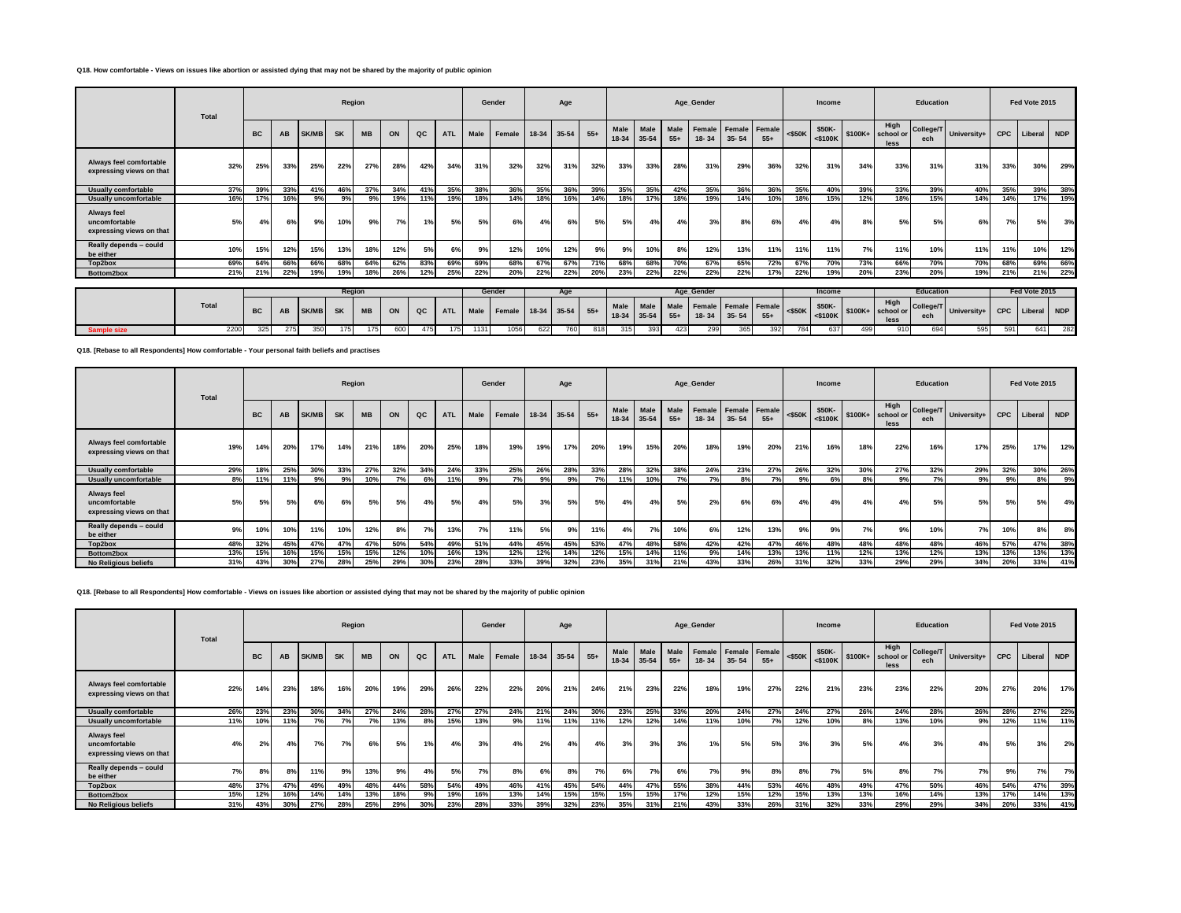## **Q18. How comfortable - Views on issues like abortion or assisted dying that may not be shared by the majority of public opinion**

|                                                          | Total |           |     |              | Region    |           |                 |     |            |      | Gender |       | Age         |       |               |                     |               | Age_Gender          |                     |                 |              | Income               |     |                                    | Education        |             |            | Fed Vote 2015 |     |
|----------------------------------------------------------|-------|-----------|-----|--------------|-----------|-----------|-----------------|-----|------------|------|--------|-------|-------------|-------|---------------|---------------------|---------------|---------------------|---------------------|-----------------|--------------|----------------------|-----|------------------------------------|------------------|-------------|------------|---------------|-----|
|                                                          |       | <b>BC</b> | AB  | <b>SK/MB</b> | <b>SK</b> | <b>MB</b> | ON              | QC  | <b>ATL</b> | Male | Female | 18-34 | 35-54       | $55+$ | Male<br>18-34 | Male<br>35-54       | Male<br>$55+$ | Female<br>$18 - 34$ | Female<br>$35 - 54$ | Female<br>$55+$ | $<$ \$50K    | \$50K-<br><\$100K    |     | High<br>$$100K+$ school or<br>less | College/T<br>ech | University+ | <b>CPC</b> | Liberal       | NDP |
| Always feel comfortable<br>expressing views on that      | 32%   | 25%       | 33% | 25%          | 22%       | 27%       | 28%             | 42% | 34%        | 31%  | 32%    | 32%   | 31%         | 32%   | 33%           | 33%                 | 28%           | 31%                 | 29%                 | 36%             | 32%          | 31%                  | 34% | 33%                                | 31%              | 31%         | 33%        | 30%           | 29% |
| <b>Usually comfortable</b>                               | 37%   | 39%       | 33% | 41%          | 46%       | 37%       | 34%             | 41% | 35%        | 38%  | 36%    | 35%   | 36%         | 39%   | 35%           | 35%                 | 42%           | 35%                 | 36%                 | 36%             | 35%          | 40%                  | 39% | 33%                                | 39%              | 40%         | 35%        | 39%           | 38% |
| <b>Usually uncomfortable</b>                             | 16%   | 17%       | 16% | 9%           | 9%        | 9%        | 19%             | 11% | 19%        | 18%  | 14%    | 18%   | 16%         | 14%   | 18%           | 17%                 | 18%           | 19%                 | 14%                 | 10%             | 18%          | 15%                  | 12% | 18%                                | 15%              | 14%         | 14%        | 17%           | 19% |
| Always feel<br>uncomfortable<br>expressing views on that | 5%    | 4%        |     | 9%           | 10%       | 9%        | 7%              | 1%  | 5%         | 5%   | 6%     | 4%    |             | 5%    | 5%            | 4%                  | 4%            | 3%                  | 8%                  | 6%              | 4%           | 4%                   | 8%  | 5%                                 | 5%               | 6%.         | 7%         | 5%            | 3%  |
| Really depends - could<br>be either                      | 10%   | 15%       | 12% | 15%          | 13%       | 18%       | 12%             | 5%  | 6%         | 9%   | 12%    | 10%   | 12%         | 9%    | 9%            | 10%                 | 8%            | 12%                 | 13%                 | 11%             | 11%          | 11%                  | 7%  | 11%                                | 10%              | 11%         | 11%        | 10%           | 12% |
| Top2box                                                  | 69%   | 64%       | 66% | 66%          | 68%       | 64%       | 62%             | 83% | 69%        | 69%  | 68%    | 67%   | 67%         | 71%   | 68%           | 68%                 | 70%           | 67%                 | 65%                 | 72%             | 67%          | 70%                  | 73% | 66%                                | 70%              | 70%         | 68%        | 69%           | 66% |
| Bottom2box                                               | 21%   | 21%       | 22% | 19%          | 19%       | 18%       | 26%             | 12% | 25%        | 22%  | 20%    | 22%   | 22%         | 20%   | 23%           | 22%                 | 22%           | 22%                 | 22%                 | 17%             | 22%          | 19%                  | 20% | 23%                                | 20%              | 19%         | 21%        | 21%           | 22% |
|                                                          |       |           |     |              | Region    |           |                 |     |            |      | Gender |       | Age         |       |               |                     |               | Age Gender          |                     |                 |              | Income               |     |                                    | Education        |             |            | Fed Vote 2015 |     |
|                                                          | Total | <b>BC</b> | AB  | <b>SK/MB</b> | <b>SK</b> | <b>MB</b> | ON              | QC  | <b>ATL</b> | Male | Female |       | 18-34 35-54 | $55+$ | Male          | Male<br>18-34 35-54 | Male<br>$55+$ | Female<br>$18 - 34$ | Female<br>$35 - 54$ | Female<br>$55+$ | $<$ \$50 $K$ | \$50K-<br>$<$ \$100K |     | High<br>$$100K+$ school or<br>less | College/T<br>ech | University+ | <b>CPC</b> | Liberal NDP   |     |
| Sample size                                              | 2200  | 325       | 275 | 350          | 175       | 175       | 60 <sub>C</sub> | 475 | 175        | 1131 | 1056   | 622   | 760         | 818   | 315           | 393                 | 423           | 299                 | 365                 | 392             | 784          | 637                  | 499 | 910                                | 694              | 595         | 591        | 641           | 282 |

**Q18. [Rebase to all Respondents] How comfortable - Your personal faith beliefs and practises**

|                                                          | Total |           |     |              | Region    |           |     |     |            |      | Gender |     | Age         |       |      |                            |               | Age_Gender |           |                               |           | Income               |     |                                    | Education |                       |     | Fed Vote 2015 |     |
|----------------------------------------------------------|-------|-----------|-----|--------------|-----------|-----------|-----|-----|------------|------|--------|-----|-------------|-------|------|----------------------------|---------------|------------|-----------|-------------------------------|-----------|----------------------|-----|------------------------------------|-----------|-----------------------|-----|---------------|-----|
|                                                          |       | <b>BC</b> | AB  | <b>SK/MB</b> | <b>SK</b> | <b>MB</b> | ON  | QC  | <b>ATL</b> | Male | Female |     | 18-34 35-54 | $55+$ | Male | <b>Male</b><br>18-34 35-54 | Male<br>$55+$ | $18 - 34$  | $35 - 54$ | Female Female Female<br>$55+$ | $<$ \$50K | \$50K-<br>$<$ \$100K |     | High<br>$$100K+$ school or<br>less | ech       | College/T University+ | CPC | Liberal NDP   |     |
| Always feel comfortable<br>expressing views on that      | 19%   | 14%       | 20% | 17%          | 14%       | 21%       | 18% | 20% | 25%        | 18%  | 19%    | 19% | 17%         | 20%   | 19%  | 15%                        | 20%           | 18%        | 19%       | 20%                           | 21%       | 16%                  | 18% | 22%                                | 16%       | 17%                   | 25% | 17%           | 12% |
| <b>Usually comfortable</b>                               | 29%   | 18%       | 25% | 30%          | 33%       | 27%       | 32% | 34% | 24%        | 33%  | 25%    | 26% | 28%         | 33%   | 28%  | 32%                        | 38%           | 24%        | 23%       | 27%                           | 26%       | 32%                  | 30% | 27%                                | 32%       | 29%                   | 32% | 30%           | 26% |
| <b>Usually uncomfortable</b>                             | 8%    | 11%       | 11% | 9%           | 9%        | 10%       | 7%  | 6%  | 11%        | 9%   | 7%     | 9%  | 9%          | 7%    | 11%  | 10%                        | 7%            | 7%1        | 8%        | 7%                            | 9%        | 6%                   | 8%  | 9%                                 | 7%        | 9%                    | 9%  | 8%            | 9%  |
| Always feel<br>uncomfortable<br>expressing views on that | 5%    | 5%        | 5%  | 6%           | 6%        | 5%        | 5%  | 4%  | 5%         | 4%   | 5%     | 3%  | 5%          | 5%    | 4%   | 4%                         | 5%            | 2%         | 6%        | 6%                            | 4%        | 4%                   | 4%  | 4%                                 | 5%        | 5%                    | 5%  | 5%            | 4%  |
| Really depends - could<br>be either                      | 9%    | 10%       | 10% | 11%          | 10%       | 12%       | 8%  | 7%  | 13%        | 7%1  | 11%    | 5%  | 9%          | 11%   | 4%   | 7%                         | 10%           | 6%         | 12%       | 13%                           | 9%        | 9%                   | 7%  | 9%                                 | 10%       | 7%                    | 10% | 8%            | 8%  |
| Top2box                                                  | 48%   | 32%       | 45% | 47%          | 47%       | 47%       | 50% | 54% | 49%        | 51%  | 44%    | 45% | 45%         | 53%   | 47%  | 48%                        | 58%           | 42%        | 42%       | 47%                           | 46%       | 48%                  | 48% | 48%                                | 48%       | 46%                   | 57% | 47%           | 38% |
| Bottom2box                                               | 13%   | 15%       | 16% | 15%          | 15%       | 15%       | 12% | 10% | 16%        | 13%  | 12%    | 12% | 14%         | 12%   | 15%  | 14%                        | 11%           | 9%         | 14%       | 13%                           | 13%       | 11%                  | 12% | 13%                                | 12%       | 13%                   | 13% | 13%           | 13% |
| No Religious beliefs                                     | 31%   | 43%       | 30% | 27%          | 28%       | 25%       | 29% | 30% | 23%        | 28%  | 33%    | 39% | 32%         | 23%   | 35%  | 31%                        | 21%           | 43%        | 33%       | 26%                           | 31%       | 32%                  | 33% | 29%                                | 29%       | 34%                   | 20% | 33%           | 41% |

## **Q18. [Rebase to all Respondents] How comfortable - Views on issues like abortion or assisted dying that may not be shared by the majority of public opinion**

|                                                          | Total |           |     |              | Region    |           |     |     |            |      | Gender             |     | Age |       |      |                            |               | Age_Gender |           |                               |           | Income                  |     |                                   | Education        |             |            | Fed Vote 2015 |     |
|----------------------------------------------------------|-------|-----------|-----|--------------|-----------|-----------|-----|-----|------------|------|--------------------|-----|-----|-------|------|----------------------------|---------------|------------|-----------|-------------------------------|-----------|-------------------------|-----|-----------------------------------|------------------|-------------|------------|---------------|-----|
|                                                          |       | <b>BC</b> | AB  | <b>SK/MB</b> | <b>SK</b> | <b>MB</b> | ON  | QC  | <b>ATL</b> | Male | Female 18-34 35-54 |     |     | $55+$ | Male | <b>Male</b><br>18-34 35-54 | Male<br>$55+$ | $18 - 34$  | $35 - 54$ | Female Female Female<br>$55+$ | $<$ \$50K | \$50K-<br>$<$ \$100 $K$ |     | High<br>\$100K+ school or<br>less | College/T<br>ech | University+ | <b>CPC</b> | Liberal       | NDP |
| Always feel comfortable<br>expressing views on that      | 22%   | 14%       | 23% | 18%          | 16%       | 20%       | 19% | 29% | 26%        | 22%  | 22%                | 20% | 21% | 24%   | 21%  | 23%                        | 22%           | 18%        | 19%       | 27%                           | 22%       | 21%                     | 23% | 23%                               | 22%              | 20%         | 27%        | 20%           | 17% |
| <b>Usually comfortable</b>                               | 26%   | 23%       | 23% | 30%          | 34%       | 27%       | 24% | 28% | 27%        | 27%  | 24%                | 21% | 24% | 30%   | 23%  | 25%                        | 33%           | 20%        | 24%       | 27%                           | 24%       | 27%                     | 26% | 24%                               | 28%              | 26%         | 28%        | 27%           | 22% |
| <b>Usually uncomfortable</b>                             | 11%   | 10%       | 11% | 70/          | 7%        | 7%        | 13% | 8%  | 15%        | 13%  | 9%                 | 11% | 11% | 11%   | 12%  | 12%                        | 14%           | 11%        | 10%       | 7%                            | 12%       | 10%                     | 8%  | 13%                               | 10%              | 9%          | 12%        | 11%           | 11% |
| Always feel<br>uncomfortable<br>expressing views on that | 4%    | 2%        | 4%  | 7%           | 7%        | 6%        | 5%  | 1%  | 4%         | 3%   | 4%                 | 2%  | 4%  | 4%    | 3%   | 3%                         | 3%            | 1%         | 5%        | 5%                            | 3%        | 3%                      | 5%  | 4%                                | 3%               | 4%          | 5%         | 3%            | 2%  |
| Really depends - could<br>be either                      | 7%    | 8%        | 8%  | 11%          | 9%        | 13%       | 9%  | 4%  | 5%         | 7%   | 8%                 |     | 8%  | 7%    | 6%   | 7%                         | 6%            | 7%         | 9%        | 8%                            | 8%        | 7%                      | 5%  | 8%                                | 7%               | 7%          | 9%         | 7%            | 7%  |
| Top2box                                                  | 48%   | 37%       | 47% | 49%          | 49%       | 48%       | 44% | 58% | 54%        | 49%  | 46%                | 41% | 45% | 54%   | 44%  | 47%                        | 55%           | 38%        | 44%       | 53%                           | 46%       | 48%                     | 49% | 47%                               | 50%              | 46%         | 54%        | 47%           | 39% |
| Bottom2box                                               | 15%   | 12%       | 16% | 14%          | 14%       | 13%       | 18% | 9%  | 19%        | 16%  | 13%                | 14% | 15% | 15%   | 15%  | 15%                        | 17%           | 12%        | 15%       | 12%                           | 15%       | 13%                     | 13% | 16%                               | 14%              | 13%         | 17%        | 14%           | 13% |
| No Religious beliefs                                     | 31%   | 43%       | 30% | 27%          | 28%       | 25%       | 29% | 30% | 23%        | 28%  | 33%                | 39% | 32% | 23%   | 35%  | 31%                        | 21%           | 43%        | 33%       | 26%                           | 31%       | 32%                     | 33% | 29%                               | 29%              | 34%         | 20%        | 33%           | 41% |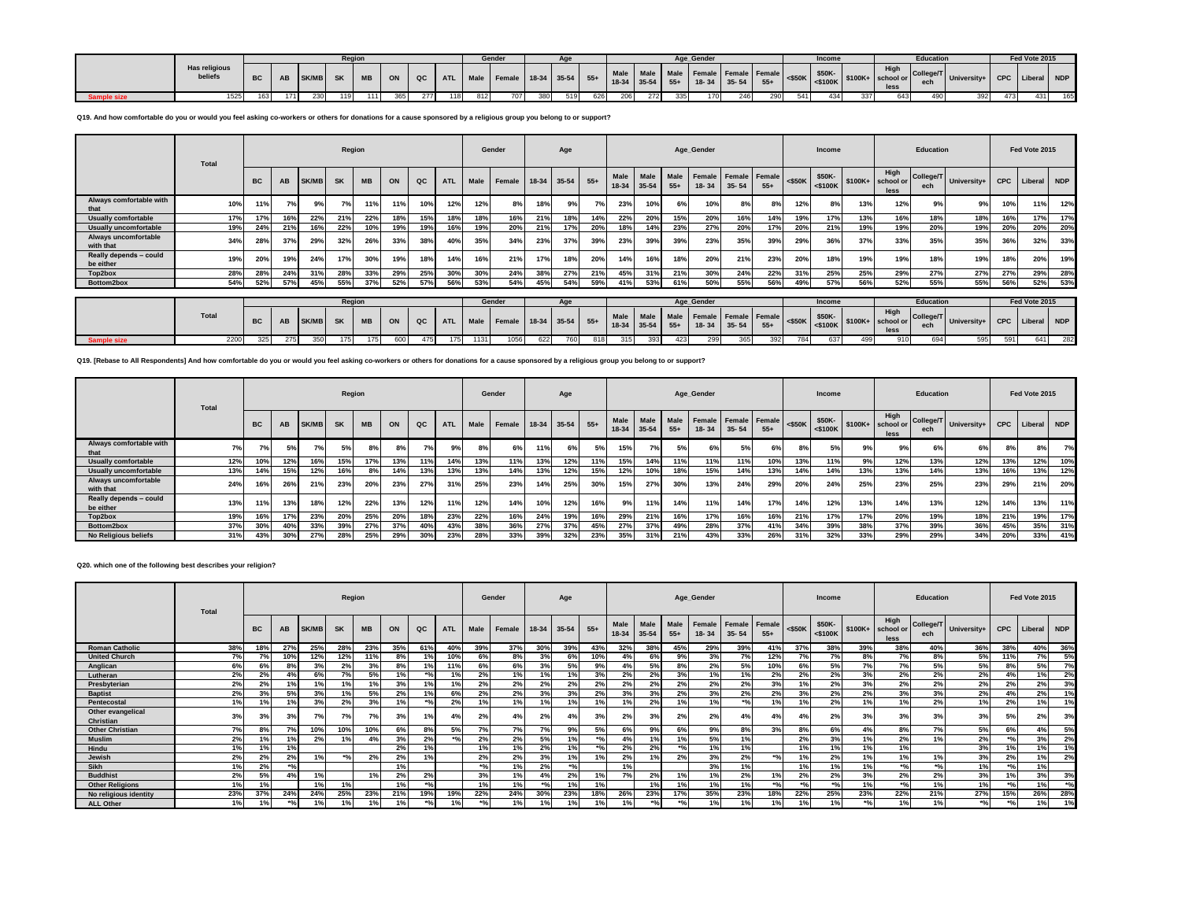|                    |                                 |           |       |             | <b>Region</b> |     |     |     |     |     | Gender |     |     |     |     |     |     | Age Gender |     |     |     | Income |     |     | <b>Education</b> |                                                                                                                                                                                                                                                    |     | Fed Vote 2015 |     |
|--------------------|---------------------------------|-----------|-------|-------------|---------------|-----|-----|-----|-----|-----|--------|-----|-----|-----|-----|-----|-----|------------|-----|-----|-----|--------|-----|-----|------------------|----------------------------------------------------------------------------------------------------------------------------------------------------------------------------------------------------------------------------------------------------|-----|---------------|-----|
|                    | <b>Has religious</b><br>beliefs | <b>BC</b> |       | AB SK/MB SK |               |     |     |     |     |     |        |     |     |     |     |     |     |            |     |     |     |        |     |     |                  | MB ON QC ATL Male Female 18-34 35-54 55+ Male Male Male Female Female Female Sank \$50K- \$50K- \$50K- \$50K- \$50K- \$50K- \$50K- \$500K- \$500K- \$500K- \$500K- \$500K- \$500K- \$500K- \$500K- \$500K- \$500K- \$500K- \$500K- \$500K- \$500K- |     |               |     |
| <b>Sample size</b> | 1525                            | 163 I     | 171 I | 230         | 119           | 111 | 365 | 277 | 118 | 812 | 707    | 380 | 519 | 626 | 206 | 272 | 335 | 170        | 246 | 290 | 541 | 434    | 337 | 643 |                  | 392                                                                                                                                                                                                                                                | 473 | 431           | 165 |

**Q19. And how comfortable do you or would you feel asking co-workers or others for donations for a cause sponsored by a religious group you belong to or support?**

|                                     | Total |            |     |              | Region    |           |     |     |            |      | Gender                 |     | Age |     |                     |           |               | Age_Gender |                                          |       |           | Income               |          |                           | <b>Education</b> |                       |            | Fed Vote 2015 |     |
|-------------------------------------|-------|------------|-----|--------------|-----------|-----------|-----|-----|------------|------|------------------------|-----|-----|-----|---------------------|-----------|---------------|------------|------------------------------------------|-------|-----------|----------------------|----------|---------------------------|------------------|-----------------------|------------|---------------|-----|
|                                     |       | <b>BC</b>  | AB  | <b>SK/MB</b> | <b>SK</b> | <b>MB</b> | ON  | QC  | <b>ATL</b> | Male | Female 18-34 35-54 55+ |     |     |     | Male<br>18-34 35-54 | Male      | Male<br>$55+$ | $18 - 34$  | Female Female Female<br>$35 - 54$        | $55+$ | $<$ \$50K | \$50K-<br>$<$ \$100K | $$100K+$ | High<br>school or<br>less | ech              | College/T University+ | <b>CPC</b> | Liberal NDP   |     |
| Always comfortable with<br>that     | 10%   | 11%        |     | 9%           | 7%        | 11%       |     | 10% | 12%        | 12%  | 8%                     | 18% | 9%  | 7%  | 23%                 | 10%       | 6%            | 10%        | 8%                                       | 8%    | 12%       | 8%                   | 13%      | 12%                       | 9%               | 9%                    | 10%        | 11%           | 12% |
| <b>Usually comfortable</b>          | 17%   | 17%        | 16% | 22%          | 21%       | 22%       | 18% | 15% | 18%        | 18%  | 16%                    | 21% | 18% | 14% | 22%                 | 20%       | 15%           | 20%        | 16%                                      | 14%   | 19%       | 17%                  | 13%      | 16%                       | 18%              | 18%                   | 16%        | 17%           | 17% |
| <b>Usually uncomfortable</b>        | 19%   | 24%        | 21% | 16%          | 22%       | 10%       | 19% | 19% |            | 19%  | 20%                    | 21% | 17% | 20% | 18%                 | 14%       | 23%           | 27%        | 20%                                      | 17%   | 20%       | 21%                  | 19%      | 19%                       | 20%              | 19%                   | 20%        | 20%           | 20% |
| Always uncomfortable<br>with that   | 34%   | 28%        | 37% | 29%          | 32%       | 26%       | 33% | 38° | 40%        | 35%  | 34%                    | 23% | 37% | 39% | 23%                 | 39%       | 39%           | 23%        | 35%                                      | 39%   | 29%       | 36%                  | 37%      | 33%                       | 35%              | 35%                   | 36%        | 32%           | 33% |
| Really depends - could<br>be either | 19%   | <b>20%</b> | 19% | 24%          | 17%       | 30%       | 19% | 18% | 14%        | 16%  | 21%                    | 17% | 18% | 20% | 14%                 | 16%       | 18%           | 20%        | 21%                                      | 23%   | 20%       | 18%                  | 19%      | 19%                       | 18%              | 19%                   | 18%        | 20%           | 19% |
| Top2box                             | 28%   | 28%        | 24% | 31%          | 28%       | 33%       | 29% | 25% | 30%        | 30%  | 24%                    | 38% | 27% | 21% | 45%                 | 31%       | 21%           | 30%        | 24%                                      | 22%   | 31%       | 25%                  | 25%      | 29%                       | 27%              | 27%                   | 27%        | 29%           | 28% |
| Bottom2box                          | 54%   | 52%        | 57% | 45%          | 55%       | 37%       | 52% | 57% | 56%        | 53%  | 54%                    | 45% | 54% | 59% | 41%                 | 53%       | 61%           | 50%        | 55%                                      | 56%   | 49%       | 57%                  | 56%      | 52%                       | 55%              | 55%                   | 56%        | 52%           | 53% |
|                                     |       |            |     |              |           |           |     |     |            |      |                        |     |     |     |                     |           |               |            |                                          |       |           |                      |          |                           |                  |                       |            |               |     |
|                                     |       |            |     |              | Region    |           |     |     |            |      | Gender                 |     | Age |     |                     |           |               | Age_Gender |                                          |       |           | Income               |          |                           | <b>Education</b> |                       |            | Fed Vote 2015 |     |
|                                     | Total | <b>BC</b>  | AB  | <b>SK/MB</b> | <b>SK</b> | <b>MB</b> | ON  | QC  | <b>ATL</b> | Male | Female 18-34 35-54 55+ |     |     |     | 18-34 35-54         | Male Male | Male<br>$55+$ | $18 - 34$  | <b>Female Female Female</b><br>$35 - 54$ | $55+$ | $<$ \$50K | \$50K-<br>$<$ \$100K | $$100K+$ | High<br>school or<br>less | ech              | College/T University+ | <b>CPC</b> | Liberal NDP   |     |
| <b>Sample size</b>                  | 2200  | 325        | 275 | 350          | 175       | 175       | 600 | 475 | 175        | 1131 | 1056                   | 622 | 760 | 818 | 315                 | 393       | 423           | 299        | 365                                      | 392   | 784       | 637                  | 499      | 910                       | 694              | 595                   | 591        | 641           | 282 |

**Q19. [Rebase to All Respondents] And how comfortable do you or would you feel asking co-workers or others for donations for a cause sponsored by a religious group you belong to or support?**

|                                     | Total |           |     |       | Region    |           |     |     |            |      | Gender                 |     | Age |     |             |           |       | Age Gender                             |           |       |           | Income |     |                                                                                                                                                                                                                                                  | Education |                       |            | Fed Vote 2015 |     |
|-------------------------------------|-------|-----------|-----|-------|-----------|-----------|-----|-----|------------|------|------------------------|-----|-----|-----|-------------|-----------|-------|----------------------------------------|-----------|-------|-----------|--------|-----|--------------------------------------------------------------------------------------------------------------------------------------------------------------------------------------------------------------------------------------------------|-----------|-----------------------|------------|---------------|-----|
|                                     |       | <b>BC</b> | AB  | SK/MB | <b>SK</b> | <b>MB</b> | ON  | QC  | <b>ATL</b> | Male | Female 18-34 35-54 55+ |     |     |     | 18-34 35-54 | Male Male | $55+$ | Male Female Female Female<br>$18 - 34$ | $35 - 54$ | $55+$ | $<$ \$50K | \$50K- |     | High<br>$\sqrt{6}$ \cdots \cdots \cdots \cdots \cdots \cdots \cdots \cdots \cdots \cdots \cdots \cdots \cdots \cdots \cdots \cdots \cdots \cdots \cdots \cdots \cdots \cdots \cdots \cdots \cdots \cdots \cdots \cdots \cdots \cdots \cd<br>less | ech       | College/T University+ | <b>CPC</b> | Liberal NDP   |     |
| Always comfortable with<br>that     | 7%    | 7%        |     |       | 5%        | 8%        | 8%  | 7%  | 9%         | 8%   | 6%                     | 11% | 6%  | 5%  | 15%         | 7%        | 5%    | 6%                                     | 5%        | 6%    | 8%        | 5%     | 9%  |                                                                                                                                                                                                                                                  | 6%        | 6%                    | 8%         | 8%            | 7%  |
| <b>Usually comfortable</b>          | 12%   | 10%       | 12% | 16%   | 15%       | 17%       | 13% | 11% | 14%        | 13%  | 11%                    | 13% | 12% | 11% | 15%         | 14%       | 11%   | 11%                                    | 11%       | 10%   | 13%       | 11%    | 9%  | 12%                                                                                                                                                                                                                                              | 13%       | 12%                   | 13%        | 12%           | 10% |
| <b>Usually uncomfortable</b>        | 13%   | 14%       | 15% | 12%   | 16%       | 8%        | 14% | 13% | 13%        | 13%  | 14%                    | 13% | 12% | 15% | 12%         | 10%       | 18%   | 15%                                    | 14%       | 13%   | 14%       | 14%    | 13% | 13%                                                                                                                                                                                                                                              | 14%       | 13%                   | 16%        | 13%           | 12% |
| Always uncomfortable<br>with that   | 24%   | 16%       | 26% | 21%   | 23%       | 20%       | 23% | 27% | 31%        | 25%  | 23%                    | 14% | 25% | 30% | 15%         | 27%       | 30%   | 13%                                    | 24%       | 29%   | 20%       | 24%    | 25% | 23%                                                                                                                                                                                                                                              | 25%       | 23%                   | 29%        | 21%           | 20% |
| Really depends - could<br>be either | 13%   | 11%       | 13% | 18%   | 12%       | 22%       | 13% | 12% | 11%        | 12%  | 14%                    | 10% | 12% | 16% | 9%          | 11%       | 14%   | 11%                                    | 14%       | 17%   | 14%       | 12%    | 13% | 14%                                                                                                                                                                                                                                              | 13%       | 12%                   | 14%        | 13%           | 11% |
| Top2box                             | 19%   | 16%       | 17% | 23%   | 20%       | 25%       | 20% | 18% | 23%        | 22%  | 16%                    | 24% | 19% | 16% | 29%         | 21%       | 16%   | 17%                                    | 16%       | 16%   | 21%       | 17%    | 17% | 20%                                                                                                                                                                                                                                              | 19%       | 18%                   | 21%        | 19%           | 17% |
| Bottom2box                          | 37%   | 30%       | 40% | 33%   | 39%       | 27%       | 37% | 40% | 43%        | 38%  | 36%                    | 27% | 37% | 45% | 27%         | 37%       | 49%   | 28%                                    | 37%       | 41%   | 34%       | 39%    | 38% | 37%                                                                                                                                                                                                                                              | 39%       | 36%                   | 45%        | 35%           | 31% |
| No Religious beliefs                | 31%   | 43%       | 30% | 27%   | 28%       | 25%       | 29% | 30% | 23%        | 28%  | 33%                    | 39% | 32% | 23% | 35%         | 31%       | 21%   | 43%                                    | 33%       | 26%   | 31%       | 32%    | 33% | 29%                                                                                                                                                                                                                                              | 29%       | 34%                   | 20%        | 33%           | 41% |

**Q20. which one of the following best describes your religion?**

|                                | <b>Total</b> |                |        |       | Region         |           |     |       |            |      | Gender |       | Age         |       |                   |                   |                                 | Age_Gender      |                     |                 |           | Income            |       |                                   | Education        |             |           | Fed Vote 2015       |       |
|--------------------------------|--------------|----------------|--------|-------|----------------|-----------|-----|-------|------------|------|--------|-------|-------------|-------|-------------------|-------------------|---------------------------------|-----------------|---------------------|-----------------|-----------|-------------------|-------|-----------------------------------|------------------|-------------|-----------|---------------------|-------|
|                                |              | <b>BC</b>      | AB     | SK/MB | <b>SK</b>      | <b>MB</b> | ON  | QC    | <b>ATL</b> | Male | Female |       | 18-34 35-54 | $55+$ | Male<br>$18 - 34$ | Male<br>$35 - 54$ | Male<br>$55+$                   | Female<br>18-34 | Female<br>$35 - 54$ | Female<br>$55+$ | $<$ \$50K | \$50K-<br><\$100K |       | High<br>\$100K+ school or<br>less | College/T<br>ech | University+ |           | CPC   Liberal   NDP |       |
| <b>Roman Catholic</b>          | 38%          | 18%            | 27%    | 25%   | 28%            | 23%       | 35% | 61%   | $40^\circ$ | 39%  | 37%    | 30%   | 39%         | 43%   | 32%               | 38%               | 45%                             | 29%             | 39%                 | 41%             | 37%       | 38%               | 39%   | 38%                               | 40%              | 36%         | 38%       | 40%                 | 36%   |
| <b>United Church</b>           | 7%           | 7%             | 10%    | 12%   | 12%            | 11%       |     |       | 10%        | 6%   | 8%     | 3%    | 6%          | 10%   |                   | 6%                | 9%                              | 3%              | 7%                  | 12%             | 7%        | 7%                | 8%    | 7%                                | 8%               | 5%          | 11%       | 7%                  | 5%    |
| Anglican                       | 6%           | 6%             |        |       | 2%             | 3%        | 8%  |       | 11%        | 6%   | 6%     | 3%    | 5%          | 9%    |                   | 5%                | 8%                              | 2%              | 5%                  | 10%             | 6%        | 5%                | 7%    | 7%                                | 5%               | 5%          |           | 5%                  | 7%    |
| Lutheran                       | 2%           | 2%             |        | 6%    | 7%             | 5%        | 1%  | 80/   |            | 2%   | 1%     | 1%    | 1%          | 3%    | 2%                | 2%                | 3%                              | 1%              | 1%                  | 2%              | 2%        | 2%                | 3%    | 2%                                | 2%               | 2%          |           | 1%                  | 2%    |
| Presbyterian                   | 2%           | 2%             |        |       |                |           | 3%  |       |            | 2%   | 2%     | 2%    | 2%          | 2%    | 2%                | 2%                | 2%                              | 2%              | 2%                  | 3%              | 1%        | 2%                | 3%    | 2%                                | 2%               | 2%          | 2%        | 2%                  | 3%    |
| <b>Baptist</b>                 | 2%           | 3%             | 5%     | 3%    |                | 5%        | 2%  |       | 6%         | 2%   | 2%     | 3%    | 3%          | 2%    | 3%                | 3%                | 2%                              | 3%              | 2%                  | 2%              | 3%        | 2%                | 2%    | 3%                                | 3%               | 2%          |           | 2%                  | 1%    |
| Pentecostal                    | 1%           | 1%             |        | 3%    | 2%             | 3%        |     |       | 2%         |      | 1%     | 1%    | 1%          | 1%    |                   | 2%                | 1%                              | 1%              | $*$ 0/              | 1%              | 1%        | 2%                | 1%    | 1%                                | 2%               | 1%          | 2%        | 1%                  | 1%    |
| Other evangelical<br>Christian | 3%           | 3%             | 3%     | 7%    | 7 <sup>o</sup> | 7%        | 3%  |       |            | 2%   | 4%     | 2%    | 4%          | 3%    | 2%                | 3%                | 2%                              | 2%              | 4%                  |                 | 4%        | 2%                | 3%    | 3%                                | 3%               | 3%          | 5%        | 2%                  | 3%    |
| <b>Other Christian</b>         | 7%           | 8%             | 7%     | 10%   | 10%            | 10%       | 6%  | 8%    | 5%         | 7%   | 7%     | 7%    | 9%          | 5%    | 6%                | 9%                | 6%                              | 9%              | 8%                  | 3%              | 8%        | 6%                | 4%    | 8%                                | 7%               | 5%          | 6%        | 4%                  | 5%    |
| <b>Muslim</b>                  | 2%           | 1%             |        | 2%    |                |           | 3%  | 2%    |            | 2%   | 2%     | 5%    | 1%          | $*$ % |                   | 1%                | 1%                              | 5%              | 1%                  |                 | 2%        | 3%                | 1%    | 2%                                | 1%               | 2%          | $\bullet$ | 3%                  | 2%    |
| Hindu                          | 1%           | 1%             | 1%     |       |                |           | 2%  | 401   |            |      | 1%     | 2%    | 1%          | $*$ % | 2%                | 2%                | $*$ 0/                          | 1%              | 1%                  |                 | 1%        |                   | 1%    | 1%                                |                  | 3%          | 40/       | 1%                  | 1%    |
| Jewish                         | 2%           | 2 <sup>o</sup> | 2%     |       | 30I            | 2%        | 2%  | 401   |            | 2%   | 2%     | 3%    | 1%          | 1%    | 2%                | 1%                | 2%                              | 3%              | 2%                  | $*0/$           | 1%        | 2%                | 1%    | 1%                                | 1%               | 3%          | 2%        | 1%                  | 2%    |
| <b>Sikh</b>                    | 1%           | 2%             | $*$ 0/ |       |                |           | 1%  |       |            | 301  | 1%     | 2%    | $*0/$       |       | 1%                |                   |                                 | 3%              | 1%                  |                 | 1%        |                   | 1%    | $*$ <sup>o</sup> / <sub>0</sub>   | $*$ %            | 1%          | $*01$     | 1%                  |       |
| <b>Buddhist</b>                | 2%           | 5%             |        | 1%    |                | 1%        | 2%  | 2%    |            | 3%   | 1%     | 4%    | 2%          | 1%    | 7%                | 2%                | 1%                              | 1%              | 2%                  | 1%              | 2%        | 2%                | 3%    | 2%                                | 2%               | 3%          | 10/       | 3%                  | 3%    |
| <b>Other Religions</b>         | 1%           | 1%             |        |       |                |           | 1%  | 30I   |            |      | 1%     | $*0/$ | 1%          | 1%    |                   | 1%                | 1%                              | 1%              | 1%                  | $*0/$           | $*0/$     |                   | 1%    | $*$ <sup>o</sup> / <sub>0</sub>   | 1%               | 1%          | $*01$     | 1%                  | $*01$ |
| No religious identity          | 23%          | 37%            | 24%    | 24%   | 25%            | 23%       | 21% | 19%   | 19%        | 22%  | 24%    | 30%   | 23%         | 18%   | 26%               | 23%               | 17%                             | 35%             | 23%                 | 18%             | 22%       | 25%               | 23%   | 22%                               | 21%              | 27%         | 15%       | 26%                 | 28%   |
| <b>ALL Other</b>               | 1%           | 1%             | $*9/6$ |       |                | 1%        | 1%  | $*01$ |            | 30/  | 1%     | 1%    | 1%          | 1%    |                   | $*0/$             | $*$ <sup>o</sup> / <sub>c</sub> | 1%              | 1%                  | 1%              | 1%        |                   | $*$ % | 1%                                | 1%               | $*9/61$     | $*$ %     | 1%                  | 1%    |